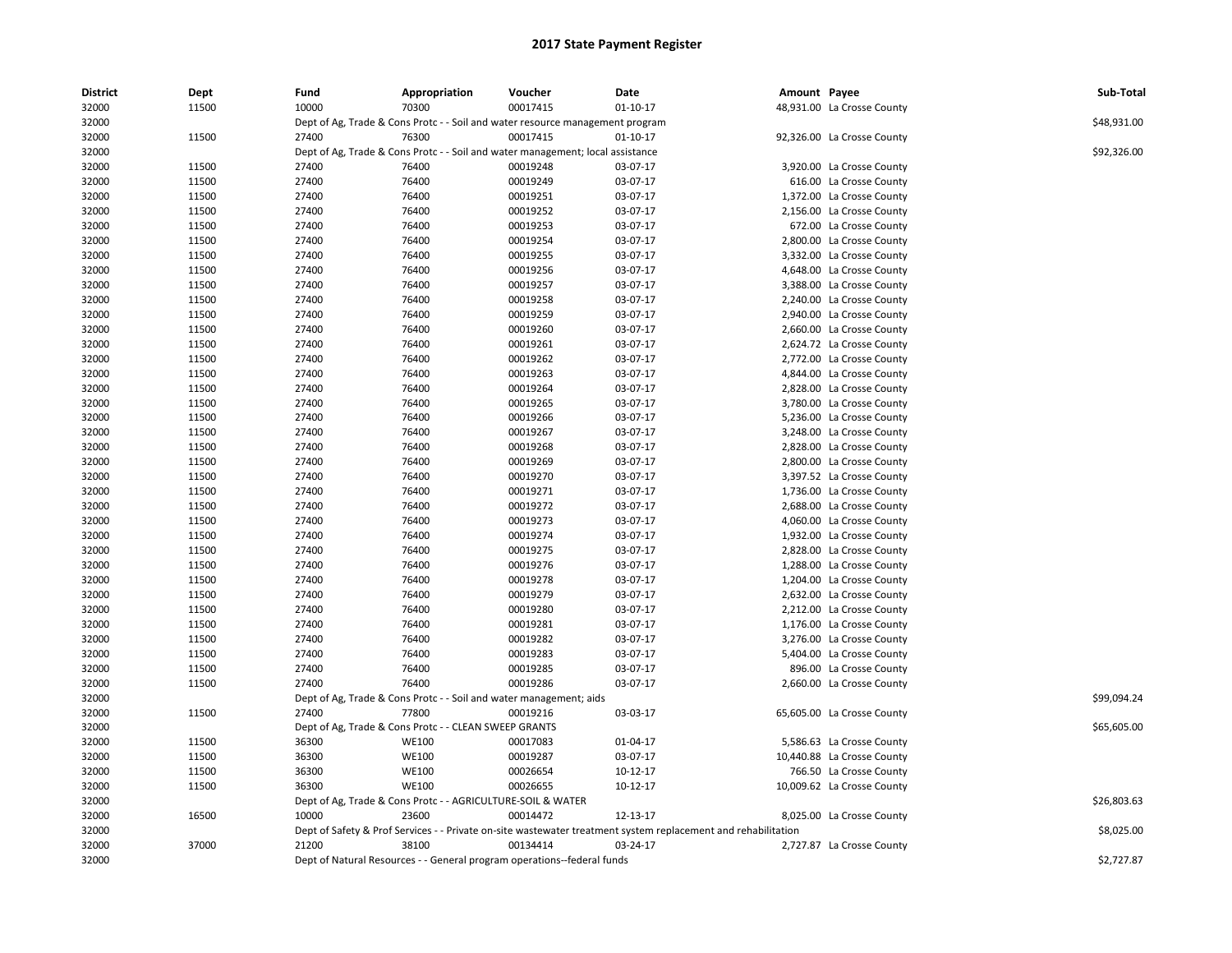| <b>District</b> | Dept  | Fund  | Appropriation                                                                  | Voucher  | Date                                                                                                          | Amount Payee |                            | Sub-Total   |
|-----------------|-------|-------|--------------------------------------------------------------------------------|----------|---------------------------------------------------------------------------------------------------------------|--------------|----------------------------|-------------|
| 32000           | 11500 | 10000 | 70300                                                                          | 00017415 | $01-10-17$                                                                                                    |              | 48,931.00 La Crosse County |             |
| 32000           |       |       | Dept of Ag, Trade & Cons Protc - - Soil and water resource management program  |          |                                                                                                               |              |                            | \$48,931.00 |
| 32000           | 11500 | 27400 | 76300                                                                          | 00017415 | $01-10-17$                                                                                                    |              | 92,326.00 La Crosse County |             |
| 32000           |       |       | Dept of Ag, Trade & Cons Protc - - Soil and water management; local assistance |          |                                                                                                               |              |                            | \$92,326.00 |
| 32000           | 11500 | 27400 | 76400                                                                          | 00019248 | 03-07-17                                                                                                      |              | 3,920.00 La Crosse County  |             |
| 32000           | 11500 | 27400 | 76400                                                                          | 00019249 | 03-07-17                                                                                                      |              | 616.00 La Crosse County    |             |
| 32000           | 11500 | 27400 | 76400                                                                          | 00019251 | 03-07-17                                                                                                      |              | 1,372.00 La Crosse County  |             |
| 32000           | 11500 | 27400 | 76400                                                                          | 00019252 | 03-07-17                                                                                                      |              | 2,156.00 La Crosse County  |             |
| 32000           | 11500 | 27400 | 76400                                                                          | 00019253 | 03-07-17                                                                                                      |              | 672.00 La Crosse County    |             |
| 32000           | 11500 | 27400 | 76400                                                                          | 00019254 | 03-07-17                                                                                                      |              | 2,800.00 La Crosse County  |             |
| 32000           | 11500 | 27400 | 76400                                                                          | 00019255 | 03-07-17                                                                                                      |              | 3,332.00 La Crosse County  |             |
| 32000           | 11500 | 27400 | 76400                                                                          | 00019256 | 03-07-17                                                                                                      |              | 4,648.00 La Crosse County  |             |
| 32000           | 11500 | 27400 | 76400                                                                          | 00019257 | 03-07-17                                                                                                      |              | 3,388.00 La Crosse County  |             |
| 32000           | 11500 | 27400 | 76400                                                                          | 00019258 | 03-07-17                                                                                                      |              | 2,240.00 La Crosse County  |             |
| 32000           | 11500 | 27400 | 76400                                                                          | 00019259 | 03-07-17                                                                                                      |              | 2,940.00 La Crosse County  |             |
| 32000           | 11500 | 27400 | 76400                                                                          | 00019260 | 03-07-17                                                                                                      |              | 2,660.00 La Crosse County  |             |
| 32000           | 11500 | 27400 | 76400                                                                          | 00019261 | 03-07-17                                                                                                      |              | 2,624.72 La Crosse County  |             |
| 32000           | 11500 | 27400 | 76400                                                                          | 00019262 | 03-07-17                                                                                                      |              | 2,772.00 La Crosse County  |             |
| 32000           | 11500 | 27400 | 76400                                                                          | 00019263 | 03-07-17                                                                                                      |              | 4,844.00 La Crosse County  |             |
| 32000           | 11500 | 27400 | 76400                                                                          | 00019264 | 03-07-17                                                                                                      |              | 2,828.00 La Crosse County  |             |
| 32000           | 11500 | 27400 | 76400                                                                          | 00019265 | 03-07-17                                                                                                      |              | 3,780.00 La Crosse County  |             |
| 32000           | 11500 | 27400 | 76400                                                                          | 00019266 | 03-07-17                                                                                                      |              | 5,236.00 La Crosse County  |             |
| 32000           | 11500 | 27400 | 76400                                                                          | 00019267 | 03-07-17                                                                                                      |              | 3,248.00 La Crosse County  |             |
| 32000           | 11500 | 27400 | 76400                                                                          | 00019268 | 03-07-17                                                                                                      |              | 2,828.00 La Crosse County  |             |
| 32000           | 11500 | 27400 | 76400                                                                          | 00019269 | 03-07-17                                                                                                      |              | 2,800.00 La Crosse County  |             |
| 32000           | 11500 | 27400 | 76400                                                                          | 00019270 | 03-07-17                                                                                                      |              | 3,397.52 La Crosse County  |             |
| 32000           | 11500 | 27400 | 76400                                                                          | 00019271 | 03-07-17                                                                                                      |              | 1,736.00 La Crosse County  |             |
| 32000           | 11500 | 27400 | 76400                                                                          | 00019272 | 03-07-17                                                                                                      |              | 2,688.00 La Crosse County  |             |
| 32000           | 11500 | 27400 | 76400                                                                          | 00019273 | 03-07-17                                                                                                      |              | 4,060.00 La Crosse County  |             |
| 32000           | 11500 | 27400 | 76400                                                                          | 00019274 | 03-07-17                                                                                                      |              | 1,932.00 La Crosse County  |             |
| 32000           | 11500 | 27400 | 76400                                                                          | 00019275 | 03-07-17                                                                                                      |              | 2,828.00 La Crosse County  |             |
| 32000           | 11500 | 27400 | 76400                                                                          | 00019276 | 03-07-17                                                                                                      |              | 1,288.00 La Crosse County  |             |
| 32000           | 11500 | 27400 | 76400                                                                          | 00019278 | 03-07-17                                                                                                      |              | 1,204.00 La Crosse County  |             |
| 32000           | 11500 | 27400 | 76400                                                                          | 00019279 | 03-07-17                                                                                                      |              | 2,632.00 La Crosse County  |             |
| 32000           | 11500 | 27400 | 76400                                                                          | 00019280 | 03-07-17                                                                                                      |              | 2,212.00 La Crosse County  |             |
| 32000           | 11500 | 27400 | 76400                                                                          | 00019281 | 03-07-17                                                                                                      |              | 1,176.00 La Crosse County  |             |
| 32000           | 11500 | 27400 | 76400                                                                          | 00019282 | 03-07-17                                                                                                      |              | 3,276.00 La Crosse County  |             |
| 32000           | 11500 | 27400 | 76400                                                                          | 00019283 | 03-07-17                                                                                                      |              | 5,404.00 La Crosse County  |             |
| 32000           | 11500 | 27400 | 76400                                                                          | 00019285 | 03-07-17                                                                                                      |              | 896.00 La Crosse County    |             |
| 32000           | 11500 | 27400 | 76400                                                                          | 00019286 | 03-07-17                                                                                                      |              | 2,660.00 La Crosse County  |             |
| 32000           |       |       | Dept of Ag, Trade & Cons Protc - - Soil and water management; aids             |          |                                                                                                               |              |                            | \$99,094.24 |
| 32000           | 11500 | 27400 | 77800                                                                          | 00019216 | 03-03-17                                                                                                      |              | 65,605.00 La Crosse County |             |
| 32000           |       |       | Dept of Ag, Trade & Cons Protc - - CLEAN SWEEP GRANTS                          |          |                                                                                                               |              |                            | \$65,605.00 |
| 32000           | 11500 | 36300 | <b>WE100</b>                                                                   | 00017083 | 01-04-17                                                                                                      |              | 5,586.63 La Crosse County  |             |
| 32000           | 11500 | 36300 | <b>WE100</b>                                                                   | 00019287 | 03-07-17                                                                                                      |              | 10,440.88 La Crosse County |             |
| 32000           | 11500 | 36300 | <b>WE100</b>                                                                   | 00026654 | 10-12-17                                                                                                      |              | 766.50 La Crosse County    |             |
| 32000           | 11500 | 36300 | <b>WE100</b>                                                                   | 00026655 | $10-12-17$                                                                                                    |              | 10,009.62 La Crosse County |             |
| 32000           |       |       | Dept of Ag, Trade & Cons Protc - - AGRICULTURE-SOIL & WATER                    |          |                                                                                                               |              |                            | \$26,803.63 |
| 32000           | 16500 | 10000 | 23600                                                                          | 00014472 | 12-13-17                                                                                                      |              | 8,025.00 La Crosse County  |             |
| 32000           |       |       |                                                                                |          | Dept of Safety & Prof Services - - Private on-site wastewater treatment system replacement and rehabilitation |              |                            | \$8,025.00  |
| 32000           | 37000 | 21200 | 38100                                                                          | 00134414 | 03-24-17                                                                                                      |              | 2,727.87 La Crosse County  |             |
| 32000           |       |       | Dept of Natural Resources - - General program operations--federal funds        |          |                                                                                                               |              |                            | \$2,727.87  |
|                 |       |       |                                                                                |          |                                                                                                               |              |                            |             |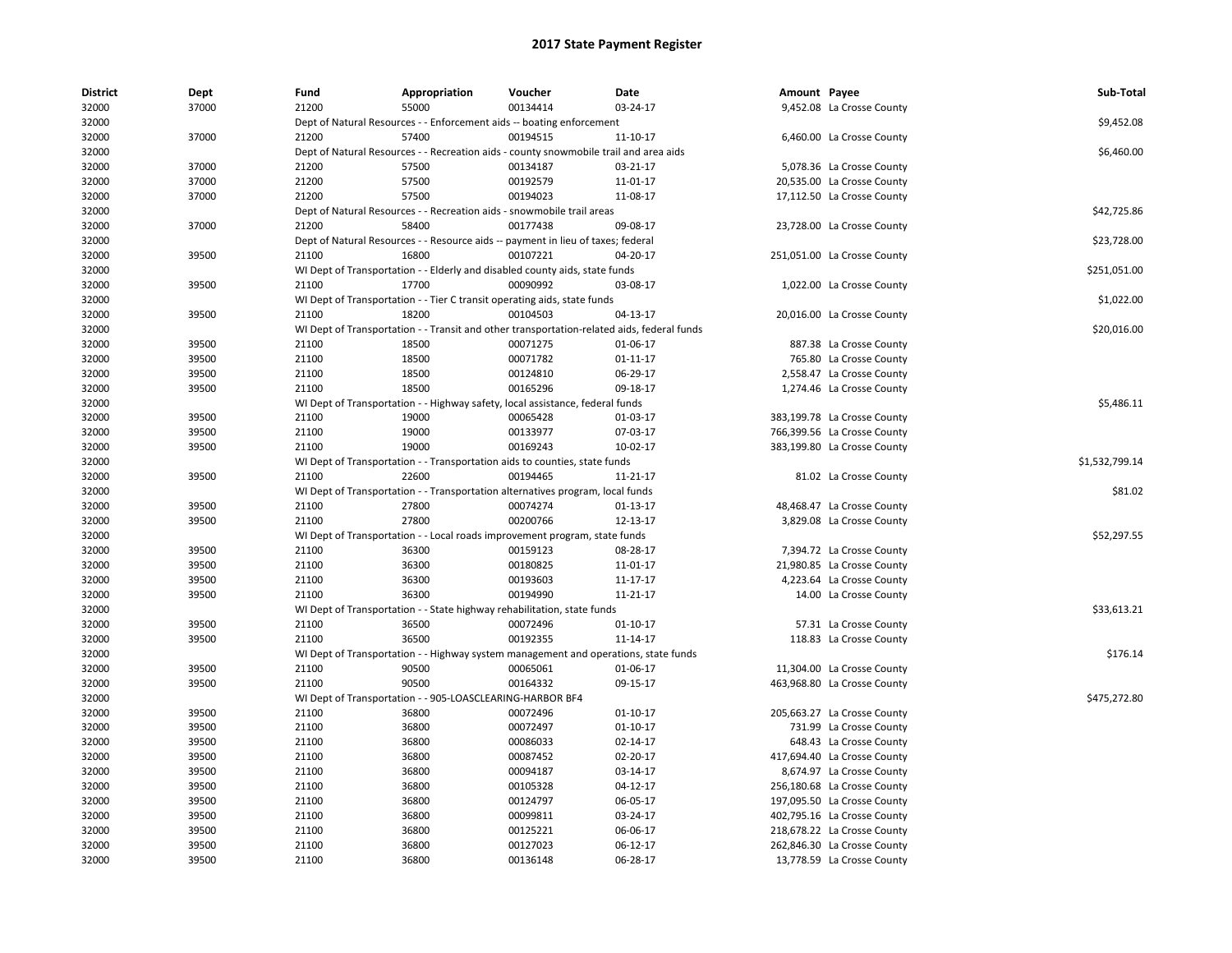| <b>District</b> | Dept  | Fund  | Appropriation                                                                              | Voucher  | Date           | Amount Payee |                             | Sub-Total      |
|-----------------|-------|-------|--------------------------------------------------------------------------------------------|----------|----------------|--------------|-----------------------------|----------------|
| 32000           | 37000 | 21200 | 55000                                                                                      | 00134414 | 03-24-17       |              | 9,452.08 La Crosse County   |                |
| 32000           |       |       | Dept of Natural Resources - - Enforcement aids -- boating enforcement                      |          |                |              |                             | \$9,452.08     |
| 32000           | 37000 | 21200 | 57400                                                                                      | 00194515 | 11-10-17       |              | 6,460.00 La Crosse County   |                |
| 32000           |       |       | Dept of Natural Resources - - Recreation aids - county snowmobile trail and area aids      |          |                |              |                             | \$6,460.00     |
| 32000           | 37000 | 21200 | 57500                                                                                      | 00134187 | 03-21-17       |              | 5,078.36 La Crosse County   |                |
| 32000           | 37000 | 21200 | 57500                                                                                      | 00192579 | 11-01-17       |              | 20,535.00 La Crosse County  |                |
| 32000           | 37000 | 21200 | 57500                                                                                      | 00194023 | 11-08-17       |              | 17,112.50 La Crosse County  |                |
| 32000           |       |       | Dept of Natural Resources - - Recreation aids - snowmobile trail areas                     |          |                |              |                             | \$42,725.86    |
| 32000           | 37000 | 21200 | 58400                                                                                      | 00177438 | 09-08-17       |              | 23,728.00 La Crosse County  |                |
| 32000           |       |       | Dept of Natural Resources - - Resource aids -- payment in lieu of taxes; federal           |          |                |              |                             | \$23,728.00    |
| 32000           | 39500 | 21100 | 16800                                                                                      | 00107221 | 04-20-17       |              | 251,051.00 La Crosse County |                |
| 32000           |       |       | WI Dept of Transportation - - Elderly and disabled county aids, state funds                |          |                |              |                             | \$251,051.00   |
| 32000           | 39500 | 21100 | 17700                                                                                      | 00090992 | 03-08-17       |              | 1,022.00 La Crosse County   |                |
| 32000           |       |       | WI Dept of Transportation - - Tier C transit operating aids, state funds                   |          |                |              |                             | \$1,022.00     |
| 32000           | 39500 | 21100 | 18200                                                                                      | 00104503 | 04-13-17       |              | 20,016.00 La Crosse County  |                |
| 32000           |       |       | WI Dept of Transportation - - Transit and other transportation-related aids, federal funds |          |                |              |                             | \$20,016.00    |
| 32000           | 39500 | 21100 | 18500                                                                                      | 00071275 | 01-06-17       |              | 887.38 La Crosse County     |                |
| 32000           | 39500 | 21100 | 18500                                                                                      | 00071782 | $01 - 11 - 17$ |              | 765.80 La Crosse County     |                |
| 32000           | 39500 | 21100 | 18500                                                                                      | 00124810 | 06-29-17       |              | 2,558.47 La Crosse County   |                |
| 32000           | 39500 | 21100 | 18500                                                                                      | 00165296 | 09-18-17       |              | 1,274.46 La Crosse County   |                |
| 32000           |       |       | WI Dept of Transportation - - Highway safety, local assistance, federal funds              |          |                |              |                             | \$5,486.11     |
| 32000           | 39500 | 21100 | 19000                                                                                      | 00065428 | 01-03-17       |              | 383,199.78 La Crosse County |                |
| 32000           | 39500 | 21100 | 19000                                                                                      | 00133977 | 07-03-17       |              | 766,399.56 La Crosse County |                |
| 32000           | 39500 | 21100 | 19000                                                                                      | 00169243 | 10-02-17       |              | 383,199.80 La Crosse County |                |
| 32000           |       |       | WI Dept of Transportation - - Transportation aids to counties, state funds                 |          |                |              |                             | \$1,532,799.14 |
|                 | 39500 | 21100 | 22600                                                                                      | 00194465 | 11-21-17       |              | 81.02 La Crosse County      |                |
| 32000<br>32000  |       |       |                                                                                            |          |                |              |                             | \$81.02        |
|                 |       |       | WI Dept of Transportation - - Transportation alternatives program, local funds             |          |                |              |                             |                |
| 32000           | 39500 | 21100 | 27800                                                                                      | 00074274 | 01-13-17       |              | 48,468.47 La Crosse County  |                |
| 32000           | 39500 | 21100 | 27800                                                                                      | 00200766 | 12-13-17       |              | 3,829.08 La Crosse County   |                |
| 32000           |       |       | WI Dept of Transportation - - Local roads improvement program, state funds                 |          |                |              |                             | \$52,297.55    |
| 32000           | 39500 | 21100 | 36300                                                                                      | 00159123 | 08-28-17       |              | 7,394.72 La Crosse County   |                |
| 32000           | 39500 | 21100 | 36300                                                                                      | 00180825 | 11-01-17       |              | 21,980.85 La Crosse County  |                |
| 32000           | 39500 | 21100 | 36300                                                                                      | 00193603 | 11-17-17       |              | 4,223.64 La Crosse County   |                |
| 32000           | 39500 | 21100 | 36300                                                                                      | 00194990 | 11-21-17       |              | 14.00 La Crosse County      |                |
| 32000           |       |       | WI Dept of Transportation - - State highway rehabilitation, state funds                    |          |                |              |                             | \$33,613.21    |
| 32000           | 39500 | 21100 | 36500                                                                                      | 00072496 | $01-10-17$     |              | 57.31 La Crosse County      |                |
| 32000           | 39500 | 21100 | 36500                                                                                      | 00192355 | 11-14-17       |              | 118.83 La Crosse County     |                |
| 32000           |       |       | WI Dept of Transportation - - Highway system management and operations, state funds        |          |                |              |                             | \$176.14       |
| 32000           | 39500 | 21100 | 90500                                                                                      | 00065061 | 01-06-17       |              | 11,304.00 La Crosse County  |                |
| 32000           | 39500 | 21100 | 90500                                                                                      | 00164332 | 09-15-17       |              | 463,968.80 La Crosse County |                |
| 32000           |       |       | WI Dept of Transportation - - 905-LOASCLEARING-HARBOR BF4                                  |          |                |              |                             | \$475,272.80   |
| 32000           | 39500 | 21100 | 36800                                                                                      | 00072496 | $01 - 10 - 17$ |              | 205,663.27 La Crosse County |                |
| 32000           | 39500 | 21100 | 36800                                                                                      | 00072497 | 01-10-17       |              | 731.99 La Crosse County     |                |
| 32000           | 39500 | 21100 | 36800                                                                                      | 00086033 | 02-14-17       |              | 648.43 La Crosse County     |                |
| 32000           | 39500 | 21100 | 36800                                                                                      | 00087452 | 02-20-17       |              | 417,694.40 La Crosse County |                |
| 32000           | 39500 | 21100 | 36800                                                                                      | 00094187 | 03-14-17       |              | 8,674.97 La Crosse County   |                |
| 32000           | 39500 | 21100 | 36800                                                                                      | 00105328 | 04-12-17       |              | 256,180.68 La Crosse County |                |
| 32000           | 39500 | 21100 | 36800                                                                                      | 00124797 | 06-05-17       |              | 197,095.50 La Crosse County |                |
| 32000           | 39500 | 21100 | 36800                                                                                      | 00099811 | 03-24-17       |              | 402,795.16 La Crosse County |                |
| 32000           | 39500 | 21100 | 36800                                                                                      | 00125221 | 06-06-17       |              | 218,678.22 La Crosse County |                |
| 32000           | 39500 | 21100 | 36800                                                                                      | 00127023 | 06-12-17       |              | 262,846.30 La Crosse County |                |
| 32000           | 39500 | 21100 | 36800                                                                                      | 00136148 | 06-28-17       |              | 13,778.59 La Crosse County  |                |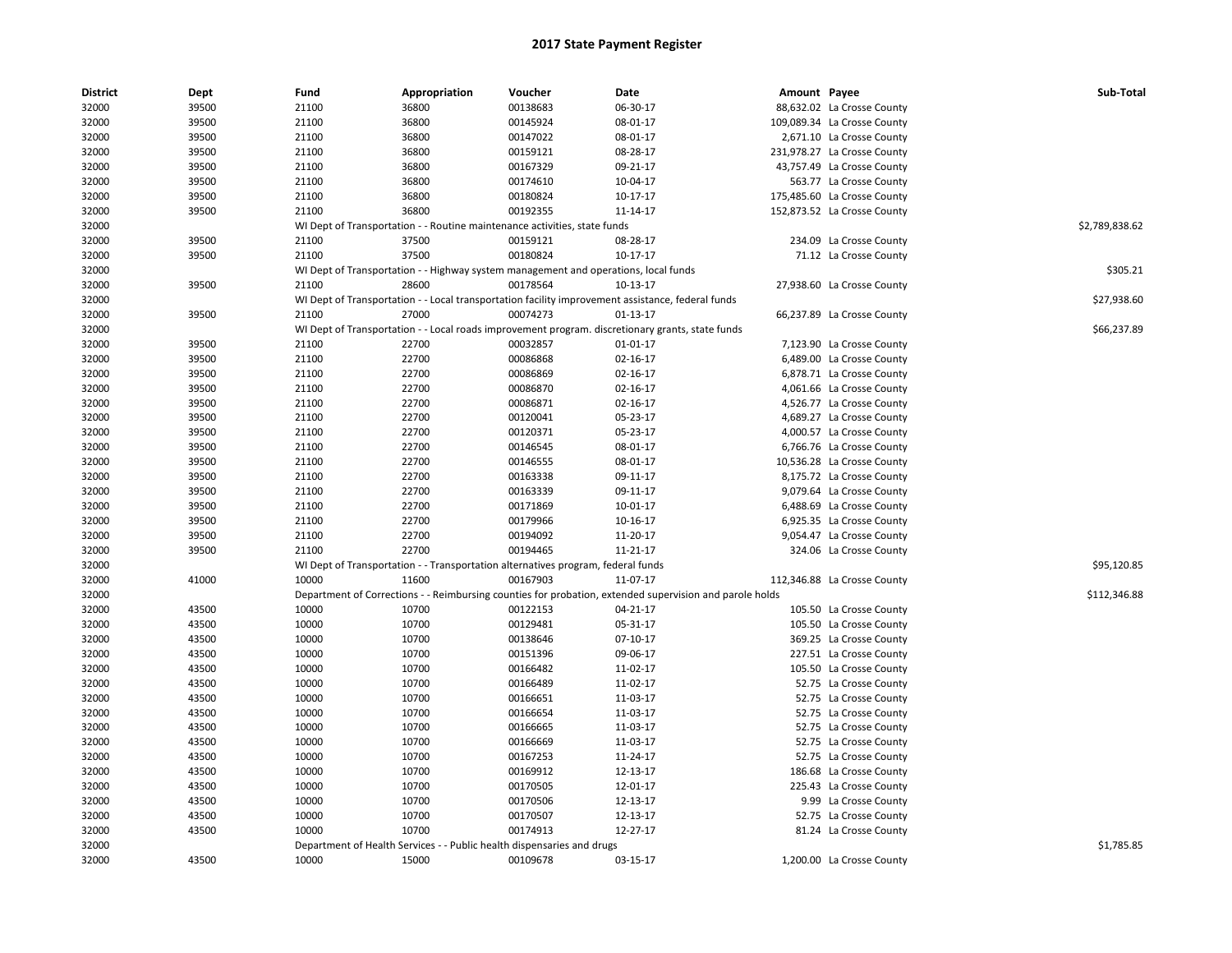| <b>District</b> | <b>Dept</b> | Fund  | Appropriation                                                                       | Voucher  | Date                                                                                                    | Amount Payee |                             | Sub-Total      |
|-----------------|-------------|-------|-------------------------------------------------------------------------------------|----------|---------------------------------------------------------------------------------------------------------|--------------|-----------------------------|----------------|
| 32000           | 39500       | 21100 | 36800                                                                               | 00138683 | 06-30-17                                                                                                |              | 88,632.02 La Crosse County  |                |
| 32000           | 39500       | 21100 | 36800                                                                               | 00145924 | 08-01-17                                                                                                |              | 109,089.34 La Crosse County |                |
| 32000           | 39500       | 21100 | 36800                                                                               | 00147022 | 08-01-17                                                                                                |              | 2,671.10 La Crosse County   |                |
| 32000           | 39500       | 21100 | 36800                                                                               | 00159121 | 08-28-17                                                                                                |              | 231,978.27 La Crosse County |                |
| 32000           | 39500       | 21100 | 36800                                                                               | 00167329 | 09-21-17                                                                                                |              | 43,757.49 La Crosse County  |                |
| 32000           | 39500       | 21100 | 36800                                                                               | 00174610 | 10-04-17                                                                                                |              | 563.77 La Crosse County     |                |
| 32000           | 39500       | 21100 | 36800                                                                               | 00180824 | 10-17-17                                                                                                |              | 175,485.60 La Crosse County |                |
| 32000           | 39500       | 21100 | 36800                                                                               | 00192355 | 11-14-17                                                                                                |              | 152,873.52 La Crosse County |                |
| 32000           |             |       | WI Dept of Transportation - - Routine maintenance activities, state funds           |          |                                                                                                         |              |                             | \$2,789,838.62 |
| 32000           | 39500       | 21100 | 37500                                                                               | 00159121 | 08-28-17                                                                                                |              | 234.09 La Crosse County     |                |
| 32000           | 39500       | 21100 | 37500                                                                               | 00180824 | 10-17-17                                                                                                |              | 71.12 La Crosse County      |                |
| 32000           |             |       | WI Dept of Transportation - - Highway system management and operations, local funds |          |                                                                                                         |              |                             | \$305.21       |
| 32000           | 39500       | 21100 | 28600                                                                               | 00178564 | 10-13-17                                                                                                |              | 27,938.60 La Crosse County  |                |
| 32000           |             |       |                                                                                     |          | WI Dept of Transportation - - Local transportation facility improvement assistance, federal funds       |              |                             | \$27,938.60    |
| 32000           | 39500       | 21100 | 27000                                                                               | 00074273 | 01-13-17                                                                                                |              | 66,237.89 La Crosse County  |                |
| 32000           |             |       |                                                                                     |          | WI Dept of Transportation - - Local roads improvement program. discretionary grants, state funds        |              |                             | \$66,237.89    |
| 32000           | 39500       | 21100 | 22700                                                                               | 00032857 | $01-01-17$                                                                                              |              | 7,123.90 La Crosse County   |                |
| 32000           | 39500       | 21100 | 22700                                                                               | 00086868 | 02-16-17                                                                                                |              | 6,489.00 La Crosse County   |                |
| 32000           | 39500       | 21100 | 22700                                                                               | 00086869 | 02-16-17                                                                                                |              | 6,878.71 La Crosse County   |                |
| 32000           | 39500       | 21100 | 22700                                                                               | 00086870 | 02-16-17                                                                                                |              | 4,061.66 La Crosse County   |                |
| 32000           | 39500       | 21100 | 22700                                                                               | 00086871 | 02-16-17                                                                                                |              | 4,526.77 La Crosse County   |                |
| 32000           | 39500       | 21100 | 22700                                                                               | 00120041 | 05-23-17                                                                                                |              | 4,689.27 La Crosse County   |                |
| 32000           | 39500       | 21100 | 22700                                                                               | 00120371 | 05-23-17                                                                                                |              | 4,000.57 La Crosse County   |                |
| 32000           | 39500       | 21100 | 22700                                                                               | 00146545 | 08-01-17                                                                                                |              | 6,766.76 La Crosse County   |                |
| 32000           | 39500       | 21100 | 22700                                                                               | 00146555 | 08-01-17                                                                                                |              | 10,536.28 La Crosse County  |                |
| 32000           | 39500       | 21100 | 22700                                                                               | 00163338 | 09-11-17                                                                                                |              | 8,175.72 La Crosse County   |                |
| 32000           | 39500       | 21100 | 22700                                                                               | 00163339 | 09-11-17                                                                                                |              | 9,079.64 La Crosse County   |                |
| 32000           | 39500       | 21100 | 22700                                                                               | 00171869 | 10-01-17                                                                                                |              | 6,488.69 La Crosse County   |                |
| 32000           | 39500       | 21100 | 22700                                                                               | 00179966 | 10-16-17                                                                                                |              | 6,925.35 La Crosse County   |                |
| 32000           | 39500       | 21100 | 22700                                                                               | 00194092 | 11-20-17                                                                                                |              | 9,054.47 La Crosse County   |                |
| 32000           | 39500       | 21100 | 22700                                                                               | 00194465 | 11-21-17                                                                                                |              | 324.06 La Crosse County     |                |
| 32000           |             |       | WI Dept of Transportation - - Transportation alternatives program, federal funds    |          |                                                                                                         |              |                             | \$95,120.85    |
| 32000           | 41000       | 10000 | 11600                                                                               | 00167903 | 11-07-17                                                                                                |              | 112,346.88 La Crosse County |                |
| 32000           |             |       |                                                                                     |          | Department of Corrections - - Reimbursing counties for probation, extended supervision and parole holds |              |                             | \$112,346.88   |
| 32000           | 43500       | 10000 | 10700                                                                               | 00122153 | 04-21-17                                                                                                |              | 105.50 La Crosse County     |                |
| 32000           | 43500       | 10000 | 10700                                                                               | 00129481 | 05-31-17                                                                                                |              | 105.50 La Crosse County     |                |
| 32000           | 43500       | 10000 | 10700                                                                               | 00138646 | 07-10-17                                                                                                |              | 369.25 La Crosse County     |                |
| 32000           | 43500       | 10000 | 10700                                                                               | 00151396 | 09-06-17                                                                                                |              | 227.51 La Crosse County     |                |
| 32000           | 43500       | 10000 | 10700                                                                               | 00166482 | 11-02-17                                                                                                |              | 105.50 La Crosse County     |                |
| 32000           | 43500       | 10000 | 10700                                                                               | 00166489 | 11-02-17                                                                                                |              | 52.75 La Crosse County      |                |
| 32000           | 43500       | 10000 | 10700                                                                               | 00166651 | 11-03-17                                                                                                |              | 52.75 La Crosse County      |                |
| 32000           | 43500       | 10000 | 10700                                                                               | 00166654 | 11-03-17                                                                                                |              | 52.75 La Crosse County      |                |
| 32000           | 43500       | 10000 | 10700                                                                               | 00166665 | 11-03-17                                                                                                |              |                             |                |
|                 |             | 10000 | 10700                                                                               | 00166669 |                                                                                                         |              | 52.75 La Crosse County      |                |
| 32000           | 43500       |       |                                                                                     |          | 11-03-17                                                                                                |              | 52.75 La Crosse County      |                |
| 32000           | 43500       | 10000 | 10700                                                                               | 00167253 | 11-24-17                                                                                                |              | 52.75 La Crosse County      |                |
| 32000           | 43500       | 10000 | 10700                                                                               | 00169912 | 12-13-17                                                                                                |              | 186.68 La Crosse County     |                |
| 32000           | 43500       | 10000 | 10700                                                                               | 00170505 | 12-01-17                                                                                                |              | 225.43 La Crosse County     |                |
| 32000           | 43500       | 10000 | 10700                                                                               | 00170506 | 12-13-17                                                                                                |              | 9.99 La Crosse County       |                |
| 32000           | 43500       | 10000 | 10700                                                                               | 00170507 | 12-13-17                                                                                                |              | 52.75 La Crosse County      |                |
| 32000           | 43500       | 10000 | 10700                                                                               | 00174913 | 12-27-17                                                                                                |              | 81.24 La Crosse County      |                |
| 32000           |             |       | Department of Health Services - - Public health dispensaries and drugs              |          |                                                                                                         |              |                             | \$1,785.85     |
| 32000           | 43500       | 10000 | 15000                                                                               | 00109678 | 03-15-17                                                                                                |              | 1,200.00 La Crosse County   |                |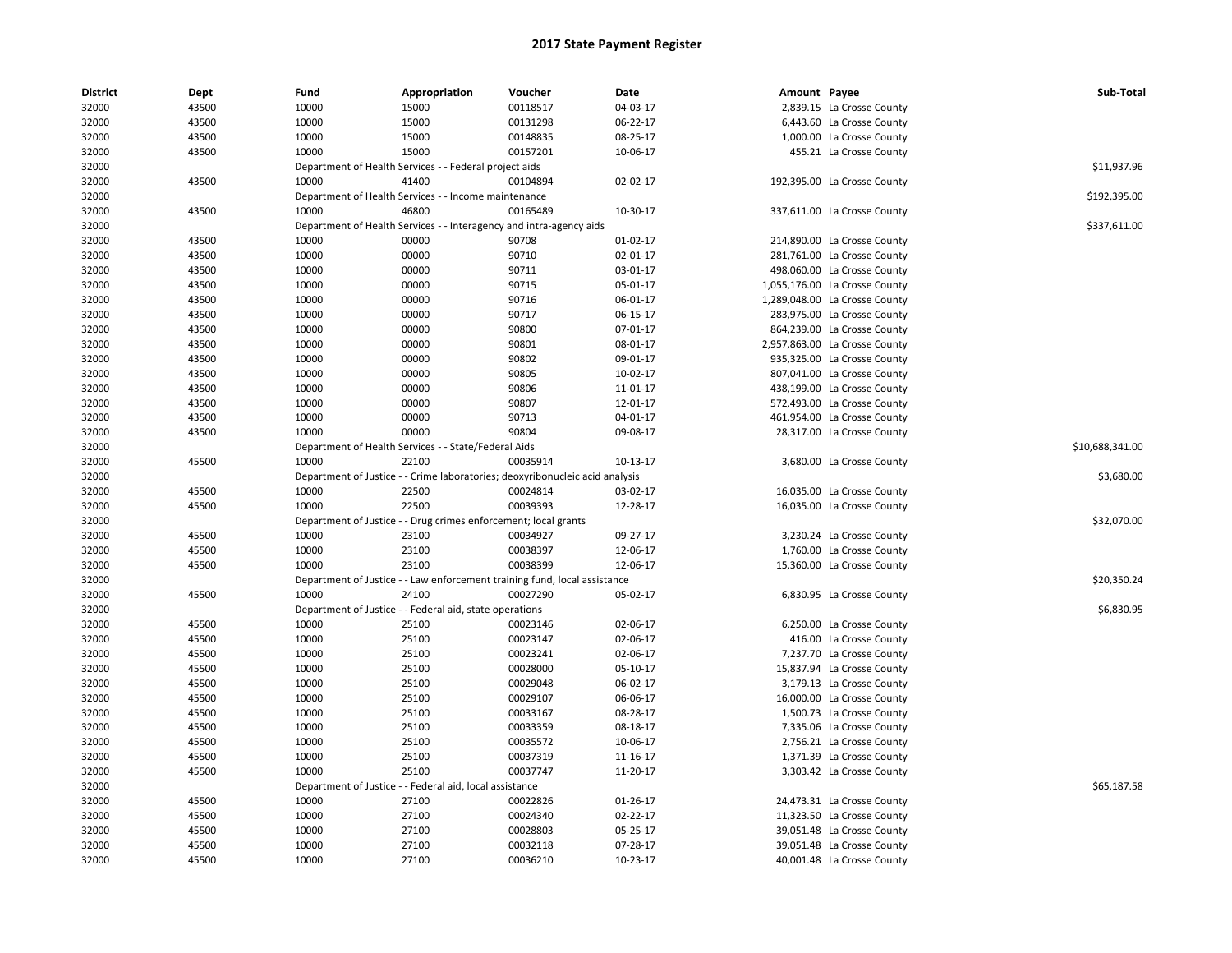| <b>District</b> | Dept  | Fund  | Appropriation                                                       | Voucher                                                                      | Date           | Amount Payee |                               | Sub-Total       |
|-----------------|-------|-------|---------------------------------------------------------------------|------------------------------------------------------------------------------|----------------|--------------|-------------------------------|-----------------|
| 32000           | 43500 | 10000 | 15000                                                               | 00118517                                                                     | 04-03-17       |              | 2,839.15 La Crosse County     |                 |
| 32000           | 43500 | 10000 | 15000                                                               | 00131298                                                                     | 06-22-17       |              | 6,443.60 La Crosse County     |                 |
| 32000           | 43500 | 10000 | 15000                                                               | 00148835                                                                     | 08-25-17       |              | 1,000.00 La Crosse County     |                 |
| 32000           | 43500 | 10000 | 15000                                                               | 00157201                                                                     | 10-06-17       |              | 455.21 La Crosse County       |                 |
| 32000           |       |       | Department of Health Services - - Federal project aids              |                                                                              |                |              |                               | \$11,937.96     |
| 32000           | 43500 | 10000 | 41400                                                               | 00104894                                                                     | 02-02-17       |              | 192,395.00 La Crosse County   |                 |
| 32000           |       |       | Department of Health Services - - Income maintenance                |                                                                              |                |              |                               | \$192,395.00    |
| 32000           | 43500 | 10000 | 46800                                                               | 00165489                                                                     | 10-30-17       |              | 337,611.00 La Crosse County   |                 |
| 32000           |       |       | Department of Health Services - - Interagency and intra-agency aids |                                                                              |                |              |                               | \$337,611.00    |
| 32000           | 43500 | 10000 | 00000                                                               | 90708                                                                        | 01-02-17       |              | 214,890.00 La Crosse County   |                 |
| 32000           | 43500 | 10000 | 00000                                                               | 90710                                                                        | 02-01-17       |              | 281,761.00 La Crosse County   |                 |
| 32000           | 43500 | 10000 | 00000                                                               | 90711                                                                        | 03-01-17       |              | 498,060.00 La Crosse County   |                 |
| 32000           | 43500 | 10000 | 00000                                                               | 90715                                                                        | 05-01-17       |              | 1,055,176.00 La Crosse County |                 |
| 32000           | 43500 | 10000 | 00000                                                               | 90716                                                                        | 06-01-17       |              | 1,289,048.00 La Crosse County |                 |
| 32000           | 43500 | 10000 | 00000                                                               | 90717                                                                        | 06-15-17       |              | 283,975.00 La Crosse County   |                 |
| 32000           | 43500 | 10000 | 00000                                                               | 90800                                                                        | 07-01-17       |              | 864,239.00 La Crosse County   |                 |
| 32000           | 43500 | 10000 | 00000                                                               | 90801                                                                        | 08-01-17       |              | 2,957,863.00 La Crosse County |                 |
| 32000           | 43500 | 10000 | 00000                                                               | 90802                                                                        | 09-01-17       |              | 935,325.00 La Crosse County   |                 |
| 32000           | 43500 | 10000 | 00000                                                               | 90805                                                                        | 10-02-17       |              | 807,041.00 La Crosse County   |                 |
| 32000           | 43500 | 10000 | 00000                                                               | 90806                                                                        | 11-01-17       |              | 438,199.00 La Crosse County   |                 |
| 32000           | 43500 | 10000 | 00000                                                               | 90807                                                                        | 12-01-17       |              | 572,493.00 La Crosse County   |                 |
| 32000           | 43500 | 10000 | 00000                                                               | 90713                                                                        | 04-01-17       |              | 461,954.00 La Crosse County   |                 |
| 32000           | 43500 | 10000 | 00000                                                               | 90804                                                                        | 09-08-17       |              | 28,317.00 La Crosse County    |                 |
| 32000           |       |       | Department of Health Services - - State/Federal Aids                |                                                                              |                |              |                               | \$10,688,341.00 |
| 32000           | 45500 | 10000 | 22100                                                               | 00035914                                                                     | 10-13-17       |              | 3,680.00 La Crosse County     |                 |
| 32000           |       |       |                                                                     | Department of Justice - - Crime laboratories; deoxyribonucleic acid analysis |                |              |                               | \$3,680.00      |
| 32000           | 45500 | 10000 | 22500                                                               | 00024814                                                                     | 03-02-17       |              | 16,035.00 La Crosse County    |                 |
| 32000           | 45500 | 10000 | 22500                                                               | 00039393                                                                     | 12-28-17       |              | 16,035.00 La Crosse County    |                 |
| 32000           |       |       | Department of Justice - - Drug crimes enforcement; local grants     |                                                                              |                |              |                               | \$32,070.00     |
| 32000           | 45500 | 10000 | 23100                                                               | 00034927                                                                     | 09-27-17       |              | 3,230.24 La Crosse County     |                 |
| 32000           | 45500 | 10000 | 23100                                                               | 00038397                                                                     | 12-06-17       |              | 1,760.00 La Crosse County     |                 |
| 32000           | 45500 | 10000 | 23100                                                               | 00038399                                                                     | 12-06-17       |              | 15,360.00 La Crosse County    |                 |
| 32000           |       |       |                                                                     | Department of Justice - - Law enforcement training fund, local assistance    |                |              |                               | \$20,350.24     |
| 32000           | 45500 | 10000 | 24100                                                               | 00027290                                                                     | 05-02-17       |              | 6,830.95 La Crosse County     |                 |
| 32000           |       |       | Department of Justice - - Federal aid, state operations             |                                                                              |                |              |                               | \$6,830.95      |
| 32000           | 45500 | 10000 | 25100                                                               | 00023146                                                                     | 02-06-17       |              | 6,250.00 La Crosse County     |                 |
| 32000           | 45500 | 10000 | 25100                                                               | 00023147                                                                     | 02-06-17       |              | 416.00 La Crosse County       |                 |
| 32000           | 45500 | 10000 | 25100                                                               | 00023241                                                                     | 02-06-17       |              | 7,237.70 La Crosse County     |                 |
| 32000           | 45500 | 10000 | 25100                                                               | 00028000                                                                     | 05-10-17       |              | 15,837.94 La Crosse County    |                 |
| 32000           | 45500 | 10000 | 25100                                                               | 00029048                                                                     | 06-02-17       |              | 3,179.13 La Crosse County     |                 |
| 32000           | 45500 | 10000 | 25100                                                               | 00029107                                                                     | 06-06-17       |              | 16,000.00 La Crosse County    |                 |
| 32000           | 45500 | 10000 | 25100                                                               | 00033167                                                                     | 08-28-17       |              | 1,500.73 La Crosse County     |                 |
| 32000           | 45500 | 10000 | 25100                                                               | 00033359                                                                     | 08-18-17       |              | 7,335.06 La Crosse County     |                 |
| 32000           | 45500 | 10000 | 25100                                                               | 00035572                                                                     | 10-06-17       |              | 2,756.21 La Crosse County     |                 |
| 32000           | 45500 | 10000 | 25100                                                               | 00037319                                                                     | 11-16-17       |              | 1,371.39 La Crosse County     |                 |
| 32000           | 45500 | 10000 | 25100                                                               | 00037747                                                                     | 11-20-17       |              | 3,303.42 La Crosse County     |                 |
| 32000           |       |       | Department of Justice - - Federal aid, local assistance             |                                                                              |                |              |                               | \$65,187.58     |
| 32000           | 45500 | 10000 | 27100                                                               | 00022826                                                                     | 01-26-17       |              | 24,473.31 La Crosse County    |                 |
| 32000           | 45500 | 10000 | 27100                                                               | 00024340                                                                     | $02 - 22 - 17$ |              | 11,323.50 La Crosse County    |                 |
| 32000           | 45500 | 10000 | 27100                                                               | 00028803                                                                     | 05-25-17       |              | 39,051.48 La Crosse County    |                 |
| 32000           | 45500 | 10000 | 27100                                                               | 00032118                                                                     | 07-28-17       |              | 39,051.48 La Crosse County    |                 |
| 32000           | 45500 | 10000 | 27100                                                               | 00036210                                                                     | 10-23-17       |              | 40,001.48 La Crosse County    |                 |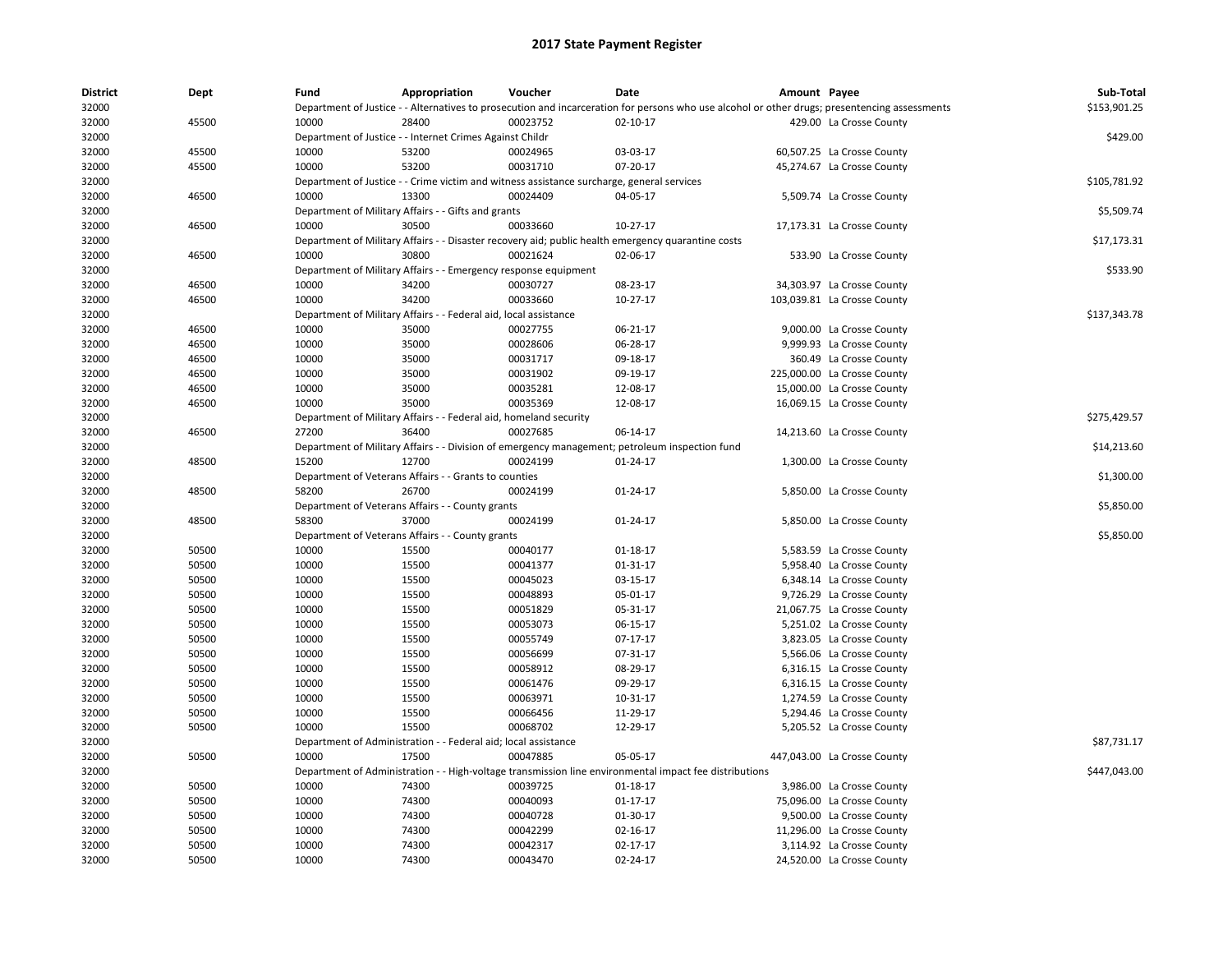| <b>District</b> | Dept  | Fund  | Appropriation                                                                                          | Voucher  | Date           | Amount Payee |                                                                                                                                               | Sub-Total    |
|-----------------|-------|-------|--------------------------------------------------------------------------------------------------------|----------|----------------|--------------|-----------------------------------------------------------------------------------------------------------------------------------------------|--------------|
| 32000           |       |       |                                                                                                        |          |                |              | Department of Justice - - Alternatives to prosecution and incarceration for persons who use alcohol or other drugs; presentencing assessments | \$153,901.25 |
| 32000           | 45500 | 10000 | 28400                                                                                                  | 00023752 | $02 - 10 - 17$ |              | 429.00 La Crosse County                                                                                                                       |              |
| 32000           |       |       | Department of Justice - - Internet Crimes Against Childr                                               |          |                |              |                                                                                                                                               | \$429.00     |
| 32000           | 45500 | 10000 | 53200                                                                                                  | 00024965 | 03-03-17       |              | 60,507.25 La Crosse County                                                                                                                    |              |
| 32000           | 45500 | 10000 | 53200                                                                                                  | 00031710 | 07-20-17       |              | 45,274.67 La Crosse County                                                                                                                    |              |
| 32000           |       |       | Department of Justice - - Crime victim and witness assistance surcharge, general services              |          |                |              |                                                                                                                                               | \$105,781.92 |
| 32000           | 46500 | 10000 | 13300                                                                                                  | 00024409 | 04-05-17       |              | 5,509.74 La Crosse County                                                                                                                     |              |
| 32000           |       |       | Department of Military Affairs - - Gifts and grants                                                    |          |                |              |                                                                                                                                               | \$5,509.74   |
| 32000           | 46500 | 10000 | 30500                                                                                                  | 00033660 | 10-27-17       |              | 17,173.31 La Crosse County                                                                                                                    |              |
| 32000           |       |       | Department of Military Affairs - - Disaster recovery aid; public health emergency quarantine costs     |          |                |              |                                                                                                                                               | \$17,173.31  |
| 32000           | 46500 | 10000 | 30800                                                                                                  | 00021624 | 02-06-17       |              | 533.90 La Crosse County                                                                                                                       |              |
| 32000           |       |       | Department of Military Affairs - - Emergency response equipment                                        |          |                |              |                                                                                                                                               | \$533.90     |
| 32000           | 46500 | 10000 | 34200                                                                                                  | 00030727 | 08-23-17       |              | 34,303.97 La Crosse County                                                                                                                    |              |
| 32000           | 46500 | 10000 | 34200                                                                                                  | 00033660 | 10-27-17       |              | 103,039.81 La Crosse County                                                                                                                   |              |
| 32000           |       |       | Department of Military Affairs - - Federal aid, local assistance                                       |          |                |              |                                                                                                                                               | \$137,343.78 |
| 32000           | 46500 | 10000 | 35000                                                                                                  | 00027755 | 06-21-17       |              | 9,000.00 La Crosse County                                                                                                                     |              |
| 32000           | 46500 | 10000 | 35000                                                                                                  | 00028606 | 06-28-17       |              | 9,999.93 La Crosse County                                                                                                                     |              |
| 32000           | 46500 | 10000 | 35000                                                                                                  | 00031717 | 09-18-17       |              | 360.49 La Crosse County                                                                                                                       |              |
| 32000           | 46500 | 10000 | 35000                                                                                                  | 00031902 | 09-19-17       |              | 225,000.00 La Crosse County                                                                                                                   |              |
| 32000           | 46500 | 10000 | 35000                                                                                                  | 00035281 | 12-08-17       |              | 15,000.00 La Crosse County                                                                                                                    |              |
| 32000           | 46500 | 10000 | 35000                                                                                                  | 00035369 | 12-08-17       |              | 16,069.15 La Crosse County                                                                                                                    |              |
| 32000           |       |       | Department of Military Affairs - - Federal aid, homeland security                                      |          |                |              |                                                                                                                                               | \$275.429.57 |
| 32000           | 46500 | 27200 | 36400                                                                                                  | 00027685 | 06-14-17       |              | 14,213.60 La Crosse County                                                                                                                    |              |
| 32000           |       |       | Department of Military Affairs - - Division of emergency management; petroleum inspection fund         |          |                |              |                                                                                                                                               | \$14,213.60  |
| 32000           | 48500 | 15200 | 12700                                                                                                  | 00024199 | 01-24-17       |              | 1,300.00 La Crosse County                                                                                                                     |              |
| 32000           |       |       | Department of Veterans Affairs - - Grants to counties                                                  |          |                |              |                                                                                                                                               | \$1,300.00   |
|                 |       | 58200 | 26700                                                                                                  | 00024199 |                |              |                                                                                                                                               |              |
| 32000           | 48500 |       |                                                                                                        |          | 01-24-17       |              | 5,850.00 La Crosse County                                                                                                                     |              |
| 32000           |       |       | Department of Veterans Affairs - - County grants                                                       |          |                |              |                                                                                                                                               | \$5,850.00   |
| 32000           | 48500 | 58300 | 37000                                                                                                  | 00024199 | 01-24-17       |              | 5,850.00 La Crosse County                                                                                                                     |              |
| 32000           |       |       | Department of Veterans Affairs - - County grants                                                       |          |                |              |                                                                                                                                               | \$5,850.00   |
| 32000           | 50500 | 10000 | 15500                                                                                                  | 00040177 | 01-18-17       |              | 5,583.59 La Crosse County                                                                                                                     |              |
| 32000           | 50500 | 10000 | 15500                                                                                                  | 00041377 | 01-31-17       |              | 5,958.40 La Crosse County                                                                                                                     |              |
| 32000           | 50500 | 10000 | 15500                                                                                                  | 00045023 | 03-15-17       |              | 6,348.14 La Crosse County                                                                                                                     |              |
| 32000           | 50500 | 10000 | 15500                                                                                                  | 00048893 | 05-01-17       |              | 9,726.29 La Crosse County                                                                                                                     |              |
| 32000           | 50500 | 10000 | 15500                                                                                                  | 00051829 | 05-31-17       |              | 21,067.75 La Crosse County                                                                                                                    |              |
| 32000           | 50500 | 10000 | 15500                                                                                                  | 00053073 | 06-15-17       |              | 5,251.02 La Crosse County                                                                                                                     |              |
| 32000           | 50500 | 10000 | 15500                                                                                                  | 00055749 | 07-17-17       |              | 3,823.05 La Crosse County                                                                                                                     |              |
| 32000           | 50500 | 10000 | 15500                                                                                                  | 00056699 | 07-31-17       |              | 5,566.06 La Crosse County                                                                                                                     |              |
| 32000           | 50500 | 10000 | 15500                                                                                                  | 00058912 | 08-29-17       |              | 6,316.15 La Crosse County                                                                                                                     |              |
| 32000           | 50500 | 10000 | 15500                                                                                                  | 00061476 | 09-29-17       |              | 6,316.15 La Crosse County                                                                                                                     |              |
| 32000           | 50500 | 10000 | 15500                                                                                                  | 00063971 | 10-31-17       |              | 1,274.59 La Crosse County                                                                                                                     |              |
| 32000           | 50500 | 10000 | 15500                                                                                                  | 00066456 | 11-29-17       |              | 5,294.46 La Crosse County                                                                                                                     |              |
| 32000           | 50500 | 10000 | 15500                                                                                                  | 00068702 | 12-29-17       |              | 5,205.52 La Crosse County                                                                                                                     |              |
| 32000           |       |       | Department of Administration - - Federal aid; local assistance                                         |          |                |              |                                                                                                                                               | \$87,731.17  |
| 32000           | 50500 | 10000 | 17500                                                                                                  | 00047885 | 05-05-17       |              | 447,043.00 La Crosse County                                                                                                                   |              |
| 32000           |       |       | Department of Administration - - High-voltage transmission line environmental impact fee distributions |          |                |              |                                                                                                                                               | \$447,043.00 |
| 32000           | 50500 | 10000 | 74300                                                                                                  | 00039725 | 01-18-17       |              | 3,986.00 La Crosse County                                                                                                                     |              |
| 32000           | 50500 | 10000 | 74300                                                                                                  | 00040093 | $01 - 17 - 17$ |              | 75,096.00 La Crosse County                                                                                                                    |              |
| 32000           | 50500 | 10000 | 74300                                                                                                  | 00040728 | 01-30-17       |              | 9,500.00 La Crosse County                                                                                                                     |              |
| 32000           | 50500 | 10000 | 74300                                                                                                  | 00042299 | 02-16-17       |              | 11,296.00 La Crosse County                                                                                                                    |              |
| 32000           | 50500 | 10000 | 74300                                                                                                  | 00042317 | 02-17-17       |              | 3,114.92 La Crosse County                                                                                                                     |              |
| 32000           | 50500 | 10000 | 74300                                                                                                  | 00043470 | 02-24-17       |              | 24,520.00 La Crosse County                                                                                                                    |              |
|                 |       |       |                                                                                                        |          |                |              |                                                                                                                                               |              |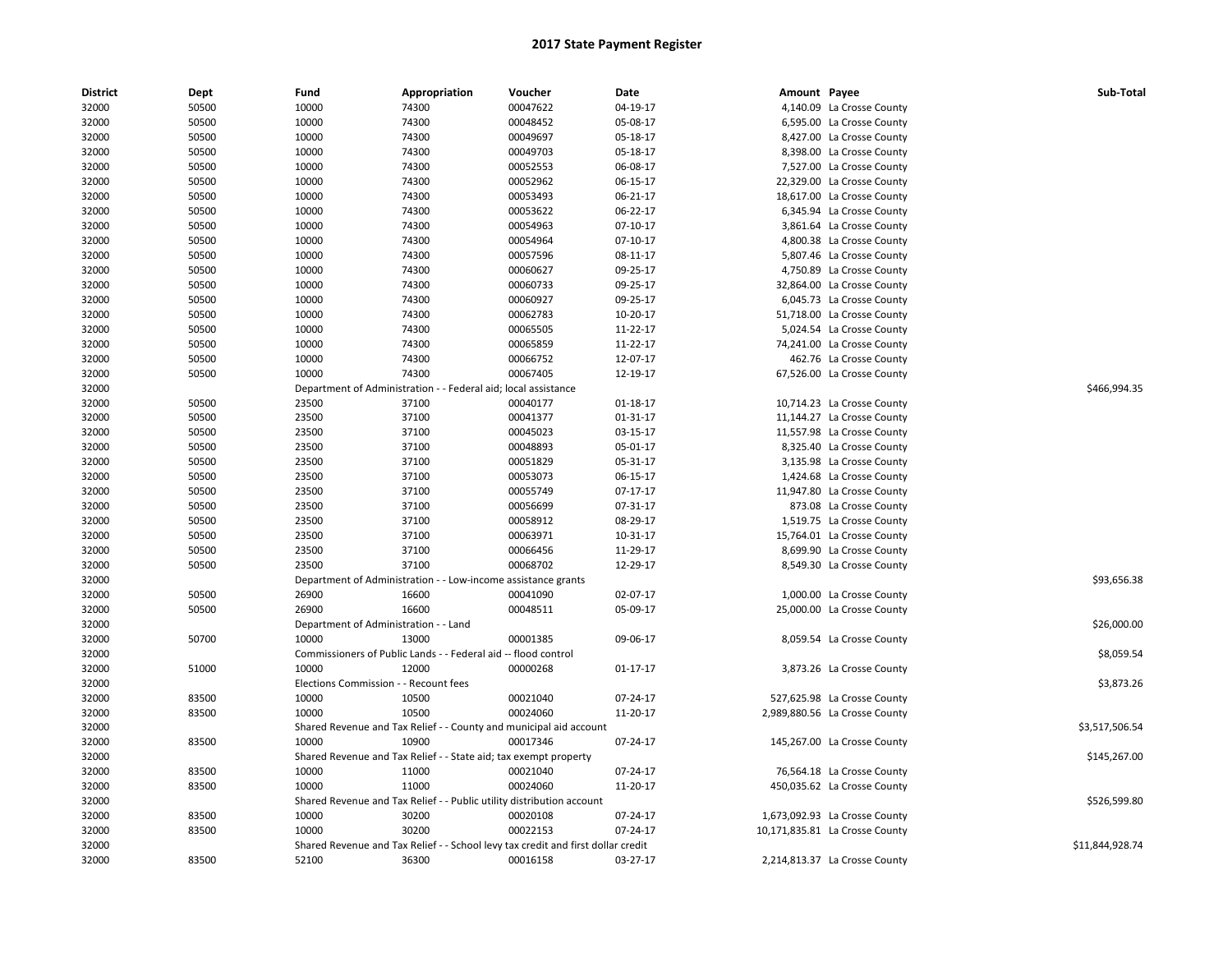| <b>District</b> | Dept  | Fund  | Appropriation                                                                    | Voucher  | Date       | Amount Payee |                                | Sub-Total       |
|-----------------|-------|-------|----------------------------------------------------------------------------------|----------|------------|--------------|--------------------------------|-----------------|
| 32000           | 50500 | 10000 | 74300                                                                            | 00047622 | 04-19-17   |              | 4,140.09 La Crosse County      |                 |
| 32000           | 50500 | 10000 | 74300                                                                            | 00048452 | 05-08-17   |              | 6,595.00 La Crosse County      |                 |
| 32000           | 50500 | 10000 | 74300                                                                            | 00049697 | 05-18-17   |              | 8,427.00 La Crosse County      |                 |
| 32000           | 50500 | 10000 | 74300                                                                            | 00049703 | 05-18-17   |              | 8,398.00 La Crosse County      |                 |
| 32000           | 50500 | 10000 | 74300                                                                            | 00052553 | 06-08-17   |              | 7,527.00 La Crosse County      |                 |
| 32000           | 50500 | 10000 | 74300                                                                            | 00052962 | 06-15-17   |              | 22,329.00 La Crosse County     |                 |
| 32000           | 50500 | 10000 | 74300                                                                            | 00053493 | 06-21-17   |              | 18,617.00 La Crosse County     |                 |
| 32000           | 50500 | 10000 | 74300                                                                            | 00053622 | 06-22-17   |              | 6,345.94 La Crosse County      |                 |
| 32000           | 50500 | 10000 | 74300                                                                            | 00054963 | $07-10-17$ |              | 3,861.64 La Crosse County      |                 |
| 32000           | 50500 | 10000 | 74300                                                                            | 00054964 | $07-10-17$ |              | 4,800.38 La Crosse County      |                 |
| 32000           | 50500 | 10000 | 74300                                                                            | 00057596 | 08-11-17   |              | 5,807.46 La Crosse County      |                 |
| 32000           | 50500 | 10000 | 74300                                                                            | 00060627 | 09-25-17   |              | 4,750.89 La Crosse County      |                 |
| 32000           | 50500 | 10000 | 74300                                                                            | 00060733 | 09-25-17   |              | 32,864.00 La Crosse County     |                 |
| 32000           | 50500 | 10000 | 74300                                                                            | 00060927 | 09-25-17   |              | 6,045.73 La Crosse County      |                 |
| 32000           | 50500 | 10000 | 74300                                                                            | 00062783 | 10-20-17   |              | 51,718.00 La Crosse County     |                 |
| 32000           | 50500 | 10000 | 74300                                                                            | 00065505 | 11-22-17   |              | 5,024.54 La Crosse County      |                 |
| 32000           | 50500 | 10000 | 74300                                                                            | 00065859 | 11-22-17   |              | 74,241.00 La Crosse County     |                 |
| 32000           | 50500 | 10000 | 74300                                                                            | 00066752 | 12-07-17   |              | 462.76 La Crosse County        |                 |
| 32000           | 50500 | 10000 | 74300                                                                            | 00067405 | 12-19-17   |              |                                |                 |
|                 |       |       |                                                                                  |          |            |              | 67,526.00 La Crosse County     |                 |
| 32000           |       |       | Department of Administration - - Federal aid; local assistance                   |          |            |              |                                | \$466,994.35    |
| 32000           | 50500 | 23500 | 37100                                                                            | 00040177 | 01-18-17   |              | 10,714.23 La Crosse County     |                 |
| 32000           | 50500 | 23500 | 37100                                                                            | 00041377 | 01-31-17   |              | 11,144.27 La Crosse County     |                 |
| 32000           | 50500 | 23500 | 37100                                                                            | 00045023 | 03-15-17   |              | 11,557.98 La Crosse County     |                 |
| 32000           | 50500 | 23500 | 37100                                                                            | 00048893 | 05-01-17   |              | 8,325.40 La Crosse County      |                 |
| 32000           | 50500 | 23500 | 37100                                                                            | 00051829 | 05-31-17   |              | 3,135.98 La Crosse County      |                 |
| 32000           | 50500 | 23500 | 37100                                                                            | 00053073 | 06-15-17   |              | 1,424.68 La Crosse County      |                 |
| 32000           | 50500 | 23500 | 37100                                                                            | 00055749 | $07-17-17$ |              | 11,947.80 La Crosse County     |                 |
| 32000           | 50500 | 23500 | 37100                                                                            | 00056699 | 07-31-17   |              | 873.08 La Crosse County        |                 |
| 32000           | 50500 | 23500 | 37100                                                                            | 00058912 | 08-29-17   |              | 1,519.75 La Crosse County      |                 |
| 32000           | 50500 | 23500 | 37100                                                                            | 00063971 | 10-31-17   |              | 15,764.01 La Crosse County     |                 |
| 32000           | 50500 | 23500 | 37100                                                                            | 00066456 | 11-29-17   |              | 8,699.90 La Crosse County      |                 |
| 32000           | 50500 | 23500 | 37100                                                                            | 00068702 | 12-29-17   |              | 8,549.30 La Crosse County      |                 |
| 32000           |       |       | Department of Administration - - Low-income assistance grants                    |          |            |              |                                | \$93,656.38     |
| 32000           | 50500 | 26900 | 16600                                                                            | 00041090 | 02-07-17   |              | 1,000.00 La Crosse County      |                 |
| 32000           | 50500 | 26900 | 16600                                                                            | 00048511 | 05-09-17   |              | 25,000.00 La Crosse County     |                 |
| 32000           |       |       | Department of Administration - - Land                                            |          |            |              |                                | \$26,000.00     |
| 32000           | 50700 | 10000 | 13000                                                                            | 00001385 | 09-06-17   |              | 8,059.54 La Crosse County      |                 |
| 32000           |       |       | Commissioners of Public Lands - - Federal aid -- flood control                   |          |            |              |                                | \$8,059.54      |
| 32000           | 51000 | 10000 | 12000                                                                            | 00000268 | 01-17-17   |              | 3,873.26 La Crosse County      |                 |
| 32000           |       |       | Elections Commission - - Recount fees                                            |          |            |              |                                | \$3,873.26      |
| 32000           | 83500 | 10000 | 10500                                                                            | 00021040 | 07-24-17   |              | 527,625.98 La Crosse County    |                 |
| 32000           | 83500 | 10000 | 10500                                                                            | 00024060 | 11-20-17   |              | 2,989,880.56 La Crosse County  |                 |
| 32000           |       |       | Shared Revenue and Tax Relief - - County and municipal aid account               |          |            |              |                                | \$3,517,506.54  |
| 32000           | 83500 | 10000 | 10900                                                                            | 00017346 | 07-24-17   |              | 145,267.00 La Crosse County    |                 |
| 32000           |       |       | Shared Revenue and Tax Relief - - State aid; tax exempt property                 |          |            |              |                                | \$145,267.00    |
| 32000           | 83500 | 10000 | 11000                                                                            | 00021040 | 07-24-17   |              | 76,564.18 La Crosse County     |                 |
| 32000           | 83500 | 10000 | 11000                                                                            | 00024060 | 11-20-17   |              | 450,035.62 La Crosse County    |                 |
| 32000           |       |       | Shared Revenue and Tax Relief - - Public utility distribution account            |          |            |              |                                | \$526,599.80    |
| 32000           | 83500 | 10000 | 30200                                                                            | 00020108 | 07-24-17   |              | 1,673,092.93 La Crosse County  |                 |
| 32000           | 83500 | 10000 | 30200                                                                            | 00022153 | 07-24-17   |              | 10,171,835.81 La Crosse County |                 |
| 32000           |       |       | Shared Revenue and Tax Relief - - School levy tax credit and first dollar credit |          |            |              |                                | \$11,844,928.74 |
| 32000           | 83500 | 52100 | 36300                                                                            | 00016158 | 03-27-17   |              | 2,214,813.37 La Crosse County  |                 |
|                 |       |       |                                                                                  |          |            |              |                                |                 |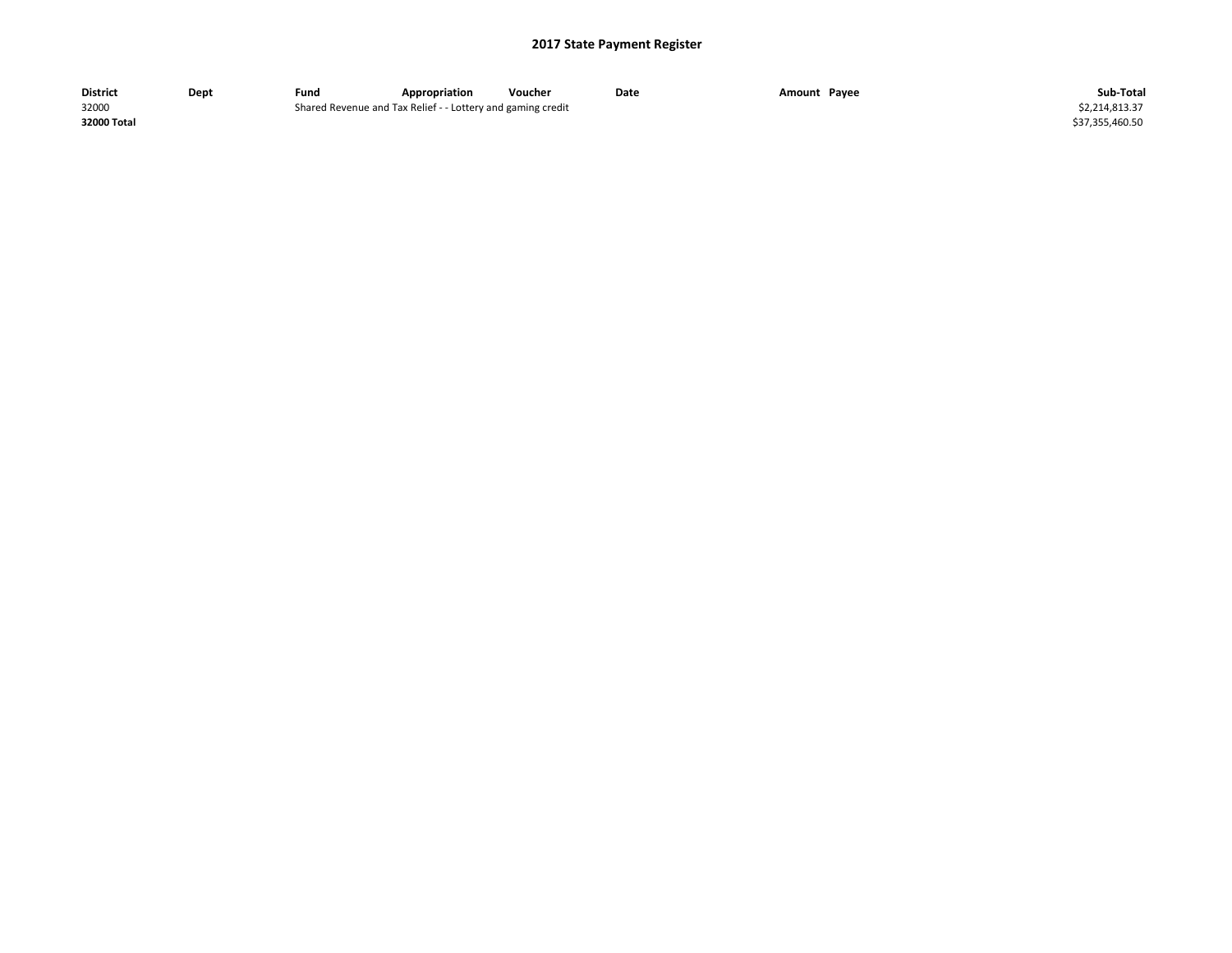| <b>District</b> | Dept | Fund | Appropriation                                               | Voucher | Date | Amount Payee | Sub-Total       |
|-----------------|------|------|-------------------------------------------------------------|---------|------|--------------|-----------------|
| 32000           |      |      | Shared Revenue and Tax Relief - - Lottery and gaming credit |         |      |              | \$2,214,813.37  |
| 32000 Total     |      |      |                                                             |         |      |              | \$37,355,460.50 |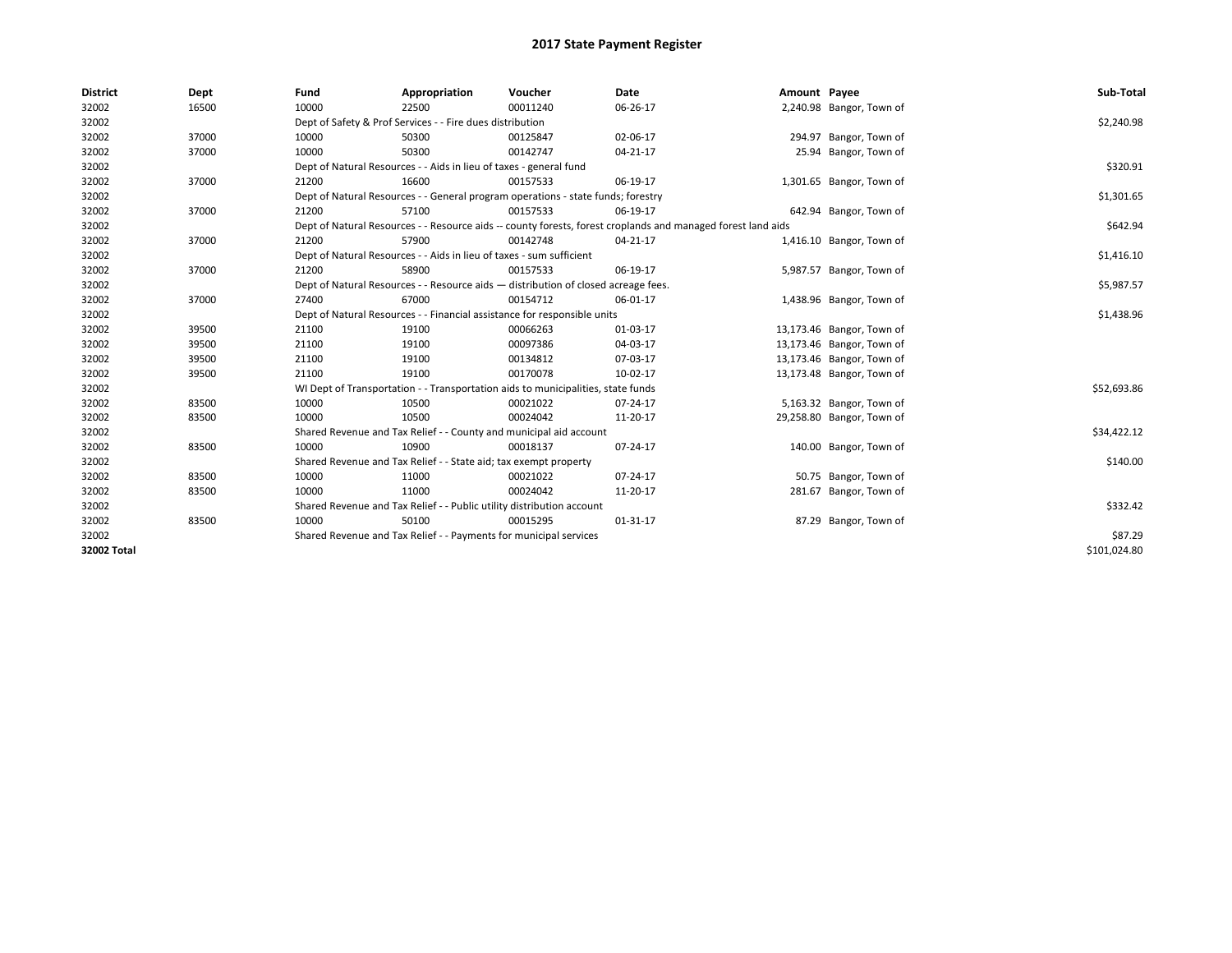| <b>District</b> | Dept  | Fund  | Appropriation                                                                                                | Voucher  | Date           | Amount Payee |                           | Sub-Total    |  |  |  |
|-----------------|-------|-------|--------------------------------------------------------------------------------------------------------------|----------|----------------|--------------|---------------------------|--------------|--|--|--|
| 32002           | 16500 | 10000 | 22500                                                                                                        | 00011240 | 06-26-17       |              | 2,240.98 Bangor, Town of  |              |  |  |  |
| 32002           |       |       | Dept of Safety & Prof Services - - Fire dues distribution                                                    |          |                |              |                           | \$2,240.98   |  |  |  |
| 32002           | 37000 | 10000 | 50300                                                                                                        | 00125847 | 02-06-17       |              | 294.97 Bangor, Town of    |              |  |  |  |
| 32002           | 37000 | 10000 | 50300                                                                                                        | 00142747 | $04 - 21 - 17$ |              | 25.94 Bangor, Town of     |              |  |  |  |
| 32002           |       |       | Dept of Natural Resources - - Aids in lieu of taxes - general fund                                           |          |                |              |                           | \$320.91     |  |  |  |
| 32002           | 37000 | 21200 | 16600                                                                                                        | 00157533 | 06-19-17       |              | 1,301.65 Bangor, Town of  |              |  |  |  |
| 32002           |       |       | Dept of Natural Resources - - General program operations - state funds; forestry                             |          |                |              |                           | \$1,301.65   |  |  |  |
| 32002           | 37000 | 21200 | 57100                                                                                                        | 00157533 | 06-19-17       |              | 642.94 Bangor, Town of    |              |  |  |  |
| 32002           |       |       | Dept of Natural Resources - - Resource aids -- county forests, forest croplands and managed forest land aids |          |                |              |                           |              |  |  |  |
| 32002           | 37000 | 21200 | 57900                                                                                                        | 00142748 | 04-21-17       |              | 1,416.10 Bangor, Town of  |              |  |  |  |
| 32002           |       |       | Dept of Natural Resources - - Aids in lieu of taxes - sum sufficient                                         |          |                |              |                           | \$1,416.10   |  |  |  |
| 32002           | 37000 | 21200 | 58900                                                                                                        | 00157533 | 06-19-17       |              | 5,987.57 Bangor, Town of  |              |  |  |  |
| 32002           |       |       | Dept of Natural Resources - - Resource aids - distribution of closed acreage fees.                           |          |                |              |                           |              |  |  |  |
| 32002           | 37000 | 27400 | 67000                                                                                                        | 00154712 | 06-01-17       |              | 1,438.96 Bangor, Town of  |              |  |  |  |
| 32002           |       |       | Dept of Natural Resources - - Financial assistance for responsible units                                     |          |                |              |                           |              |  |  |  |
| 32002           | 39500 | 21100 | 19100                                                                                                        | 00066263 | 01-03-17       |              | 13,173.46 Bangor, Town of |              |  |  |  |
| 32002           | 39500 | 21100 | 19100                                                                                                        | 00097386 | 04-03-17       |              | 13,173.46 Bangor, Town of |              |  |  |  |
| 32002           | 39500 | 21100 | 19100                                                                                                        | 00134812 | 07-03-17       |              | 13,173.46 Bangor, Town of |              |  |  |  |
| 32002           | 39500 | 21100 | 19100                                                                                                        | 00170078 | 10-02-17       |              | 13,173.48 Bangor, Town of |              |  |  |  |
| 32002           |       |       | WI Dept of Transportation - - Transportation aids to municipalities, state funds                             |          |                |              |                           | \$52,693.86  |  |  |  |
| 32002           | 83500 | 10000 | 10500                                                                                                        | 00021022 | $07 - 24 - 17$ |              | 5,163.32 Bangor, Town of  |              |  |  |  |
| 32002           | 83500 | 10000 | 10500                                                                                                        | 00024042 | 11-20-17       |              | 29,258.80 Bangor, Town of |              |  |  |  |
| 32002           |       |       | Shared Revenue and Tax Relief - - County and municipal aid account                                           |          |                |              |                           | \$34,422.12  |  |  |  |
| 32002           | 83500 | 10000 | 10900                                                                                                        | 00018137 | 07-24-17       |              | 140.00 Bangor, Town of    |              |  |  |  |
| 32002           |       |       | Shared Revenue and Tax Relief - - State aid; tax exempt property                                             |          |                |              |                           | \$140.00     |  |  |  |
| 32002           | 83500 | 10000 | 11000                                                                                                        | 00021022 | 07-24-17       |              | 50.75 Bangor, Town of     |              |  |  |  |
| 32002           | 83500 | 10000 | 11000                                                                                                        | 00024042 | 11-20-17       |              | 281.67 Bangor, Town of    |              |  |  |  |
| 32002           |       |       | Shared Revenue and Tax Relief - - Public utility distribution account                                        |          |                |              |                           | \$332.42     |  |  |  |
| 32002           | 83500 | 10000 | 50100                                                                                                        | 00015295 | 01-31-17       |              | 87.29 Bangor, Town of     |              |  |  |  |
| 32002           |       |       | Shared Revenue and Tax Relief - - Payments for municipal services                                            |          |                |              |                           | \$87.29      |  |  |  |
| 32002 Total     |       |       |                                                                                                              |          |                |              |                           | \$101,024.80 |  |  |  |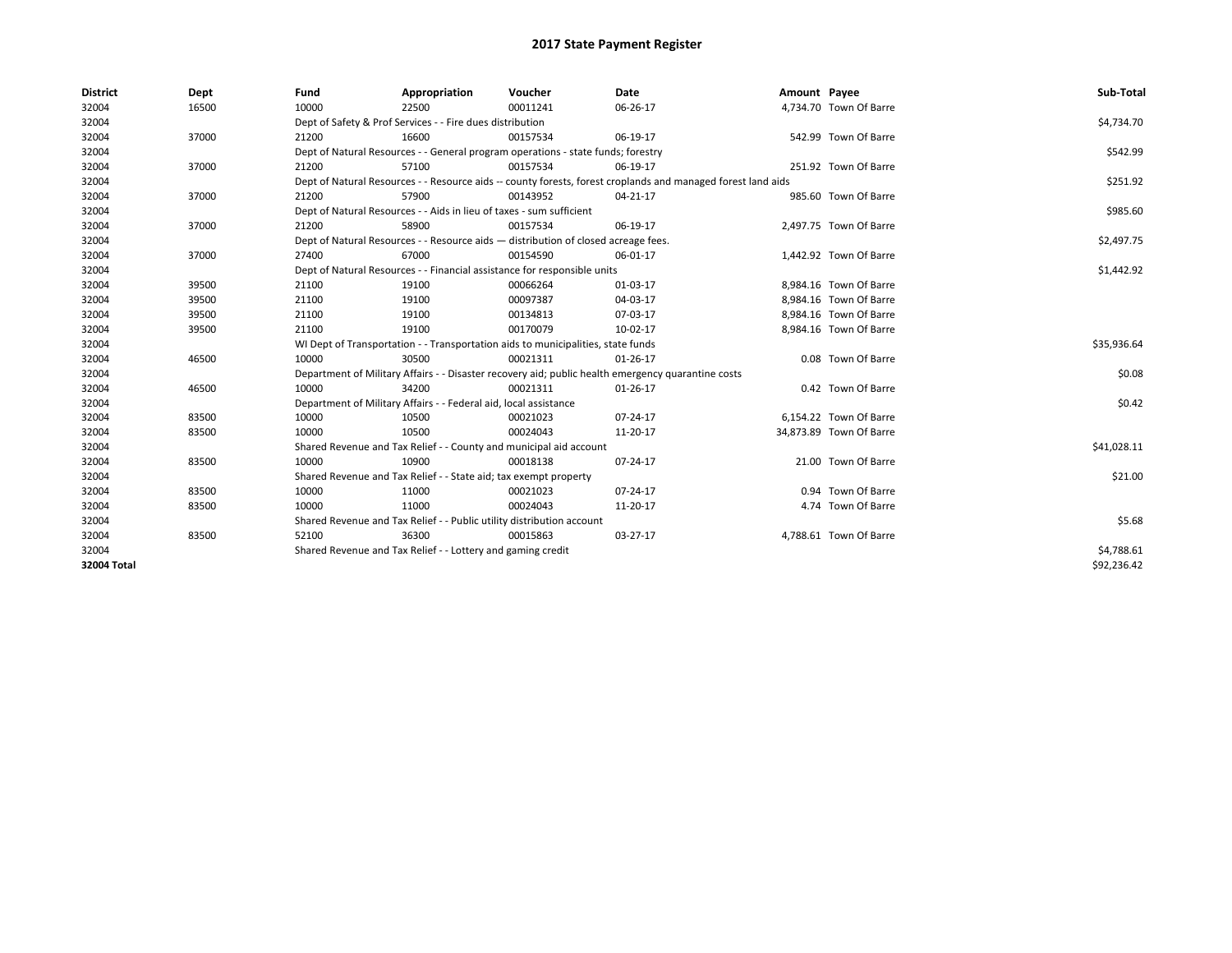| <b>District</b> | Dept  | Fund                                                                 | Appropriation                                                         | Voucher                                                                            | Date                                                                                                         | Amount Payee |                         | Sub-Total   |
|-----------------|-------|----------------------------------------------------------------------|-----------------------------------------------------------------------|------------------------------------------------------------------------------------|--------------------------------------------------------------------------------------------------------------|--------------|-------------------------|-------------|
| 32004           | 16500 | 10000                                                                | 22500                                                                 | 00011241                                                                           | 06-26-17                                                                                                     |              | 4,734.70 Town Of Barre  |             |
| 32004           |       |                                                                      | Dept of Safety & Prof Services - - Fire dues distribution             |                                                                                    |                                                                                                              |              |                         | \$4,734.70  |
| 32004           | 37000 | 21200                                                                | 16600                                                                 | 00157534                                                                           | 06-19-17                                                                                                     |              | 542.99 Town Of Barre    |             |
| 32004           |       |                                                                      |                                                                       | Dept of Natural Resources - - General program operations - state funds; forestry   |                                                                                                              |              |                         | \$542.99    |
| 32004           | 37000 | 21200                                                                | 57100                                                                 | 00157534                                                                           | 06-19-17                                                                                                     |              | 251.92 Town Of Barre    |             |
| 32004           |       |                                                                      |                                                                       |                                                                                    | Dept of Natural Resources - - Resource aids -- county forests, forest croplands and managed forest land aids |              |                         | \$251.92    |
| 32004           | 37000 | 21200                                                                | 57900                                                                 | 00143952                                                                           | 04-21-17                                                                                                     |              | 985.60 Town Of Barre    |             |
| 32004           |       | Dept of Natural Resources - - Aids in lieu of taxes - sum sufficient |                                                                       | \$985.60                                                                           |                                                                                                              |              |                         |             |
| 32004           | 37000 | 21200                                                                | 58900                                                                 | 00157534                                                                           | 06-19-17                                                                                                     |              | 2,497.75 Town Of Barre  |             |
| 32004           |       |                                                                      |                                                                       | Dept of Natural Resources - - Resource aids - distribution of closed acreage fees. |                                                                                                              |              |                         | \$2,497.75  |
| 32004           | 37000 | 27400                                                                | 67000                                                                 | 00154590                                                                           | 06-01-17                                                                                                     |              | 1,442.92 Town Of Barre  |             |
| 32004           |       |                                                                      |                                                                       | Dept of Natural Resources - - Financial assistance for responsible units           |                                                                                                              |              |                         | \$1,442.92  |
| 32004           | 39500 | 21100                                                                | 19100                                                                 | 00066264                                                                           | 01-03-17                                                                                                     |              | 8,984.16 Town Of Barre  |             |
| 32004           | 39500 | 21100                                                                | 19100                                                                 | 00097387                                                                           | 04-03-17                                                                                                     |              | 8,984.16 Town Of Barre  |             |
| 32004           | 39500 | 21100                                                                | 19100                                                                 | 00134813                                                                           | 07-03-17                                                                                                     |              | 8.984.16 Town Of Barre  |             |
| 32004           | 39500 | 21100                                                                | 19100                                                                 | 00170079                                                                           | 10-02-17                                                                                                     |              | 8,984.16 Town Of Barre  |             |
| 32004           |       |                                                                      |                                                                       | WI Dept of Transportation - - Transportation aids to municipalities, state funds   |                                                                                                              |              |                         | \$35,936.64 |
| 32004           | 46500 | 10000                                                                | 30500                                                                 | 00021311                                                                           | $01 - 26 - 17$                                                                                               |              | 0.08 Town Of Barre      |             |
| 32004           |       |                                                                      |                                                                       |                                                                                    | Department of Military Affairs - - Disaster recovery aid; public health emergency quarantine costs           |              |                         | \$0.08      |
| 32004           | 46500 | 10000                                                                | 34200                                                                 | 00021311                                                                           | $01 - 26 - 17$                                                                                               |              | 0.42 Town Of Barre      |             |
| 32004           |       |                                                                      | Department of Military Affairs - - Federal aid, local assistance      |                                                                                    |                                                                                                              |              |                         | \$0.42      |
| 32004           | 83500 | 10000                                                                | 10500                                                                 | 00021023                                                                           | 07-24-17                                                                                                     |              | 6,154.22 Town Of Barre  |             |
| 32004           | 83500 | 10000                                                                | 10500                                                                 | 00024043                                                                           | 11-20-17                                                                                                     |              | 34,873.89 Town Of Barre |             |
| 32004           |       |                                                                      |                                                                       | Shared Revenue and Tax Relief - - County and municipal aid account                 |                                                                                                              |              |                         | \$41,028.11 |
| 32004           | 83500 | 10000                                                                | 10900                                                                 | 00018138                                                                           | 07-24-17                                                                                                     |              | 21.00 Town Of Barre     |             |
| 32004           |       |                                                                      | Shared Revenue and Tax Relief - - State aid; tax exempt property      |                                                                                    |                                                                                                              |              |                         | \$21.00     |
| 32004           | 83500 | 10000                                                                | 11000                                                                 | 00021023                                                                           | 07-24-17                                                                                                     |              | 0.94 Town Of Barre      |             |
| 32004           | 83500 | 10000                                                                | 11000                                                                 | 00024043                                                                           | 11-20-17                                                                                                     |              | 4.74 Town Of Barre      |             |
| 32004           |       |                                                                      | Shared Revenue and Tax Relief - - Public utility distribution account |                                                                                    |                                                                                                              |              |                         | \$5.68      |
| 32004           | 83500 | 52100                                                                | 36300                                                                 | 00015863                                                                           | 03-27-17                                                                                                     |              | 4,788.61 Town Of Barre  |             |
| 32004           |       | Shared Revenue and Tax Relief - - Lottery and gaming credit          |                                                                       | \$4,788.61                                                                         |                                                                                                              |              |                         |             |
| 32004 Total     |       |                                                                      |                                                                       |                                                                                    |                                                                                                              |              |                         | \$92,236.42 |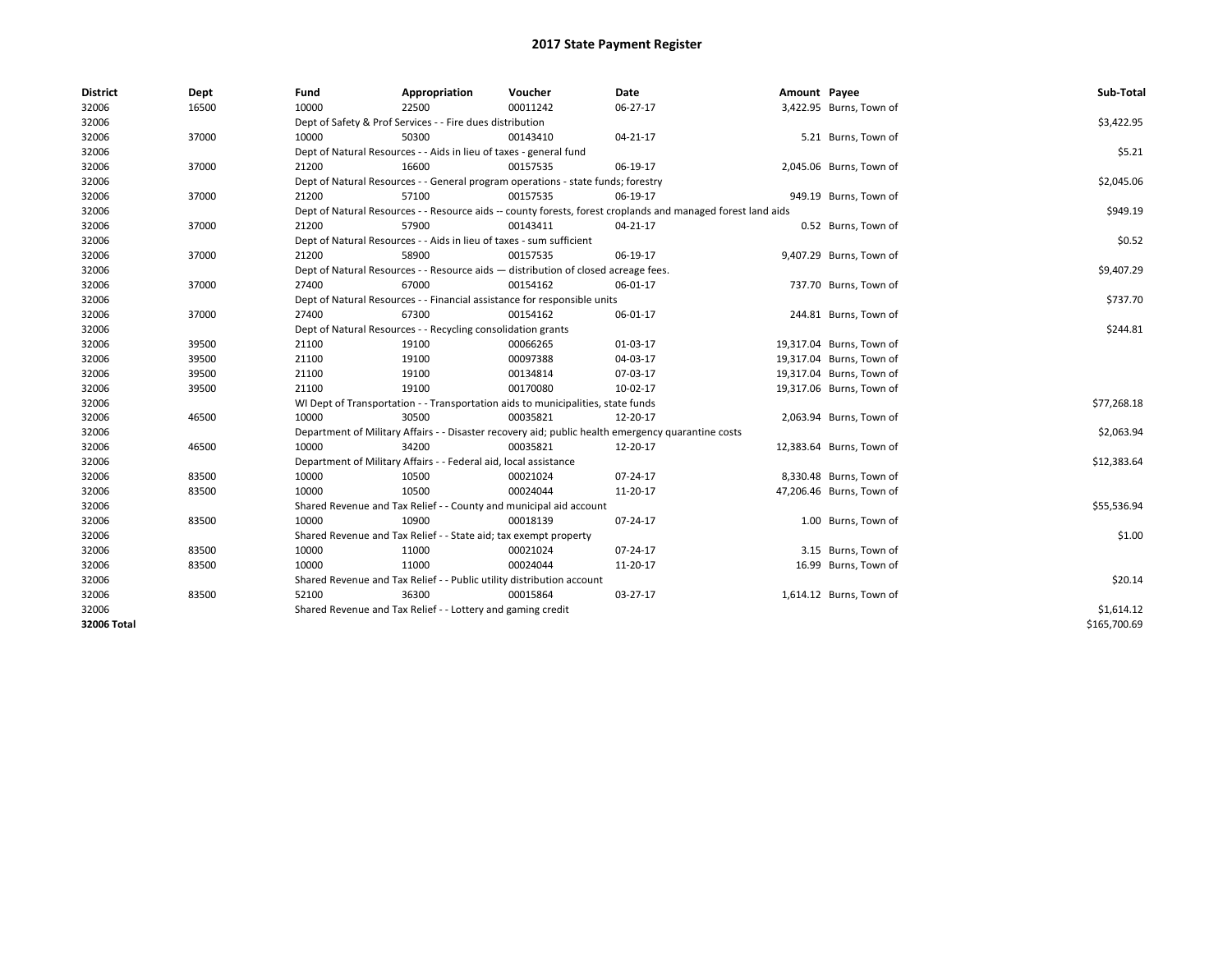| <b>District</b> | Dept  | Fund  | Appropriation                                                                                                | Voucher  | Date                                                                                               | Amount Payee |                          | Sub-Total    |  |  |  |
|-----------------|-------|-------|--------------------------------------------------------------------------------------------------------------|----------|----------------------------------------------------------------------------------------------------|--------------|--------------------------|--------------|--|--|--|
| 32006           | 16500 | 10000 | 22500                                                                                                        | 00011242 | 06-27-17                                                                                           |              | 3,422.95 Burns, Town of  |              |  |  |  |
| 32006           |       |       | Dept of Safety & Prof Services - - Fire dues distribution                                                    |          |                                                                                                    |              |                          | \$3,422.95   |  |  |  |
| 32006           | 37000 | 10000 | 50300                                                                                                        | 00143410 | 04-21-17                                                                                           |              | 5.21 Burns, Town of      |              |  |  |  |
| 32006           |       |       | Dept of Natural Resources - - Aids in lieu of taxes - general fund                                           |          |                                                                                                    |              |                          | \$5.21       |  |  |  |
| 32006           | 37000 | 21200 | 16600                                                                                                        | 00157535 | 06-19-17                                                                                           |              | 2,045.06 Burns, Town of  |              |  |  |  |
| 32006           |       |       | Dept of Natural Resources - - General program operations - state funds; forestry                             |          |                                                                                                    |              |                          |              |  |  |  |
| 32006           | 37000 | 21200 | 57100                                                                                                        | 00157535 | 06-19-17                                                                                           |              | 949.19 Burns, Town of    |              |  |  |  |
| 32006           |       |       | Dept of Natural Resources - - Resource aids -- county forests, forest croplands and managed forest land aids |          |                                                                                                    |              |                          |              |  |  |  |
| 32006           | 37000 | 21200 | 57900                                                                                                        | 00143411 | 04-21-17                                                                                           |              | 0.52 Burns, Town of      |              |  |  |  |
| 32006           |       |       | Dept of Natural Resources - - Aids in lieu of taxes - sum sufficient                                         |          |                                                                                                    |              |                          |              |  |  |  |
| 32006           | 37000 | 21200 | 58900                                                                                                        | 00157535 | 06-19-17                                                                                           |              | 9,407.29 Burns, Town of  |              |  |  |  |
| 32006           |       |       | Dept of Natural Resources - - Resource aids - distribution of closed acreage fees.                           |          |                                                                                                    |              |                          | \$9,407.29   |  |  |  |
| 32006           | 37000 | 27400 | 67000                                                                                                        | 00154162 | 06-01-17                                                                                           |              | 737.70 Burns, Town of    |              |  |  |  |
| 32006           |       |       | Dept of Natural Resources - - Financial assistance for responsible units                                     |          |                                                                                                    |              |                          | \$737.70     |  |  |  |
| 32006           | 37000 | 27400 | 67300                                                                                                        | 00154162 | 06-01-17                                                                                           |              | 244.81 Burns, Town of    |              |  |  |  |
| 32006           |       |       | Dept of Natural Resources - - Recycling consolidation grants                                                 |          |                                                                                                    |              |                          |              |  |  |  |
| 32006           | 39500 | 21100 | 19100                                                                                                        | 00066265 | 01-03-17                                                                                           |              | 19,317.04 Burns, Town of |              |  |  |  |
| 32006           | 39500 | 21100 | 19100                                                                                                        | 00097388 | 04-03-17                                                                                           |              | 19,317.04 Burns, Town of |              |  |  |  |
| 32006           | 39500 | 21100 | 19100                                                                                                        | 00134814 | 07-03-17                                                                                           |              | 19,317.04 Burns, Town of |              |  |  |  |
| 32006           | 39500 | 21100 | 19100                                                                                                        | 00170080 | 10-02-17                                                                                           |              | 19,317.06 Burns, Town of |              |  |  |  |
| 32006           |       |       | WI Dept of Transportation - - Transportation aids to municipalities, state funds                             |          |                                                                                                    |              |                          | \$77,268.18  |  |  |  |
| 32006           | 46500 | 10000 | 30500                                                                                                        | 00035821 | 12-20-17                                                                                           |              | 2,063.94 Burns, Town of  |              |  |  |  |
| 32006           |       |       |                                                                                                              |          | Department of Military Affairs - - Disaster recovery aid; public health emergency quarantine costs |              |                          | \$2,063.94   |  |  |  |
| 32006           | 46500 | 10000 | 34200                                                                                                        | 00035821 | 12-20-17                                                                                           |              | 12,383.64 Burns, Town of |              |  |  |  |
| 32006           |       |       | Department of Military Affairs - - Federal aid, local assistance                                             |          |                                                                                                    |              |                          | \$12,383.64  |  |  |  |
| 32006           | 83500 | 10000 | 10500                                                                                                        | 00021024 | 07-24-17                                                                                           |              | 8,330.48 Burns, Town of  |              |  |  |  |
| 32006           | 83500 | 10000 | 10500                                                                                                        | 00024044 | 11-20-17                                                                                           |              | 47,206.46 Burns, Town of |              |  |  |  |
| 32006           |       |       | Shared Revenue and Tax Relief - - County and municipal aid account                                           |          |                                                                                                    |              |                          | \$55,536.94  |  |  |  |
| 32006           | 83500 | 10000 | 10900                                                                                                        | 00018139 | 07-24-17                                                                                           |              | 1.00 Burns, Town of      |              |  |  |  |
| 32006           |       |       | Shared Revenue and Tax Relief - - State aid; tax exempt property                                             |          |                                                                                                    |              |                          | \$1.00       |  |  |  |
| 32006           | 83500 | 10000 | 11000                                                                                                        | 00021024 | 07-24-17                                                                                           |              | 3.15 Burns, Town of      |              |  |  |  |
| 32006           | 83500 | 10000 | 11000                                                                                                        | 00024044 | 11-20-17                                                                                           |              | 16.99 Burns, Town of     |              |  |  |  |
| 32006           |       |       | Shared Revenue and Tax Relief - - Public utility distribution account                                        |          |                                                                                                    |              |                          | \$20.14      |  |  |  |
| 32006           | 83500 | 52100 | 36300                                                                                                        | 00015864 | 03-27-17                                                                                           |              | 1,614.12 Burns, Town of  |              |  |  |  |
| 32006           |       |       | Shared Revenue and Tax Relief - - Lottery and gaming credit                                                  |          |                                                                                                    |              |                          | \$1,614.12   |  |  |  |
| 32006 Total     |       |       |                                                                                                              |          |                                                                                                    |              |                          | \$165,700.69 |  |  |  |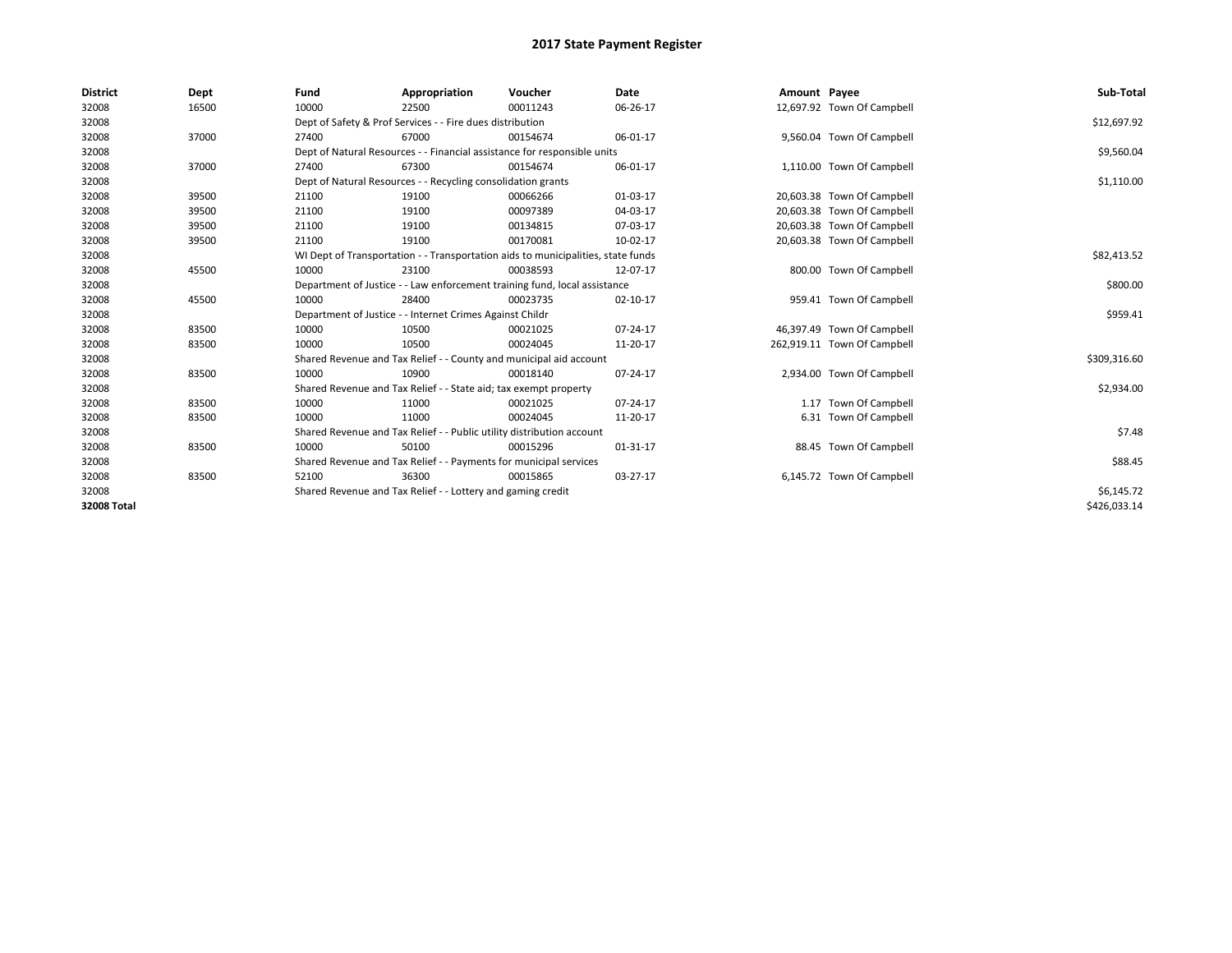| <b>District</b> | Dept  | Fund  | Appropriation                                                                    | Voucher  | <b>Date</b> | Amount Payee |                             | Sub-Total    |  |  |
|-----------------|-------|-------|----------------------------------------------------------------------------------|----------|-------------|--------------|-----------------------------|--------------|--|--|
| 32008           | 16500 | 10000 | 22500                                                                            | 00011243 | 06-26-17    |              | 12,697.92 Town Of Campbell  |              |  |  |
| 32008           |       |       | Dept of Safety & Prof Services - - Fire dues distribution                        |          |             |              |                             | \$12,697.92  |  |  |
| 32008           | 37000 | 27400 | 67000                                                                            | 00154674 | 06-01-17    |              | 9,560.04 Town Of Campbell   |              |  |  |
| 32008           |       |       | Dept of Natural Resources - - Financial assistance for responsible units         |          |             |              |                             | \$9,560.04   |  |  |
| 32008           | 37000 | 27400 | 67300                                                                            | 00154674 | 06-01-17    |              | 1,110.00 Town Of Campbell   |              |  |  |
| 32008           |       |       | Dept of Natural Resources - - Recycling consolidation grants                     |          |             |              |                             |              |  |  |
| 32008           | 39500 | 21100 | 19100                                                                            | 00066266 | 01-03-17    |              | 20,603.38 Town Of Campbell  |              |  |  |
| 32008           | 39500 | 21100 | 19100                                                                            | 00097389 | 04-03-17    |              | 20,603.38 Town Of Campbell  |              |  |  |
| 32008           | 39500 | 21100 | 19100                                                                            | 00134815 | 07-03-17    |              | 20,603.38 Town Of Campbell  |              |  |  |
| 32008           | 39500 | 21100 | 19100                                                                            | 00170081 | 10-02-17    |              | 20,603.38 Town Of Campbell  |              |  |  |
| 32008           |       |       | WI Dept of Transportation - - Transportation aids to municipalities, state funds |          |             |              |                             | \$82,413.52  |  |  |
| 32008           | 45500 | 10000 | 23100                                                                            | 00038593 | 12-07-17    |              | 800.00 Town Of Campbell     |              |  |  |
| 32008           |       |       | Department of Justice - - Law enforcement training fund, local assistance        |          |             |              |                             |              |  |  |
| 32008           | 45500 | 10000 | 28400                                                                            | 00023735 | 02-10-17    |              | 959.41 Town Of Campbell     |              |  |  |
| 32008           |       |       | Department of Justice - - Internet Crimes Against Childr                         |          |             |              |                             | \$959.41     |  |  |
| 32008           | 83500 | 10000 | 10500                                                                            | 00021025 | 07-24-17    |              | 46,397.49 Town Of Campbell  |              |  |  |
| 32008           | 83500 | 10000 | 10500                                                                            | 00024045 | 11-20-17    |              | 262,919.11 Town Of Campbell |              |  |  |
| 32008           |       |       | Shared Revenue and Tax Relief - - County and municipal aid account               |          |             |              |                             | \$309,316.60 |  |  |
| 32008           | 83500 | 10000 | 10900                                                                            | 00018140 | 07-24-17    |              | 2,934.00 Town Of Campbell   |              |  |  |
| 32008           |       |       | Shared Revenue and Tax Relief - - State aid; tax exempt property                 |          |             |              |                             | \$2,934.00   |  |  |
| 32008           | 83500 | 10000 | 11000                                                                            | 00021025 | 07-24-17    |              | 1.17 Town Of Campbell       |              |  |  |
| 32008           | 83500 | 10000 | 11000                                                                            | 00024045 | 11-20-17    |              | 6.31 Town Of Campbell       |              |  |  |
| 32008           |       |       | Shared Revenue and Tax Relief - - Public utility distribution account            |          |             |              |                             | \$7.48       |  |  |
| 32008           | 83500 | 10000 | 50100                                                                            | 00015296 | 01-31-17    |              | 88.45 Town Of Campbell      |              |  |  |
| 32008           |       |       | Shared Revenue and Tax Relief - - Payments for municipal services                |          |             |              |                             | \$88.45      |  |  |
| 32008           | 83500 | 52100 | 36300                                                                            | 00015865 | 03-27-17    |              | 6,145.72 Town Of Campbell   |              |  |  |
| 32008           |       |       | Shared Revenue and Tax Relief - - Lottery and gaming credit                      |          |             |              |                             |              |  |  |
| 32008 Total     |       |       |                                                                                  |          |             |              |                             | \$426,033.14 |  |  |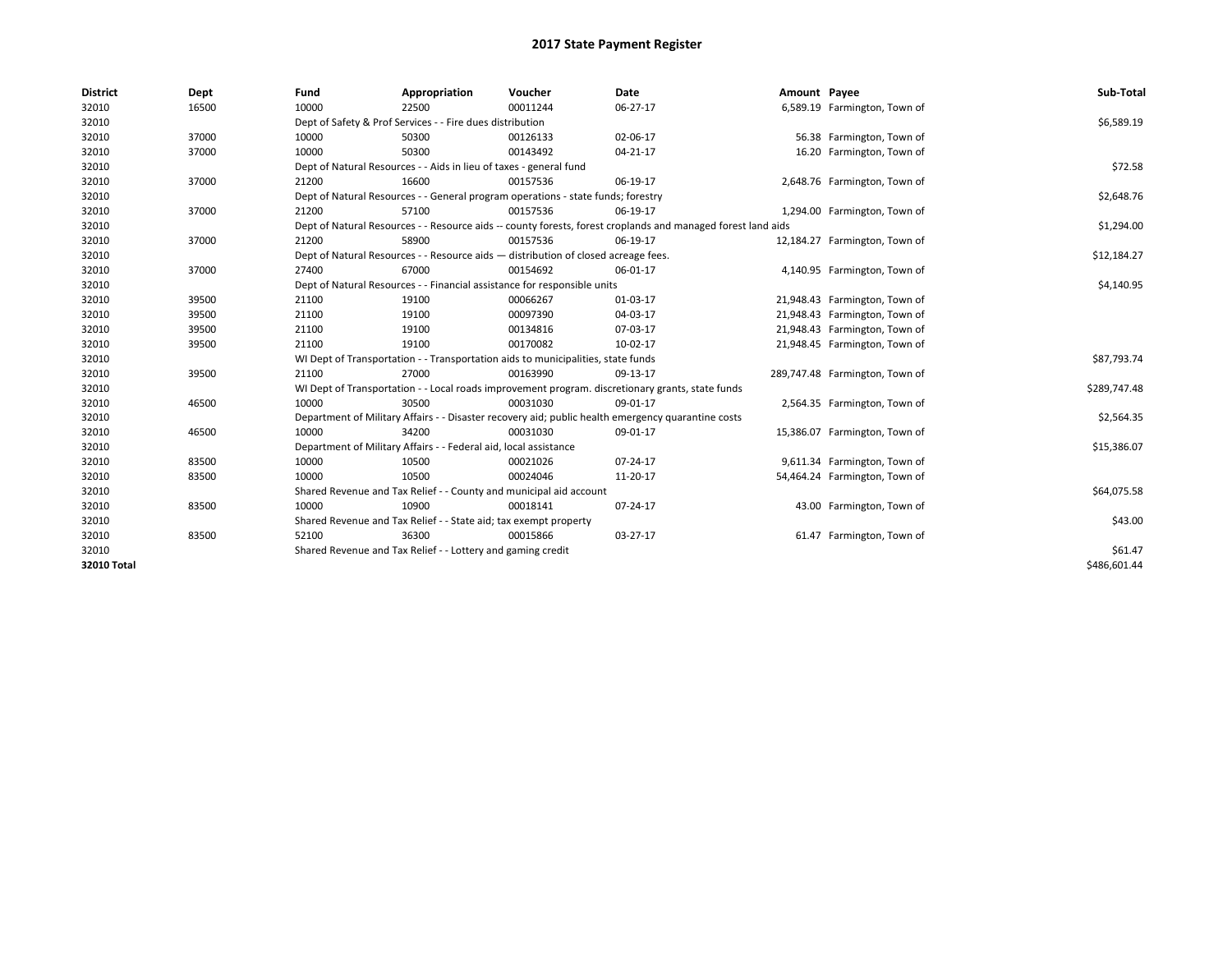| <b>District</b> | Dept  | Fund  | Appropriation                                                                                                | Voucher  | <b>Date</b> | Amount Payee |                                | Sub-Total    |  |  |
|-----------------|-------|-------|--------------------------------------------------------------------------------------------------------------|----------|-------------|--------------|--------------------------------|--------------|--|--|
| 32010           | 16500 | 10000 | 22500                                                                                                        | 00011244 | 06-27-17    |              | 6,589.19 Farmington, Town of   |              |  |  |
| 32010           |       |       | Dept of Safety & Prof Services - - Fire dues distribution                                                    |          |             |              |                                | \$6,589.19   |  |  |
| 32010           | 37000 | 10000 | 50300                                                                                                        | 00126133 | 02-06-17    |              | 56.38 Farmington, Town of      |              |  |  |
| 32010           | 37000 | 10000 | 50300                                                                                                        | 00143492 | 04-21-17    |              | 16.20 Farmington, Town of      |              |  |  |
| 32010           |       |       | Dept of Natural Resources - - Aids in lieu of taxes - general fund                                           |          |             |              |                                | \$72.58      |  |  |
| 32010           | 37000 | 21200 | 16600                                                                                                        | 00157536 | 06-19-17    |              | 2,648.76 Farmington, Town of   |              |  |  |
| 32010           |       |       | Dept of Natural Resources - - General program operations - state funds; forestry                             |          |             |              |                                | \$2,648.76   |  |  |
| 32010           | 37000 | 21200 | 57100                                                                                                        | 00157536 | 06-19-17    |              | 1,294.00 Farmington, Town of   |              |  |  |
| 32010           |       |       | Dept of Natural Resources - - Resource aids -- county forests, forest croplands and managed forest land aids |          |             |              |                                |              |  |  |
| 32010           | 37000 | 21200 | 58900                                                                                                        | 00157536 | 06-19-17    |              | 12,184.27 Farmington, Town of  |              |  |  |
| 32010           |       |       | Dept of Natural Resources - - Resource aids - distribution of closed acreage fees.                           |          |             |              |                                | \$12,184.27  |  |  |
| 32010           | 37000 | 27400 | 67000                                                                                                        | 00154692 | 06-01-17    |              | 4,140.95 Farmington, Town of   |              |  |  |
| 32010           |       |       | Dept of Natural Resources - - Financial assistance for responsible units                                     |          |             |              |                                | \$4,140.95   |  |  |
| 32010           | 39500 | 21100 | 19100                                                                                                        | 00066267 | 01-03-17    |              | 21,948.43 Farmington, Town of  |              |  |  |
| 32010           | 39500 | 21100 | 19100                                                                                                        | 00097390 | 04-03-17    |              | 21,948.43 Farmington, Town of  |              |  |  |
| 32010           | 39500 | 21100 | 19100                                                                                                        | 00134816 | 07-03-17    |              | 21,948.43 Farmington, Town of  |              |  |  |
| 32010           | 39500 | 21100 | 19100                                                                                                        | 00170082 | 10-02-17    |              | 21,948.45 Farmington, Town of  |              |  |  |
| 32010           |       |       | WI Dept of Transportation - - Transportation aids to municipalities, state funds                             |          |             |              |                                | \$87,793.74  |  |  |
| 32010           | 39500 | 21100 | 27000                                                                                                        | 00163990 | 09-13-17    |              | 289,747.48 Farmington, Town of |              |  |  |
| 32010           |       |       | WI Dept of Transportation - - Local roads improvement program. discretionary grants, state funds             |          |             |              |                                | \$289,747.48 |  |  |
| 32010           | 46500 | 10000 | 30500                                                                                                        | 00031030 | 09-01-17    |              | 2,564.35 Farmington, Town of   |              |  |  |
| 32010           |       |       | Department of Military Affairs - - Disaster recovery aid; public health emergency quarantine costs           |          |             |              |                                | \$2,564.35   |  |  |
| 32010           | 46500 | 10000 | 34200                                                                                                        | 00031030 | 09-01-17    |              | 15,386.07 Farmington, Town of  |              |  |  |
| 32010           |       |       | Department of Military Affairs - - Federal aid, local assistance                                             |          |             |              |                                | \$15,386.07  |  |  |
| 32010           | 83500 | 10000 | 10500                                                                                                        | 00021026 | 07-24-17    |              | 9,611.34 Farmington, Town of   |              |  |  |
| 32010           | 83500 | 10000 | 10500                                                                                                        | 00024046 | 11-20-17    |              | 54,464.24 Farmington, Town of  |              |  |  |
| 32010           |       |       | Shared Revenue and Tax Relief - - County and municipal aid account                                           |          |             |              |                                | \$64,075.58  |  |  |
| 32010           | 83500 | 10000 | 10900                                                                                                        | 00018141 | 07-24-17    |              | 43.00 Farmington, Town of      |              |  |  |
| 32010           |       |       | Shared Revenue and Tax Relief - - State aid; tax exempt property                                             |          |             |              |                                | \$43.00      |  |  |
| 32010           | 83500 | 52100 | 36300                                                                                                        | 00015866 | 03-27-17    |              | 61.47 Farmington, Town of      |              |  |  |
| 32010           |       |       | Shared Revenue and Tax Relief - - Lottery and gaming credit                                                  |          |             |              |                                | \$61.47      |  |  |
| 32010 Total     |       |       |                                                                                                              |          |             |              |                                | \$486,601.44 |  |  |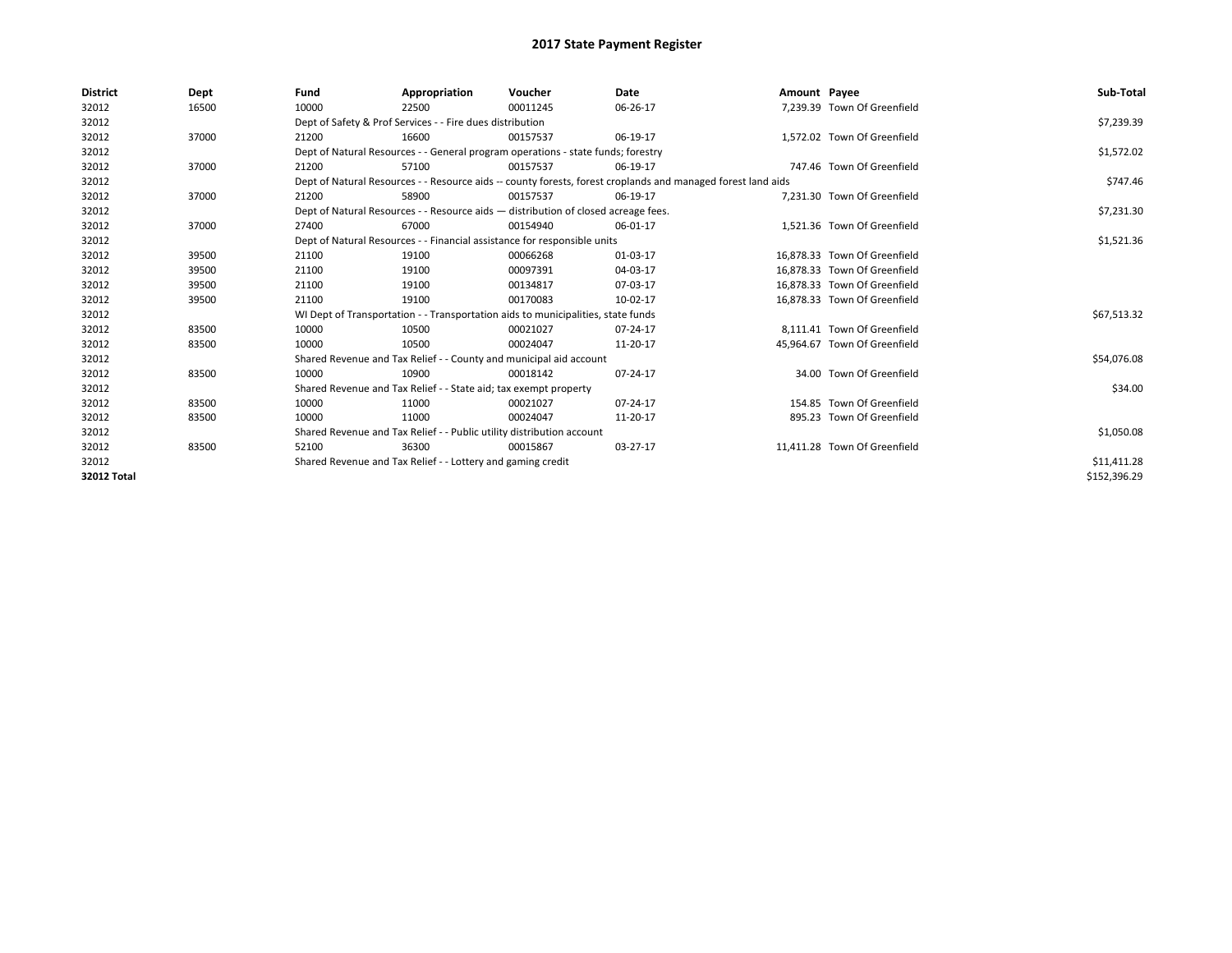| <b>District</b> | Dept  | Fund                                                        | Appropriation                                                                                                | Voucher                                                                            | Date           | Amount Payee |                              | Sub-Total    |  |  |  |
|-----------------|-------|-------------------------------------------------------------|--------------------------------------------------------------------------------------------------------------|------------------------------------------------------------------------------------|----------------|--------------|------------------------------|--------------|--|--|--|
| 32012           | 16500 | 10000                                                       | 22500                                                                                                        | 00011245                                                                           | 06-26-17       |              | 7.239.39 Town Of Greenfield  |              |  |  |  |
| 32012           |       |                                                             | Dept of Safety & Prof Services - - Fire dues distribution                                                    |                                                                                    |                |              |                              | \$7,239.39   |  |  |  |
| 32012           | 37000 | 21200                                                       | 16600                                                                                                        | 00157537                                                                           | 06-19-17       |              | 1.572.02 Town Of Greenfield  |              |  |  |  |
| 32012           |       |                                                             | Dept of Natural Resources - - General program operations - state funds; forestry                             |                                                                                    |                |              |                              |              |  |  |  |
| 32012           | 37000 | 21200                                                       | 57100                                                                                                        | 00157537                                                                           | 06-19-17       |              | 747.46 Town Of Greenfield    |              |  |  |  |
| 32012           |       |                                                             | Dept of Natural Resources - - Resource aids -- county forests, forest croplands and managed forest land aids |                                                                                    |                |              |                              |              |  |  |  |
| 32012           | 37000 | 21200                                                       | 58900                                                                                                        | 00157537                                                                           | 06-19-17       |              | 7,231.30 Town Of Greenfield  |              |  |  |  |
| 32012           |       |                                                             |                                                                                                              | Dept of Natural Resources - - Resource aids - distribution of closed acreage fees. |                |              |                              | \$7,231.30   |  |  |  |
| 32012           | 37000 | 27400                                                       | 67000                                                                                                        | 00154940                                                                           | 06-01-17       |              | 1,521.36 Town Of Greenfield  |              |  |  |  |
| 32012           |       |                                                             |                                                                                                              | Dept of Natural Resources - - Financial assistance for responsible units           |                |              |                              | \$1,521.36   |  |  |  |
| 32012           | 39500 | 21100                                                       | 19100                                                                                                        | 00066268                                                                           | 01-03-17       |              | 16.878.33 Town Of Greenfield |              |  |  |  |
| 32012           | 39500 | 21100                                                       | 19100                                                                                                        | 00097391                                                                           | 04-03-17       |              | 16.878.33 Town Of Greenfield |              |  |  |  |
| 32012           | 39500 | 21100                                                       | 19100                                                                                                        | 00134817                                                                           | 07-03-17       |              | 16,878.33 Town Of Greenfield |              |  |  |  |
| 32012           | 39500 | 21100                                                       | 19100                                                                                                        | 00170083                                                                           | 10-02-17       |              | 16,878.33 Town Of Greenfield |              |  |  |  |
| 32012           |       |                                                             |                                                                                                              | WI Dept of Transportation - - Transportation aids to municipalities, state funds   |                |              |                              | \$67,513.32  |  |  |  |
| 32012           | 83500 | 10000                                                       | 10500                                                                                                        | 00021027                                                                           | 07-24-17       |              | 8.111.41 Town Of Greenfield  |              |  |  |  |
| 32012           | 83500 | 10000                                                       | 10500                                                                                                        | 00024047                                                                           | 11-20-17       |              | 45,964.67 Town Of Greenfield |              |  |  |  |
| 32012           |       |                                                             | Shared Revenue and Tax Relief - - County and municipal aid account                                           |                                                                                    |                |              |                              | \$54,076.08  |  |  |  |
| 32012           | 83500 | 10000                                                       | 10900                                                                                                        | 00018142                                                                           | $07 - 24 - 17$ |              | 34.00 Town Of Greenfield     |              |  |  |  |
| 32012           |       |                                                             | Shared Revenue and Tax Relief - - State aid; tax exempt property                                             |                                                                                    |                |              |                              | \$34.00      |  |  |  |
| 32012           | 83500 | 10000                                                       | 11000                                                                                                        | 00021027                                                                           | 07-24-17       |              | 154.85 Town Of Greenfield    |              |  |  |  |
| 32012           | 83500 | 10000                                                       | 11000                                                                                                        | 00024047                                                                           | 11-20-17       |              | 895.23 Town Of Greenfield    |              |  |  |  |
| 32012           |       |                                                             | Shared Revenue and Tax Relief - - Public utility distribution account                                        |                                                                                    |                |              |                              | \$1,050.08   |  |  |  |
| 32012           | 83500 | 52100                                                       | 36300                                                                                                        | 00015867                                                                           | 03-27-17       |              | 11,411.28 Town Of Greenfield |              |  |  |  |
| 32012           |       | Shared Revenue and Tax Relief - - Lottery and gaming credit |                                                                                                              | \$11,411.28                                                                        |                |              |                              |              |  |  |  |
| 32012 Total     |       |                                                             |                                                                                                              |                                                                                    |                |              |                              | \$152,396.29 |  |  |  |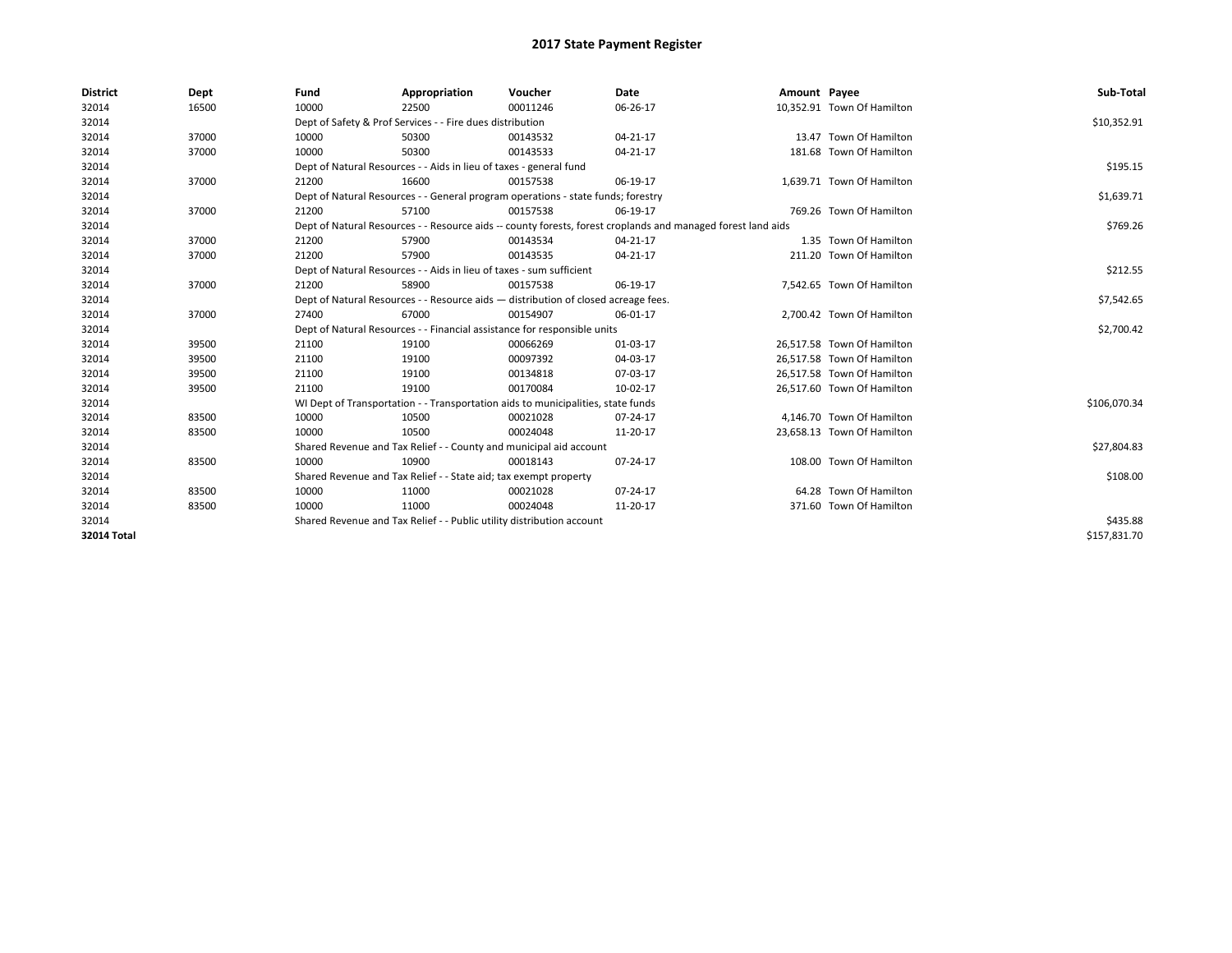| <b>District</b> | Dept  | Fund  | Appropriation                                                                      | Voucher  | Date                                                                                                         | Amount Payee |                            | Sub-Total    |  |
|-----------------|-------|-------|------------------------------------------------------------------------------------|----------|--------------------------------------------------------------------------------------------------------------|--------------|----------------------------|--------------|--|
| 32014           | 16500 | 10000 | 22500                                                                              | 00011246 | 06-26-17                                                                                                     |              | 10,352.91 Town Of Hamilton |              |  |
| 32014           |       |       | Dept of Safety & Prof Services - - Fire dues distribution                          |          |                                                                                                              |              |                            | \$10,352.91  |  |
| 32014           | 37000 | 10000 | 50300                                                                              | 00143532 | 04-21-17                                                                                                     |              | 13.47 Town Of Hamilton     |              |  |
| 32014           | 37000 | 10000 | 50300                                                                              | 00143533 | 04-21-17                                                                                                     |              | 181.68 Town Of Hamilton    |              |  |
| 32014           |       |       | Dept of Natural Resources - - Aids in lieu of taxes - general fund                 |          |                                                                                                              |              |                            | \$195.15     |  |
| 32014           | 37000 | 21200 | 16600                                                                              | 00157538 | 06-19-17                                                                                                     |              | 1,639.71 Town Of Hamilton  |              |  |
| 32014           |       |       | Dept of Natural Resources - - General program operations - state funds; forestry   |          |                                                                                                              |              |                            |              |  |
| 32014           | 37000 | 21200 | 57100                                                                              | 00157538 | 06-19-17                                                                                                     |              | 769.26 Town Of Hamilton    |              |  |
| 32014           |       |       |                                                                                    |          | Dept of Natural Resources - - Resource aids -- county forests, forest croplands and managed forest land aids |              |                            | \$769.26     |  |
| 32014           | 37000 | 21200 | 57900                                                                              | 00143534 | 04-21-17                                                                                                     |              | 1.35 Town Of Hamilton      |              |  |
| 32014           | 37000 | 21200 | 57900                                                                              | 00143535 | 04-21-17                                                                                                     |              | 211.20 Town Of Hamilton    |              |  |
| 32014           |       |       | Dept of Natural Resources - - Aids in lieu of taxes - sum sufficient               |          |                                                                                                              |              |                            | \$212.55     |  |
| 32014           | 37000 | 21200 | 58900                                                                              | 00157538 | 06-19-17                                                                                                     |              | 7,542.65 Town Of Hamilton  |              |  |
| 32014           |       |       | Dept of Natural Resources - - Resource aids - distribution of closed acreage fees. |          |                                                                                                              |              |                            |              |  |
| 32014           | 37000 | 27400 | 67000                                                                              | 00154907 | 06-01-17                                                                                                     |              | 2,700.42 Town Of Hamilton  |              |  |
| 32014           |       |       | Dept of Natural Resources - - Financial assistance for responsible units           |          |                                                                                                              |              |                            | \$2,700.42   |  |
| 32014           | 39500 | 21100 | 19100                                                                              | 00066269 | 01-03-17                                                                                                     |              | 26,517.58 Town Of Hamilton |              |  |
| 32014           | 39500 | 21100 | 19100                                                                              | 00097392 | 04-03-17                                                                                                     |              | 26.517.58 Town Of Hamilton |              |  |
| 32014           | 39500 | 21100 | 19100                                                                              | 00134818 | 07-03-17                                                                                                     |              | 26,517.58 Town Of Hamilton |              |  |
| 32014           | 39500 | 21100 | 19100                                                                              | 00170084 | 10-02-17                                                                                                     |              | 26.517.60 Town Of Hamilton |              |  |
| 32014           |       |       | WI Dept of Transportation - - Transportation aids to municipalities, state funds   |          |                                                                                                              |              |                            | \$106,070.34 |  |
| 32014           | 83500 | 10000 | 10500                                                                              | 00021028 | 07-24-17                                                                                                     |              | 4,146.70 Town Of Hamilton  |              |  |
| 32014           | 83500 | 10000 | 10500                                                                              | 00024048 | 11-20-17                                                                                                     |              | 23,658.13 Town Of Hamilton |              |  |
| 32014           |       |       | Shared Revenue and Tax Relief - - County and municipal aid account                 |          |                                                                                                              |              |                            | \$27,804.83  |  |
| 32014           | 83500 | 10000 | 10900                                                                              | 00018143 | 07-24-17                                                                                                     |              | 108.00 Town Of Hamilton    |              |  |
| 32014           |       |       | Shared Revenue and Tax Relief - - State aid; tax exempt property                   |          |                                                                                                              |              |                            | \$108.00     |  |
| 32014           | 83500 | 10000 | 11000                                                                              | 00021028 | 07-24-17                                                                                                     |              | 64.28 Town Of Hamilton     |              |  |
| 32014           | 83500 | 10000 | 11000                                                                              | 00024048 | 11-20-17                                                                                                     |              | 371.60 Town Of Hamilton    |              |  |
| 32014           |       |       | Shared Revenue and Tax Relief - - Public utility distribution account              |          |                                                                                                              |              |                            | \$435.88     |  |
| 32014 Total     |       |       |                                                                                    |          |                                                                                                              |              |                            | \$157,831.70 |  |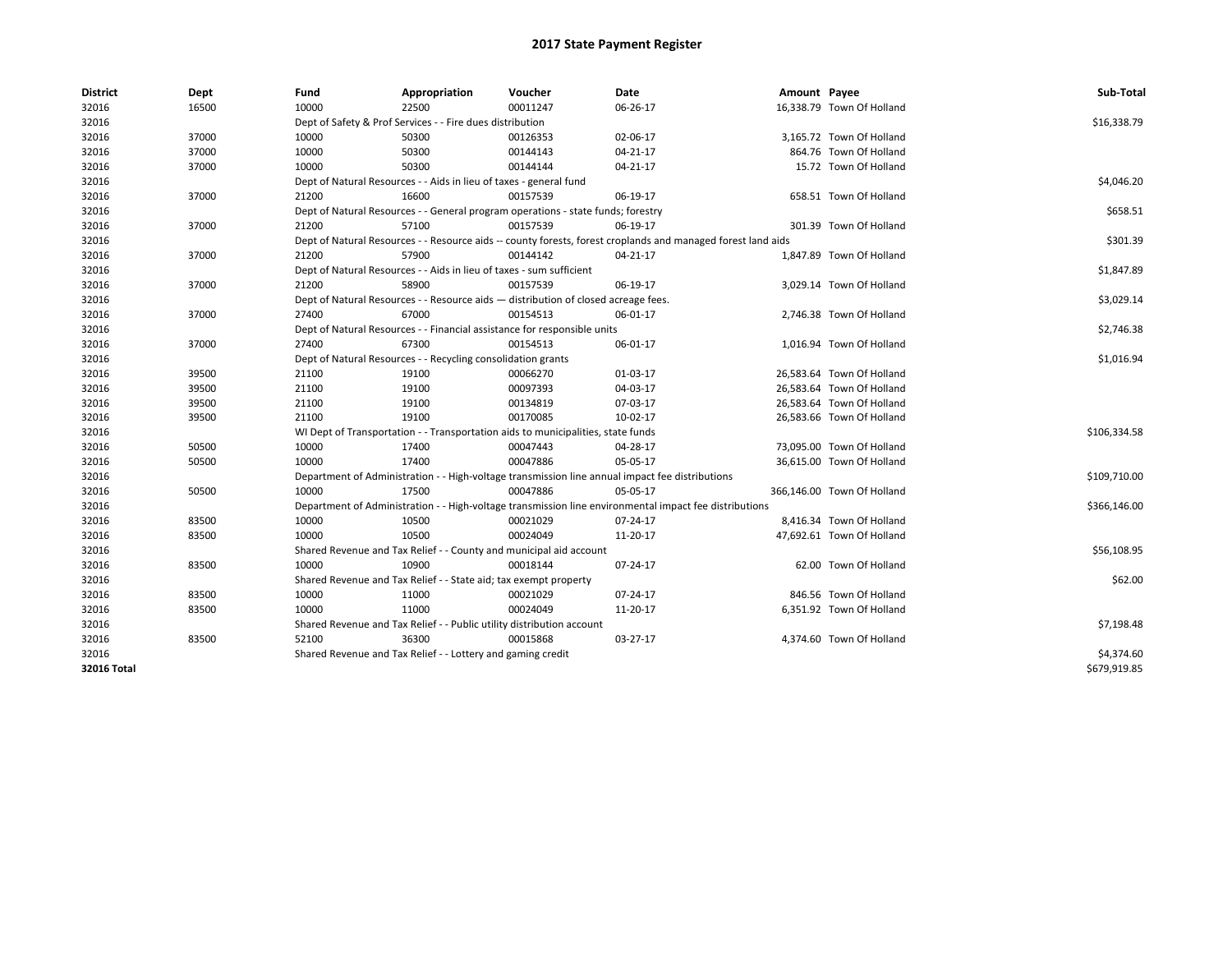| <b>District</b> | Dept  | Fund  | Appropriation                                                                                                | Voucher  | Date     | Amount Payee |                            | Sub-Total    |  |
|-----------------|-------|-------|--------------------------------------------------------------------------------------------------------------|----------|----------|--------------|----------------------------|--------------|--|
| 32016           | 16500 | 10000 | 22500                                                                                                        | 00011247 | 06-26-17 |              | 16,338.79 Town Of Holland  |              |  |
| 32016           |       |       | Dept of Safety & Prof Services - - Fire dues distribution                                                    |          |          |              |                            | \$16,338.79  |  |
| 32016           | 37000 | 10000 | 50300                                                                                                        | 00126353 | 02-06-17 |              | 3,165.72 Town Of Holland   |              |  |
| 32016           | 37000 | 10000 | 50300                                                                                                        | 00144143 | 04-21-17 |              | 864.76 Town Of Holland     |              |  |
| 32016           | 37000 | 10000 | 50300                                                                                                        | 00144144 | 04-21-17 |              | 15.72 Town Of Holland      |              |  |
| 32016           |       |       | Dept of Natural Resources - - Aids in lieu of taxes - general fund                                           |          |          |              |                            | \$4,046.20   |  |
| 32016           | 37000 | 21200 | 16600                                                                                                        | 00157539 | 06-19-17 |              | 658.51 Town Of Holland     |              |  |
| 32016           |       |       | Dept of Natural Resources - - General program operations - state funds; forestry                             |          |          |              |                            |              |  |
| 32016           | 37000 | 21200 | 57100                                                                                                        | 00157539 | 06-19-17 |              | 301.39 Town Of Holland     |              |  |
| 32016           |       |       | Dept of Natural Resources - - Resource aids -- county forests, forest croplands and managed forest land aids |          | \$301.39 |              |                            |              |  |
| 32016           | 37000 | 21200 | 57900                                                                                                        | 00144142 | 04-21-17 |              | 1,847.89 Town Of Holland   |              |  |
| 32016           |       |       | Dept of Natural Resources - - Aids in lieu of taxes - sum sufficient                                         |          |          |              |                            | \$1,847.89   |  |
| 32016           | 37000 | 21200 | 58900                                                                                                        | 00157539 | 06-19-17 |              | 3,029.14 Town Of Holland   |              |  |
| 32016           |       |       | Dept of Natural Resources - - Resource aids - distribution of closed acreage fees.                           |          |          |              |                            | \$3,029.14   |  |
| 32016           | 37000 | 27400 | 67000                                                                                                        | 00154513 | 06-01-17 |              | 2,746.38 Town Of Holland   |              |  |
| 32016           |       |       | Dept of Natural Resources - - Financial assistance for responsible units                                     |          |          |              |                            | \$2,746.38   |  |
| 32016           | 37000 | 27400 | 67300                                                                                                        | 00154513 | 06-01-17 |              | 1,016.94 Town Of Holland   |              |  |
| 32016           |       |       | Dept of Natural Resources - - Recycling consolidation grants                                                 |          |          |              |                            | \$1,016.94   |  |
| 32016           | 39500 | 21100 | 19100                                                                                                        | 00066270 | 01-03-17 |              | 26,583.64 Town Of Holland  |              |  |
| 32016           | 39500 | 21100 | 19100                                                                                                        | 00097393 | 04-03-17 |              | 26,583.64 Town Of Holland  |              |  |
| 32016           | 39500 | 21100 | 19100                                                                                                        | 00134819 | 07-03-17 |              | 26,583.64 Town Of Holland  |              |  |
| 32016           | 39500 | 21100 | 19100                                                                                                        | 00170085 | 10-02-17 |              | 26,583.66 Town Of Holland  |              |  |
| 32016           |       |       | WI Dept of Transportation - - Transportation aids to municipalities, state funds                             |          |          |              |                            | \$106,334.58 |  |
| 32016           | 50500 | 10000 | 17400                                                                                                        | 00047443 | 04-28-17 |              | 73,095.00 Town Of Holland  |              |  |
| 32016           | 50500 | 10000 | 17400                                                                                                        | 00047886 | 05-05-17 |              | 36,615.00 Town Of Holland  |              |  |
| 32016           |       |       | Department of Administration - - High-voltage transmission line annual impact fee distributions              |          |          |              |                            | \$109,710.00 |  |
| 32016           | 50500 | 10000 | 17500                                                                                                        | 00047886 | 05-05-17 |              | 366,146.00 Town Of Holland |              |  |
| 32016           |       |       | Department of Administration - - High-voltage transmission line environmental impact fee distributions       |          |          |              |                            | \$366,146.00 |  |
| 32016           | 83500 | 10000 | 10500                                                                                                        | 00021029 | 07-24-17 |              | 8,416.34 Town Of Holland   |              |  |
| 32016           | 83500 | 10000 | 10500                                                                                                        | 00024049 | 11-20-17 |              | 47,692.61 Town Of Holland  |              |  |
| 32016           |       |       | Shared Revenue and Tax Relief - - County and municipal aid account                                           |          |          |              |                            | \$56,108.95  |  |
| 32016           | 83500 | 10000 | 10900                                                                                                        | 00018144 | 07-24-17 |              | 62.00 Town Of Holland      |              |  |
| 32016           |       |       | Shared Revenue and Tax Relief - - State aid; tax exempt property                                             |          |          |              |                            | \$62.00      |  |
| 32016           | 83500 | 10000 | 11000                                                                                                        | 00021029 | 07-24-17 |              | 846.56 Town Of Holland     |              |  |
| 32016           | 83500 | 10000 | 11000                                                                                                        | 00024049 | 11-20-17 |              | 6,351.92 Town Of Holland   |              |  |
| 32016           |       |       | Shared Revenue and Tax Relief - - Public utility distribution account                                        |          |          |              |                            | \$7,198.48   |  |
| 32016           | 83500 | 52100 | 36300                                                                                                        | 00015868 | 03-27-17 |              | 4.374.60 Town Of Holland   |              |  |
| 32016           |       |       | Shared Revenue and Tax Relief - - Lottery and gaming credit                                                  |          |          |              |                            | \$4,374.60   |  |
| 32016 Total     |       |       |                                                                                                              |          |          |              |                            | \$679,919.85 |  |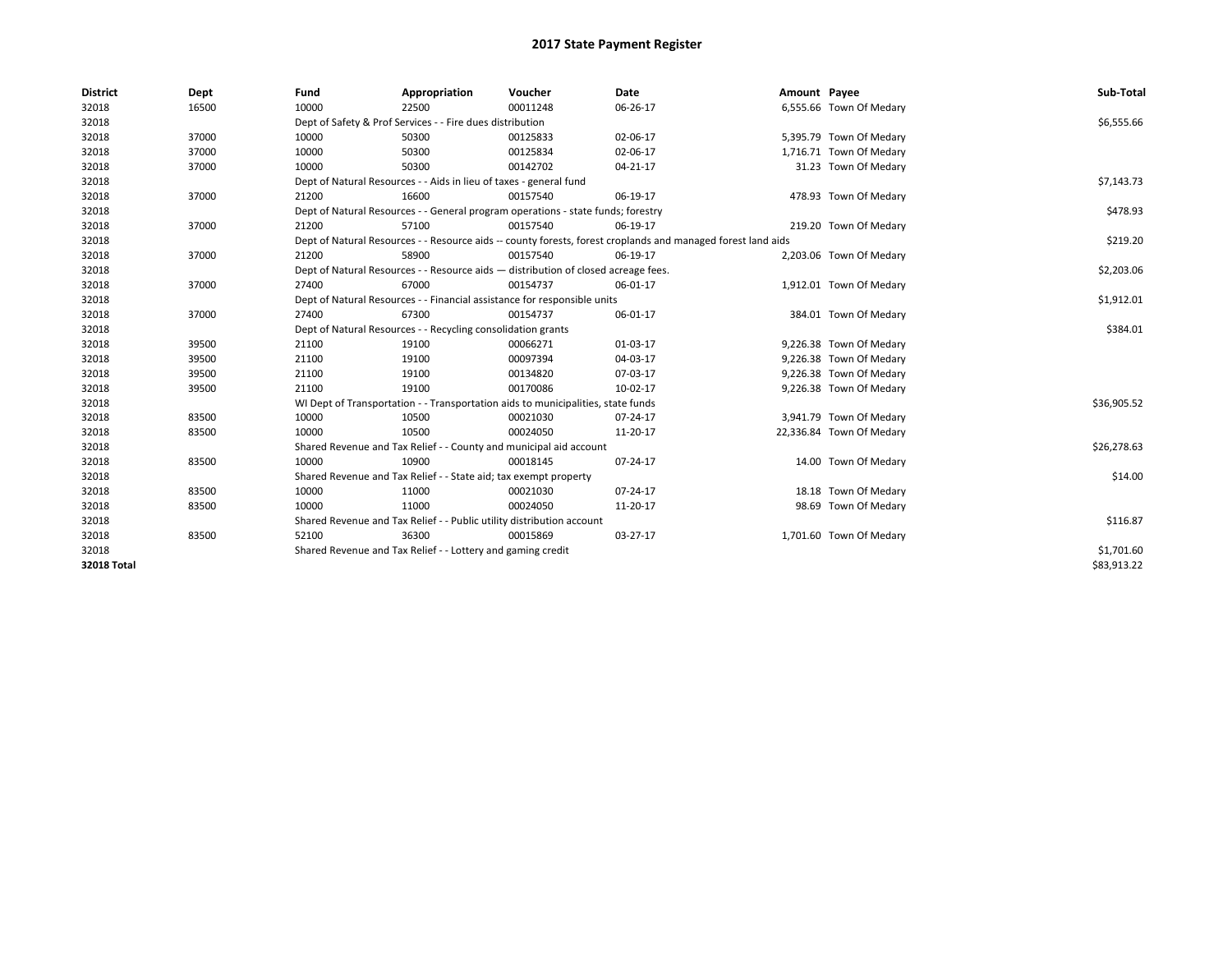| <b>District</b>    | Dept  | Fund  | Appropriation                                                                      | Voucher  | Date                                                                                                         | Amount Payee |                          | Sub-Total   |  |
|--------------------|-------|-------|------------------------------------------------------------------------------------|----------|--------------------------------------------------------------------------------------------------------------|--------------|--------------------------|-------------|--|
| 32018              | 16500 | 10000 | 22500                                                                              | 00011248 | 06-26-17                                                                                                     |              | 6,555.66 Town Of Medary  |             |  |
| 32018              |       |       | Dept of Safety & Prof Services - - Fire dues distribution                          |          |                                                                                                              |              |                          | \$6,555.66  |  |
| 32018              | 37000 | 10000 | 50300                                                                              | 00125833 | 02-06-17                                                                                                     |              | 5,395.79 Town Of Medary  |             |  |
| 32018              | 37000 | 10000 | 50300                                                                              | 00125834 | 02-06-17                                                                                                     |              | 1,716.71 Town Of Medary  |             |  |
| 32018              | 37000 | 10000 | 50300                                                                              | 00142702 | 04-21-17                                                                                                     |              | 31.23 Town Of Medary     |             |  |
| 32018              |       |       | Dept of Natural Resources - - Aids in lieu of taxes - general fund                 |          |                                                                                                              |              |                          | \$7,143.73  |  |
| 32018              | 37000 | 21200 | 16600                                                                              | 00157540 | 06-19-17                                                                                                     |              | 478.93 Town Of Medary    |             |  |
| 32018              |       |       | Dept of Natural Resources - - General program operations - state funds; forestry   |          |                                                                                                              |              |                          |             |  |
| 32018              | 37000 | 21200 | 57100                                                                              | 00157540 | 06-19-17                                                                                                     |              | 219.20 Town Of Medary    |             |  |
| 32018              |       |       |                                                                                    |          | Dept of Natural Resources - - Resource aids -- county forests, forest croplands and managed forest land aids |              |                          | \$219.20    |  |
| 32018              | 37000 | 21200 | 58900                                                                              | 00157540 | 06-19-17                                                                                                     |              | 2,203.06 Town Of Medary  |             |  |
| 32018              |       |       | Dept of Natural Resources - - Resource aids - distribution of closed acreage fees. |          |                                                                                                              |              |                          | \$2,203.06  |  |
| 32018              | 37000 | 27400 | 67000                                                                              | 00154737 | 06-01-17                                                                                                     |              | 1,912.01 Town Of Medary  |             |  |
| 32018              |       |       | Dept of Natural Resources - - Financial assistance for responsible units           |          |                                                                                                              |              |                          | \$1,912.01  |  |
| 32018              | 37000 | 27400 | 67300                                                                              | 00154737 | 06-01-17                                                                                                     |              | 384.01 Town Of Medary    |             |  |
| 32018              |       |       | Dept of Natural Resources - - Recycling consolidation grants                       |          |                                                                                                              |              |                          | \$384.01    |  |
| 32018              | 39500 | 21100 | 19100                                                                              | 00066271 | 01-03-17                                                                                                     |              | 9,226.38 Town Of Medary  |             |  |
| 32018              | 39500 | 21100 | 19100                                                                              | 00097394 | 04-03-17                                                                                                     |              | 9,226.38 Town Of Medary  |             |  |
| 32018              | 39500 | 21100 | 19100                                                                              | 00134820 | 07-03-17                                                                                                     |              | 9,226.38 Town Of Medary  |             |  |
| 32018              | 39500 | 21100 | 19100                                                                              | 00170086 | 10-02-17                                                                                                     |              | 9,226.38 Town Of Medary  |             |  |
| 32018              |       |       | WI Dept of Transportation - - Transportation aids to municipalities, state funds   |          |                                                                                                              |              |                          | \$36,905.52 |  |
| 32018              | 83500 | 10000 | 10500                                                                              | 00021030 | $07 - 24 - 17$                                                                                               |              | 3,941.79 Town Of Medary  |             |  |
| 32018              | 83500 | 10000 | 10500                                                                              | 00024050 | 11-20-17                                                                                                     |              | 22,336.84 Town Of Medary |             |  |
| 32018              |       |       | Shared Revenue and Tax Relief - - County and municipal aid account                 |          |                                                                                                              |              |                          | \$26,278.63 |  |
| 32018              | 83500 | 10000 | 10900                                                                              | 00018145 | 07-24-17                                                                                                     |              | 14.00 Town Of Medary     |             |  |
| 32018              |       |       | Shared Revenue and Tax Relief - - State aid; tax exempt property                   |          |                                                                                                              |              |                          | \$14.00     |  |
| 32018              | 83500 | 10000 | 11000                                                                              | 00021030 | 07-24-17                                                                                                     |              | 18.18 Town Of Medary     |             |  |
| 32018              | 83500 | 10000 | 11000                                                                              | 00024050 | 11-20-17                                                                                                     |              | 98.69 Town Of Medary     |             |  |
| 32018              |       |       | Shared Revenue and Tax Relief - - Public utility distribution account              |          |                                                                                                              |              |                          | \$116.87    |  |
| 32018              | 83500 | 52100 | 36300                                                                              | 00015869 | 03-27-17                                                                                                     |              | 1,701.60 Town Of Medary  |             |  |
| 32018              |       |       | Shared Revenue and Tax Relief - - Lottery and gaming credit                        |          |                                                                                                              |              |                          | \$1,701.60  |  |
| <b>32018 Total</b> |       |       |                                                                                    |          |                                                                                                              |              |                          | \$83,913.22 |  |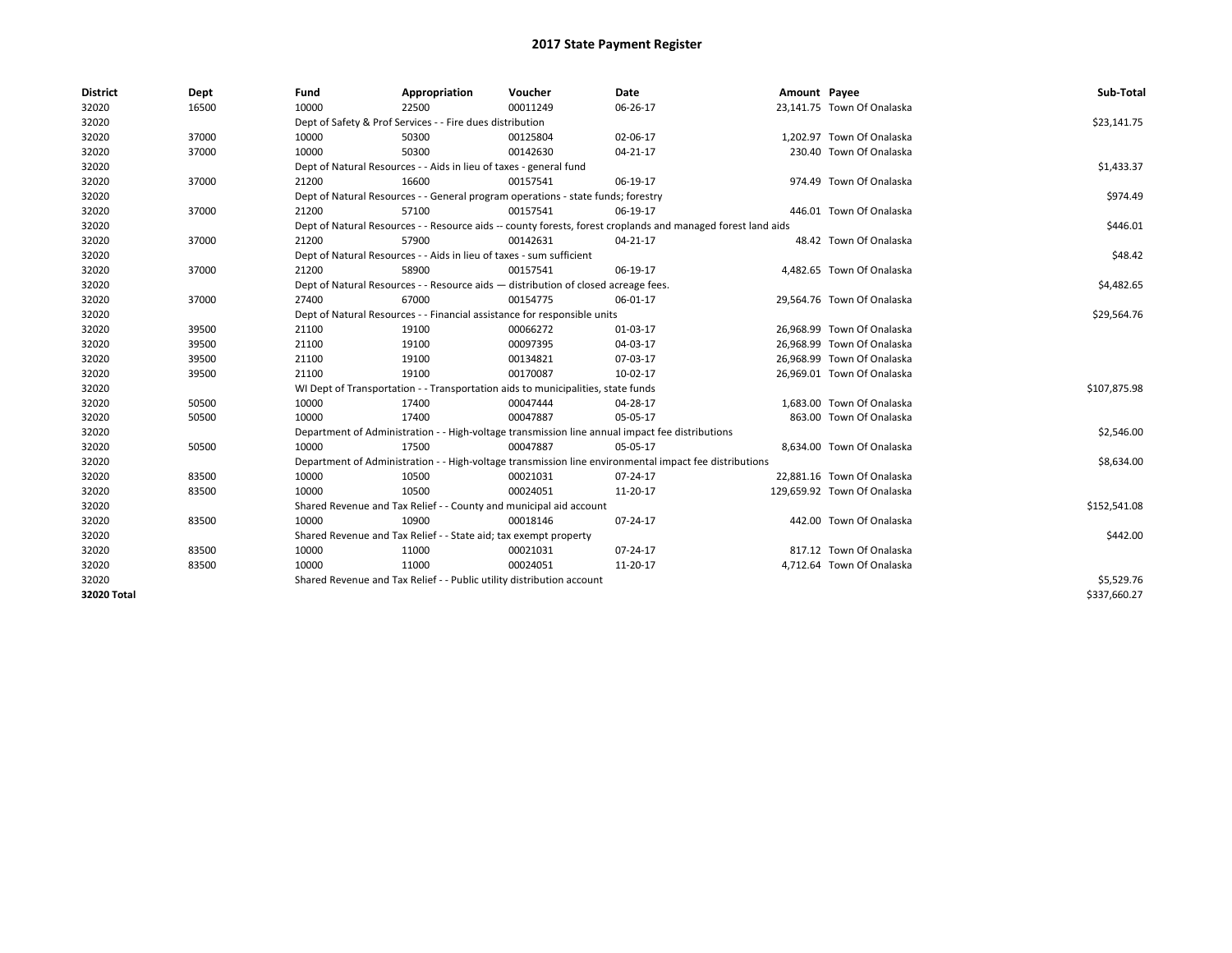| <b>District</b> | Dept  | Fund  | Appropriation                                                                                                | Voucher  | Date     | Amount Payee |                             | Sub-Total    |  |  |
|-----------------|-------|-------|--------------------------------------------------------------------------------------------------------------|----------|----------|--------------|-----------------------------|--------------|--|--|
| 32020           | 16500 | 10000 | 22500                                                                                                        | 00011249 | 06-26-17 |              | 23,141.75 Town Of Onalaska  |              |  |  |
| 32020           |       |       | Dept of Safety & Prof Services - - Fire dues distribution                                                    |          |          |              |                             | \$23,141.75  |  |  |
| 32020           | 37000 | 10000 | 50300                                                                                                        | 00125804 | 02-06-17 |              | 1.202.97 Town Of Onalaska   |              |  |  |
| 32020           | 37000 | 10000 | 50300                                                                                                        | 00142630 | 04-21-17 |              | 230.40 Town Of Onalaska     |              |  |  |
| 32020           |       |       | Dept of Natural Resources - - Aids in lieu of taxes - general fund                                           |          |          |              |                             | \$1,433.37   |  |  |
| 32020           | 37000 | 21200 | 16600                                                                                                        | 00157541 | 06-19-17 |              | 974.49 Town Of Onalaska     |              |  |  |
| 32020           |       |       | Dept of Natural Resources - - General program operations - state funds; forestry                             |          |          |              |                             |              |  |  |
| 32020           | 37000 | 21200 | 57100                                                                                                        | 00157541 | 06-19-17 |              | 446.01 Town Of Onalaska     |              |  |  |
| 32020           |       |       | Dept of Natural Resources - - Resource aids -- county forests, forest croplands and managed forest land aids |          |          |              |                             | \$446.01     |  |  |
| 32020           | 37000 | 21200 | 57900                                                                                                        | 00142631 | 04-21-17 |              | 48.42 Town Of Onalaska      |              |  |  |
| 32020           |       |       | Dept of Natural Resources - - Aids in lieu of taxes - sum sufficient                                         |          |          |              |                             | \$48.42      |  |  |
| 32020           | 37000 | 21200 | 58900                                                                                                        | 00157541 | 06-19-17 |              | 4,482.65 Town Of Onalaska   |              |  |  |
| 32020           |       |       | Dept of Natural Resources - - Resource aids - distribution of closed acreage fees.                           |          |          |              |                             | \$4,482.65   |  |  |
| 32020           | 37000 | 27400 | 67000                                                                                                        | 00154775 | 06-01-17 |              | 29,564.76 Town Of Onalaska  |              |  |  |
| 32020           |       |       | Dept of Natural Resources - - Financial assistance for responsible units                                     |          |          |              |                             | \$29,564.76  |  |  |
| 32020           | 39500 | 21100 | 19100                                                                                                        | 00066272 | 01-03-17 |              | 26,968.99 Town Of Onalaska  |              |  |  |
| 32020           | 39500 | 21100 | 19100                                                                                                        | 00097395 | 04-03-17 |              | 26,968.99 Town Of Onalaska  |              |  |  |
| 32020           | 39500 | 21100 | 19100                                                                                                        | 00134821 | 07-03-17 |              | 26,968.99 Town Of Onalaska  |              |  |  |
| 32020           | 39500 | 21100 | 19100                                                                                                        | 00170087 | 10-02-17 |              | 26,969.01 Town Of Onalaska  |              |  |  |
| 32020           |       |       | WI Dept of Transportation - - Transportation aids to municipalities, state funds                             |          |          |              |                             | \$107,875.98 |  |  |
| 32020           | 50500 | 10000 | 17400                                                                                                        | 00047444 | 04-28-17 |              | 1,683.00 Town Of Onalaska   |              |  |  |
| 32020           | 50500 | 10000 | 17400                                                                                                        | 00047887 | 05-05-17 |              | 863.00 Town Of Onalaska     |              |  |  |
| 32020           |       |       | Department of Administration - - High-voltage transmission line annual impact fee distributions              |          |          |              |                             | \$2,546.00   |  |  |
| 32020           | 50500 | 10000 | 17500                                                                                                        | 00047887 | 05-05-17 |              | 8,634.00 Town Of Onalaska   |              |  |  |
| 32020           |       |       | Department of Administration - - High-voltage transmission line environmental impact fee distributions       |          |          |              |                             | \$8,634.00   |  |  |
| 32020           | 83500 | 10000 | 10500                                                                                                        | 00021031 | 07-24-17 |              | 22,881.16 Town Of Onalaska  |              |  |  |
| 32020           | 83500 | 10000 | 10500                                                                                                        | 00024051 | 11-20-17 |              | 129,659.92 Town Of Onalaska |              |  |  |
| 32020           |       |       | Shared Revenue and Tax Relief - - County and municipal aid account                                           |          |          |              |                             | \$152,541.08 |  |  |
| 32020           | 83500 | 10000 | 10900                                                                                                        | 00018146 | 07-24-17 |              | 442.00 Town Of Onalaska     |              |  |  |
| 32020           |       |       | Shared Revenue and Tax Relief - - State aid; tax exempt property                                             |          |          |              |                             | \$442.00     |  |  |
| 32020           | 83500 | 10000 | 11000                                                                                                        | 00021031 | 07-24-17 |              | 817.12 Town Of Onalaska     |              |  |  |
| 32020           | 83500 | 10000 | 11000                                                                                                        | 00024051 | 11-20-17 |              | 4,712.64 Town Of Onalaska   |              |  |  |
| 32020           |       |       | Shared Revenue and Tax Relief - - Public utility distribution account                                        |          |          |              |                             | \$5,529.76   |  |  |
| 32020 Total     |       |       |                                                                                                              |          |          |              |                             | \$337,660.27 |  |  |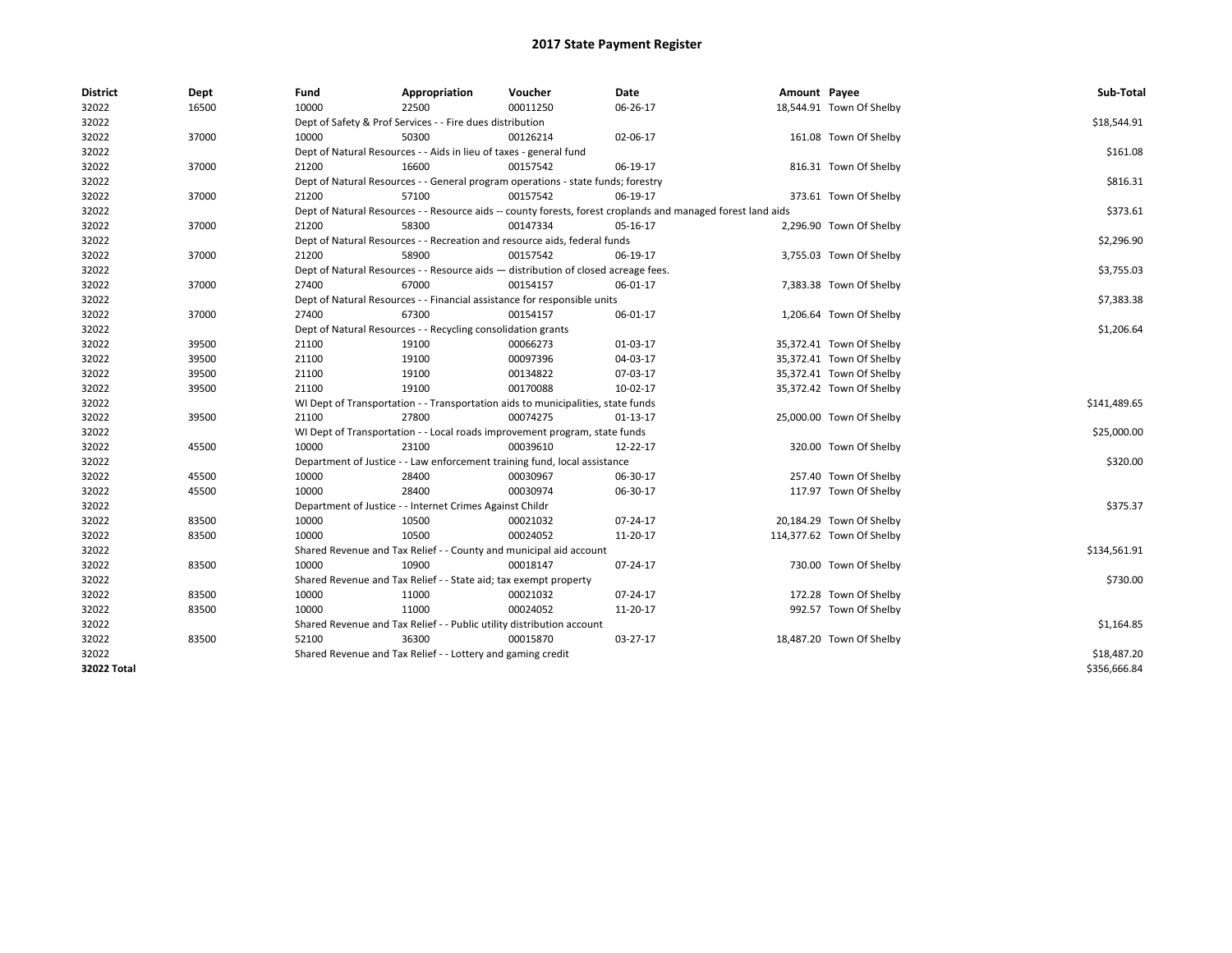| <b>District</b> | Dept  | Fund  | Appropriation                                                                                                | Voucher  | Date     | Amount Payee |                           | Sub-Total    |  |  |
|-----------------|-------|-------|--------------------------------------------------------------------------------------------------------------|----------|----------|--------------|---------------------------|--------------|--|--|
| 32022           | 16500 | 10000 | 22500                                                                                                        | 00011250 | 06-26-17 |              | 18,544.91 Town Of Shelby  |              |  |  |
| 32022           |       |       | Dept of Safety & Prof Services - - Fire dues distribution                                                    |          |          |              |                           | \$18,544.91  |  |  |
| 32022           | 37000 | 10000 | 50300                                                                                                        | 00126214 | 02-06-17 |              | 161.08 Town Of Shelby     |              |  |  |
| 32022           |       |       | Dept of Natural Resources - - Aids in lieu of taxes - general fund                                           |          |          |              |                           | \$161.08     |  |  |
| 32022           | 37000 | 21200 | 16600                                                                                                        | 00157542 | 06-19-17 |              | 816.31 Town Of Shelby     |              |  |  |
| 32022           |       |       | Dept of Natural Resources - - General program operations - state funds; forestry                             |          |          |              |                           |              |  |  |
| 32022           | 37000 | 21200 | 57100                                                                                                        | 00157542 | 06-19-17 |              | 373.61 Town Of Shelby     |              |  |  |
| 32022           |       |       | Dept of Natural Resources - - Resource aids -- county forests, forest croplands and managed forest land aids |          |          |              |                           |              |  |  |
| 32022           | 37000 | 21200 | 58300                                                                                                        | 00147334 | 05-16-17 |              | 2,296.90 Town Of Shelby   |              |  |  |
| 32022           |       |       | Dept of Natural Resources - - Recreation and resource aids, federal funds                                    |          |          |              |                           | \$2,296.90   |  |  |
| 32022           | 37000 | 21200 | 58900                                                                                                        | 00157542 | 06-19-17 |              | 3,755.03 Town Of Shelby   |              |  |  |
| 32022           |       |       | Dept of Natural Resources - - Resource aids - distribution of closed acreage fees.                           |          |          |              |                           | \$3,755.03   |  |  |
| 32022           | 37000 | 27400 | 67000                                                                                                        | 00154157 | 06-01-17 |              | 7,383.38 Town Of Shelby   |              |  |  |
| 32022           |       |       | Dept of Natural Resources - - Financial assistance for responsible units                                     |          |          |              |                           | \$7,383.38   |  |  |
| 32022           | 37000 | 27400 | 67300                                                                                                        | 00154157 | 06-01-17 |              | 1,206.64 Town Of Shelby   |              |  |  |
| 32022           |       |       | Dept of Natural Resources - - Recycling consolidation grants                                                 |          |          |              |                           | \$1,206.64   |  |  |
| 32022           | 39500 | 21100 | 19100                                                                                                        | 00066273 | 01-03-17 |              | 35,372.41 Town Of Shelby  |              |  |  |
| 32022           | 39500 | 21100 | 19100                                                                                                        | 00097396 | 04-03-17 |              | 35,372.41 Town Of Shelby  |              |  |  |
| 32022           | 39500 | 21100 | 19100                                                                                                        | 00134822 | 07-03-17 |              | 35,372.41 Town Of Shelby  |              |  |  |
| 32022           | 39500 | 21100 | 19100                                                                                                        | 00170088 | 10-02-17 |              | 35,372.42 Town Of Shelby  |              |  |  |
| 32022           |       |       | WI Dept of Transportation - - Transportation aids to municipalities, state funds                             |          |          |              |                           | \$141,489.65 |  |  |
| 32022           | 39500 | 21100 | 27800                                                                                                        | 00074275 | 01-13-17 |              | 25,000.00 Town Of Shelby  |              |  |  |
| 32022           |       |       | WI Dept of Transportation - - Local roads improvement program, state funds                                   |          |          |              |                           | \$25,000.00  |  |  |
| 32022           | 45500 | 10000 | 23100                                                                                                        | 00039610 | 12-22-17 |              | 320.00 Town Of Shelby     |              |  |  |
| 32022           |       |       | Department of Justice - - Law enforcement training fund, local assistance                                    |          |          |              |                           | \$320.00     |  |  |
| 32022           | 45500 | 10000 | 28400                                                                                                        | 00030967 | 06-30-17 |              | 257.40 Town Of Shelby     |              |  |  |
| 32022           | 45500 | 10000 | 28400                                                                                                        | 00030974 | 06-30-17 |              | 117.97 Town Of Shelby     |              |  |  |
| 32022           |       |       | Department of Justice - - Internet Crimes Against Childr                                                     |          |          |              |                           | \$375.37     |  |  |
| 32022           | 83500 | 10000 | 10500                                                                                                        | 00021032 | 07-24-17 |              | 20,184.29 Town Of Shelby  |              |  |  |
| 32022           | 83500 | 10000 | 10500                                                                                                        | 00024052 | 11-20-17 |              | 114,377.62 Town Of Shelby |              |  |  |
| 32022           |       |       | Shared Revenue and Tax Relief - - County and municipal aid account                                           |          |          |              |                           | \$134,561.91 |  |  |
| 32022           | 83500 | 10000 | 10900                                                                                                        | 00018147 | 07-24-17 |              | 730.00 Town Of Shelby     |              |  |  |
| 32022           |       |       | Shared Revenue and Tax Relief - - State aid; tax exempt property                                             |          |          |              |                           | \$730.00     |  |  |
| 32022           | 83500 | 10000 | 11000                                                                                                        | 00021032 | 07-24-17 |              | 172.28 Town Of Shelby     |              |  |  |
| 32022           | 83500 | 10000 | 11000                                                                                                        | 00024052 | 11-20-17 |              | 992.57 Town Of Shelby     |              |  |  |
| 32022           |       |       | Shared Revenue and Tax Relief - - Public utility distribution account                                        |          |          |              |                           | \$1,164.85   |  |  |
| 32022           | 83500 | 52100 | 36300                                                                                                        | 00015870 | 03-27-17 |              | 18,487.20 Town Of Shelby  |              |  |  |
| 32022           |       |       | Shared Revenue and Tax Relief - - Lottery and gaming credit                                                  |          |          |              |                           | \$18,487.20  |  |  |
| 32022 Total     |       |       |                                                                                                              |          |          |              |                           | \$356,666.84 |  |  |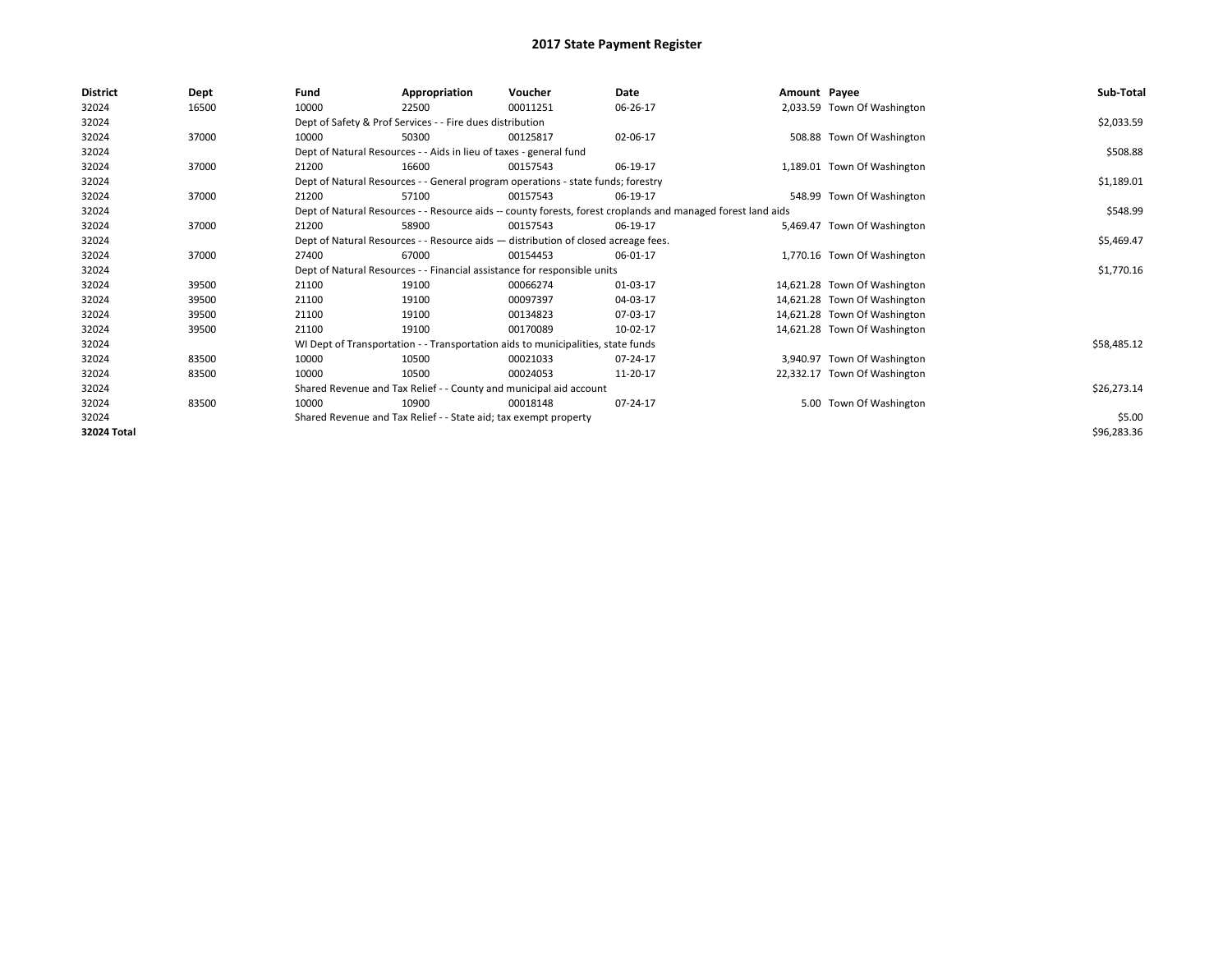| <b>District</b> | Dept  | Fund  | Appropriation                                                                      | Voucher  | Date                                                                                                         | Amount Payee |                              | Sub-Total   |  |
|-----------------|-------|-------|------------------------------------------------------------------------------------|----------|--------------------------------------------------------------------------------------------------------------|--------------|------------------------------|-------------|--|
| 32024           | 16500 | 10000 | 22500                                                                              | 00011251 | 06-26-17                                                                                                     |              | 2,033.59 Town Of Washington  |             |  |
| 32024           |       |       | Dept of Safety & Prof Services - - Fire dues distribution                          |          |                                                                                                              |              |                              | \$2,033.59  |  |
| 32024           | 37000 | 10000 | 50300                                                                              | 00125817 | 02-06-17                                                                                                     |              | 508.88 Town Of Washington    |             |  |
| 32024           |       |       | Dept of Natural Resources - - Aids in lieu of taxes - general fund                 |          |                                                                                                              |              |                              | \$508.88    |  |
| 32024           | 37000 | 21200 | 16600                                                                              | 00157543 | 06-19-17                                                                                                     |              | 1,189.01 Town Of Washington  |             |  |
| 32024           |       |       | Dept of Natural Resources - - General program operations - state funds; forestry   |          |                                                                                                              |              |                              |             |  |
| 32024           | 37000 | 21200 | 57100                                                                              | 00157543 | 06-19-17                                                                                                     |              | 548.99 Town Of Washington    |             |  |
| 32024           |       |       |                                                                                    |          | Dept of Natural Resources - - Resource aids -- county forests, forest croplands and managed forest land aids |              |                              | \$548.99    |  |
| 32024           | 37000 | 21200 | 58900                                                                              | 00157543 | 06-19-17                                                                                                     |              | 5.469.47 Town Of Washington  |             |  |
| 32024           |       |       | Dept of Natural Resources - - Resource aids - distribution of closed acreage fees. |          |                                                                                                              |              |                              | \$5,469.47  |  |
| 32024           | 37000 | 27400 | 67000                                                                              | 00154453 | 06-01-17                                                                                                     |              | 1,770.16 Town Of Washington  |             |  |
| 32024           |       |       | Dept of Natural Resources - - Financial assistance for responsible units           |          |                                                                                                              |              |                              | \$1,770.16  |  |
| 32024           | 39500 | 21100 | 19100                                                                              | 00066274 | 01-03-17                                                                                                     |              | 14,621.28 Town Of Washington |             |  |
| 32024           | 39500 | 21100 | 19100                                                                              | 00097397 | 04-03-17                                                                                                     |              | 14,621.28 Town Of Washington |             |  |
| 32024           | 39500 | 21100 | 19100                                                                              | 00134823 | 07-03-17                                                                                                     |              | 14,621.28 Town Of Washington |             |  |
| 32024           | 39500 | 21100 | 19100                                                                              | 00170089 | 10-02-17                                                                                                     |              | 14,621.28 Town Of Washington |             |  |
| 32024           |       |       | WI Dept of Transportation - - Transportation aids to municipalities, state funds   |          |                                                                                                              |              |                              | \$58,485.12 |  |
| 32024           | 83500 | 10000 | 10500                                                                              | 00021033 | 07-24-17                                                                                                     |              | 3,940.97 Town Of Washington  |             |  |
| 32024           | 83500 | 10000 | 10500                                                                              | 00024053 | 11-20-17                                                                                                     |              | 22,332.17 Town Of Washington |             |  |
| 32024           |       |       | Shared Revenue and Tax Relief - - County and municipal aid account                 |          |                                                                                                              |              |                              | \$26,273.14 |  |
| 32024           | 83500 | 10000 | 10900                                                                              | 00018148 | 07-24-17                                                                                                     |              | 5.00 Town Of Washington      |             |  |
| 32024           |       |       | Shared Revenue and Tax Relief - - State aid; tax exempt property                   |          |                                                                                                              |              |                              | \$5.00      |  |
| 32024 Total     |       |       |                                                                                    |          |                                                                                                              |              |                              | \$96,283.36 |  |
|                 |       |       |                                                                                    |          |                                                                                                              |              |                              |             |  |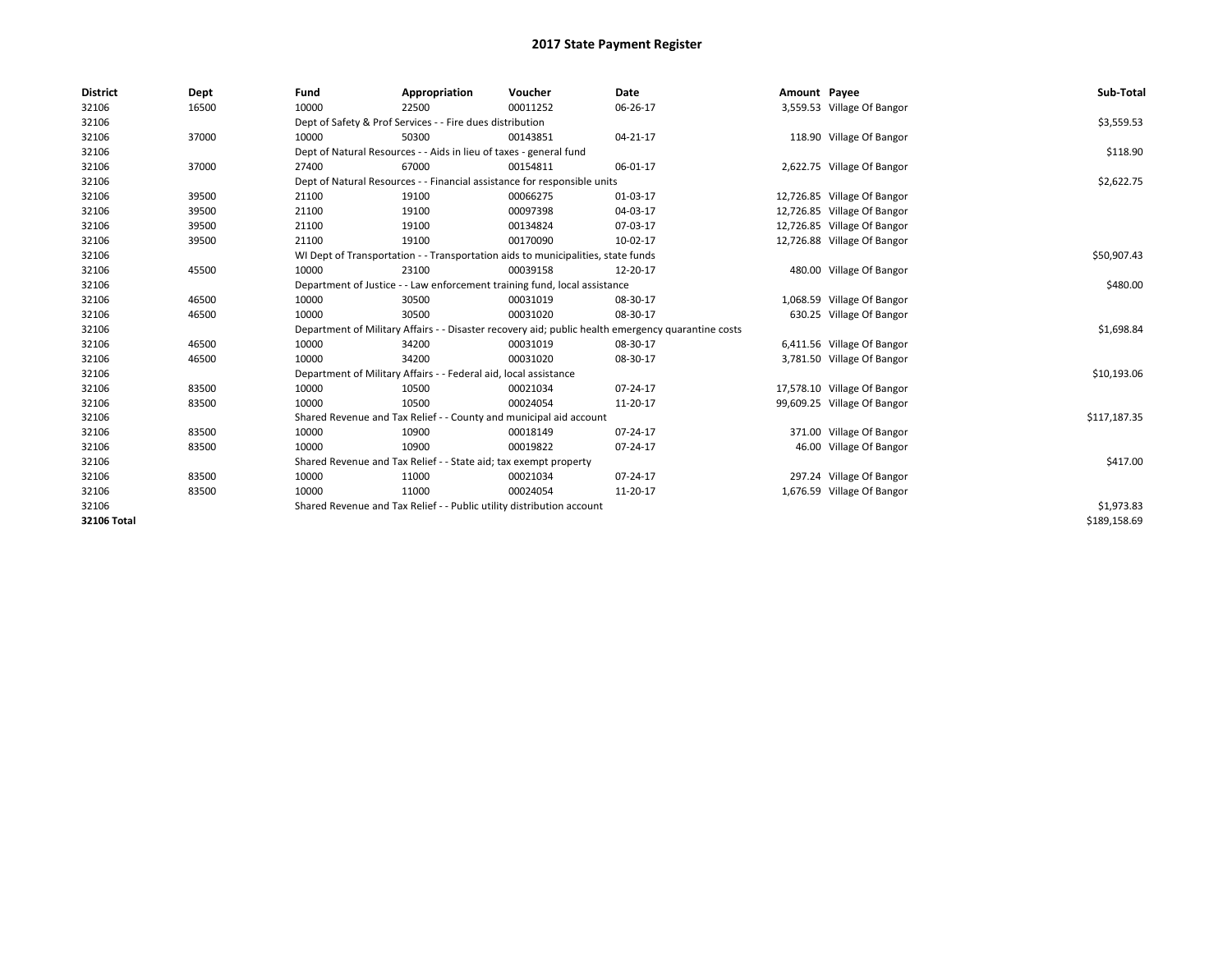| <b>District</b>    | Dept  | Fund                                                                      | Appropriation                                                                    | Voucher    | Date                                                                                               | Amount Payee |                             | Sub-Total    |  |
|--------------------|-------|---------------------------------------------------------------------------|----------------------------------------------------------------------------------|------------|----------------------------------------------------------------------------------------------------|--------------|-----------------------------|--------------|--|
| 32106              | 16500 | 10000                                                                     | 22500                                                                            | 00011252   | 06-26-17                                                                                           |              | 3,559.53 Village Of Bangor  |              |  |
| 32106              |       |                                                                           | Dept of Safety & Prof Services - - Fire dues distribution                        |            |                                                                                                    |              |                             | \$3,559.53   |  |
| 32106              | 37000 | 10000                                                                     | 50300                                                                            | 00143851   | 04-21-17                                                                                           |              | 118.90 Village Of Bangor    |              |  |
| 32106              |       |                                                                           | Dept of Natural Resources - - Aids in lieu of taxes - general fund               |            |                                                                                                    |              |                             |              |  |
| 32106              | 37000 | 27400                                                                     | 67000                                                                            | 00154811   | 06-01-17                                                                                           |              | 2,622.75 Village Of Bangor  |              |  |
| 32106              |       |                                                                           | Dept of Natural Resources - - Financial assistance for responsible units         |            |                                                                                                    |              |                             | \$2,622.75   |  |
| 32106              | 39500 | 21100                                                                     | 19100                                                                            | 00066275   | 01-03-17                                                                                           |              | 12,726.85 Village Of Bangor |              |  |
| 32106              | 39500 | 21100                                                                     | 19100                                                                            | 00097398   | 04-03-17                                                                                           |              | 12,726.85 Village Of Bangor |              |  |
| 32106              | 39500 | 21100                                                                     | 19100                                                                            | 00134824   | 07-03-17                                                                                           |              | 12,726.85 Village Of Bangor |              |  |
| 32106              | 39500 | 21100                                                                     | 19100                                                                            | 00170090   | 10-02-17                                                                                           |              | 12,726.88 Village Of Bangor |              |  |
| 32106              |       |                                                                           | WI Dept of Transportation - - Transportation aids to municipalities, state funds |            |                                                                                                    |              |                             | \$50,907.43  |  |
| 32106              | 45500 | 10000                                                                     | 23100                                                                            | 00039158   | 12-20-17                                                                                           |              | 480.00 Village Of Bangor    |              |  |
| 32106              |       | Department of Justice - - Law enforcement training fund, local assistance | \$480.00                                                                         |            |                                                                                                    |              |                             |              |  |
| 32106              | 46500 | 10000                                                                     | 30500                                                                            | 00031019   | 08-30-17                                                                                           |              | 1,068.59 Village Of Bangor  |              |  |
| 32106              | 46500 | 10000                                                                     | 30500                                                                            | 00031020   | 08-30-17                                                                                           |              | 630.25 Village Of Bangor    |              |  |
| 32106              |       |                                                                           |                                                                                  |            | Department of Military Affairs - - Disaster recovery aid; public health emergency quarantine costs |              |                             | \$1,698.84   |  |
| 32106              | 46500 | 10000                                                                     | 34200                                                                            | 00031019   | 08-30-17                                                                                           |              | 6,411.56 Village Of Bangor  |              |  |
| 32106              | 46500 | 10000                                                                     | 34200                                                                            | 00031020   | 08-30-17                                                                                           |              | 3,781.50 Village Of Bangor  |              |  |
| 32106              |       |                                                                           | Department of Military Affairs - - Federal aid, local assistance                 |            |                                                                                                    |              |                             | \$10,193.06  |  |
| 32106              | 83500 | 10000                                                                     | 10500                                                                            | 00021034   | 07-24-17                                                                                           |              | 17,578.10 Village Of Bangor |              |  |
| 32106              | 83500 | 10000                                                                     | 10500                                                                            | 00024054   | 11-20-17                                                                                           |              | 99,609.25 Village Of Bangor |              |  |
| 32106              |       |                                                                           | Shared Revenue and Tax Relief - - County and municipal aid account               |            |                                                                                                    |              |                             | \$117,187.35 |  |
| 32106              | 83500 | 10000                                                                     | 10900                                                                            | 00018149   | 07-24-17                                                                                           |              | 371.00 Village Of Bangor    |              |  |
| 32106              | 83500 | 10000                                                                     | 10900                                                                            | 00019822   | 07-24-17                                                                                           |              | 46.00 Village Of Bangor     |              |  |
| 32106              |       |                                                                           | Shared Revenue and Tax Relief - - State aid; tax exempt property                 |            |                                                                                                    |              |                             | \$417.00     |  |
| 32106              | 83500 | 10000                                                                     | 11000                                                                            | 00021034   | 07-24-17                                                                                           |              | 297.24 Village Of Bangor    |              |  |
| 32106              | 83500 | 10000                                                                     | 11000                                                                            | 00024054   | 11-20-17                                                                                           |              | 1,676.59 Village Of Bangor  |              |  |
| 32106              |       | Shared Revenue and Tax Relief - - Public utility distribution account     |                                                                                  | \$1,973.83 |                                                                                                    |              |                             |              |  |
| <b>32106 Total</b> |       |                                                                           |                                                                                  |            |                                                                                                    |              |                             | \$189,158.69 |  |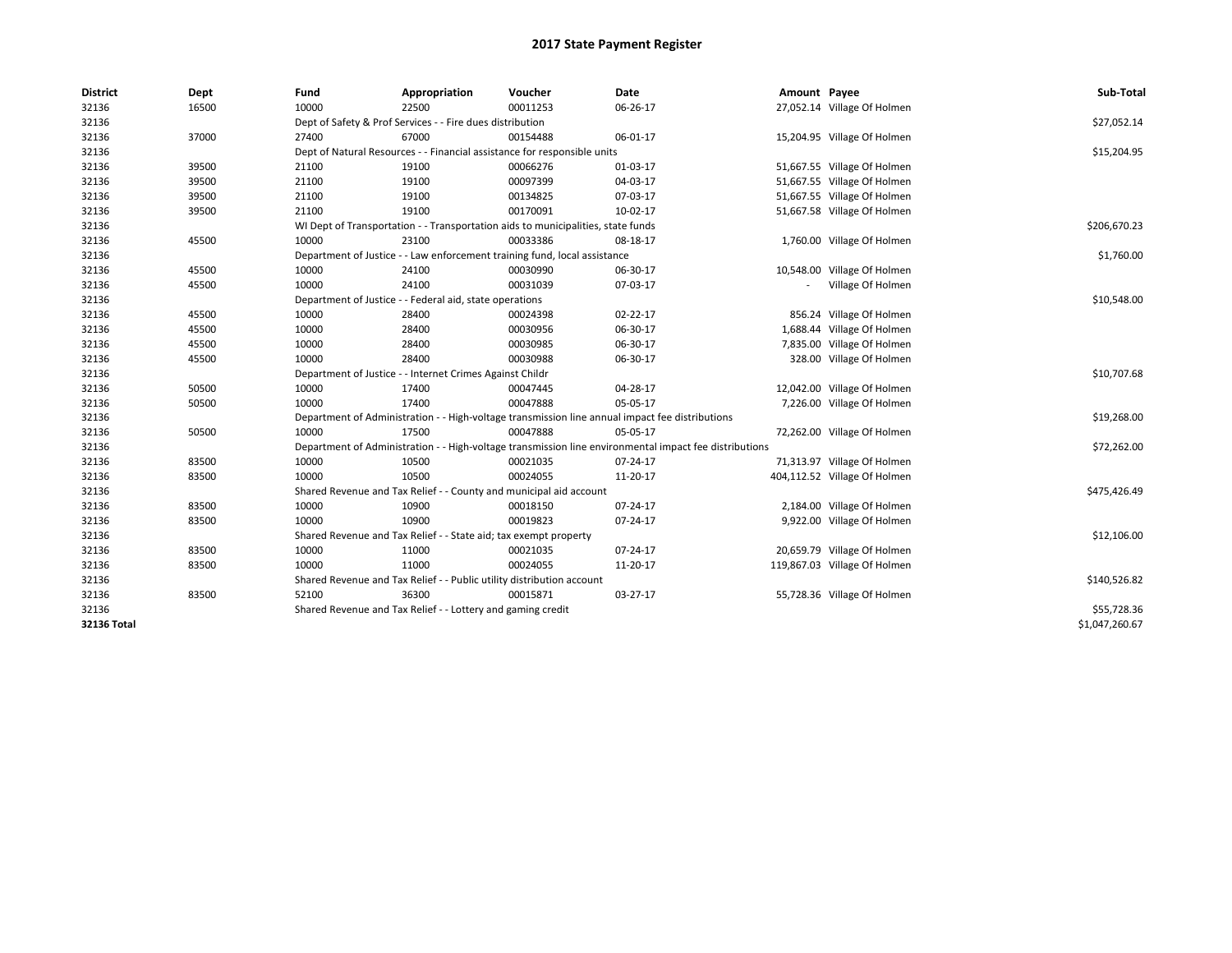| <b>District</b> | Dept  | Fund  | Appropriation                                                                                          | Voucher  | Date     | Amount Payee |                              | Sub-Total      |  |  |
|-----------------|-------|-------|--------------------------------------------------------------------------------------------------------|----------|----------|--------------|------------------------------|----------------|--|--|
| 32136           | 16500 | 10000 | 22500                                                                                                  | 00011253 | 06-26-17 |              | 27,052.14 Village Of Holmen  |                |  |  |
| 32136           |       |       | Dept of Safety & Prof Services - - Fire dues distribution                                              |          |          |              |                              | \$27,052.14    |  |  |
| 32136           | 37000 | 27400 | 67000                                                                                                  | 00154488 | 06-01-17 |              | 15,204.95 Village Of Holmen  |                |  |  |
| 32136           |       |       | Dept of Natural Resources - - Financial assistance for responsible units                               |          |          |              |                              | \$15,204.95    |  |  |
| 32136           | 39500 | 21100 | 19100                                                                                                  | 00066276 | 01-03-17 |              | 51,667.55 Village Of Holmen  |                |  |  |
| 32136           | 39500 | 21100 | 19100                                                                                                  | 00097399 | 04-03-17 |              | 51,667.55 Village Of Holmen  |                |  |  |
| 32136           | 39500 | 21100 | 19100                                                                                                  | 00134825 | 07-03-17 |              | 51,667.55 Village Of Holmen  |                |  |  |
| 32136           | 39500 | 21100 | 19100                                                                                                  | 00170091 | 10-02-17 |              | 51,667.58 Village Of Holmen  |                |  |  |
| 32136           |       |       | WI Dept of Transportation - - Transportation aids to municipalities, state funds                       |          |          |              |                              |                |  |  |
| 32136           | 45500 | 10000 | 23100                                                                                                  | 00033386 | 08-18-17 |              | 1,760.00 Village Of Holmen   |                |  |  |
| 32136           |       |       | Department of Justice - - Law enforcement training fund, local assistance                              |          |          |              |                              | \$1,760.00     |  |  |
| 32136           | 45500 | 10000 | 24100                                                                                                  | 00030990 | 06-30-17 |              | 10,548.00 Village Of Holmen  |                |  |  |
| 32136           | 45500 | 10000 | 24100                                                                                                  | 00031039 | 07-03-17 |              | Village Of Holmen            |                |  |  |
| 32136           |       |       | Department of Justice - - Federal aid, state operations                                                |          |          |              |                              | \$10,548.00    |  |  |
| 32136           | 45500 | 10000 | 28400                                                                                                  | 00024398 | 02-22-17 |              | 856.24 Village Of Holmen     |                |  |  |
| 32136           | 45500 | 10000 | 28400                                                                                                  | 00030956 | 06-30-17 |              | 1,688.44 Village Of Holmen   |                |  |  |
| 32136           | 45500 | 10000 | 28400                                                                                                  | 00030985 | 06-30-17 |              | 7,835.00 Village Of Holmen   |                |  |  |
| 32136           | 45500 | 10000 | 28400                                                                                                  | 00030988 | 06-30-17 |              | 328.00 Village Of Holmen     |                |  |  |
| 32136           |       |       | Department of Justice - - Internet Crimes Against Childr                                               |          |          |              |                              | \$10,707.68    |  |  |
| 32136           | 50500 | 10000 | 17400                                                                                                  | 00047445 | 04-28-17 |              | 12,042.00 Village Of Holmen  |                |  |  |
| 32136           | 50500 | 10000 | 17400                                                                                                  | 00047888 | 05-05-17 |              | 7,226.00 Village Of Holmen   |                |  |  |
| 32136           |       |       | Department of Administration - - High-voltage transmission line annual impact fee distributions        |          |          |              |                              | \$19,268.00    |  |  |
| 32136           | 50500 | 10000 | 17500                                                                                                  | 00047888 | 05-05-17 |              | 72,262.00 Village Of Holmen  |                |  |  |
| 32136           |       |       | Department of Administration - - High-voltage transmission line environmental impact fee distributions |          |          |              |                              | \$72,262.00    |  |  |
| 32136           | 83500 | 10000 | 10500                                                                                                  | 00021035 | 07-24-17 |              | 71,313.97 Village Of Holmen  |                |  |  |
| 32136           | 83500 | 10000 | 10500                                                                                                  | 00024055 | 11-20-17 |              | 404,112.52 Village Of Holmen |                |  |  |
| 32136           |       |       | Shared Revenue and Tax Relief - - County and municipal aid account                                     |          |          |              |                              | \$475,426.49   |  |  |
| 32136           | 83500 | 10000 | 10900                                                                                                  | 00018150 | 07-24-17 |              | 2,184.00 Village Of Holmen   |                |  |  |
| 32136           | 83500 | 10000 | 10900                                                                                                  | 00019823 | 07-24-17 |              | 9,922.00 Village Of Holmen   |                |  |  |
| 32136           |       |       | Shared Revenue and Tax Relief - - State aid; tax exempt property                                       |          |          |              |                              | \$12,106.00    |  |  |
| 32136           | 83500 | 10000 | 11000                                                                                                  | 00021035 | 07-24-17 |              | 20,659.79 Village Of Holmen  |                |  |  |
| 32136           | 83500 | 10000 | 11000                                                                                                  | 00024055 | 11-20-17 |              | 119,867.03 Village Of Holmen |                |  |  |
| 32136           |       |       | Shared Revenue and Tax Relief - - Public utility distribution account                                  |          |          |              |                              | \$140,526.82   |  |  |
| 32136           | 83500 | 52100 | 36300                                                                                                  | 00015871 | 03-27-17 |              | 55,728.36 Village Of Holmen  |                |  |  |
| 32136           |       |       | Shared Revenue and Tax Relief - - Lottery and gaming credit                                            |          |          |              |                              | \$55,728.36    |  |  |
| 32136 Total     |       |       |                                                                                                        |          |          |              |                              | \$1,047,260.67 |  |  |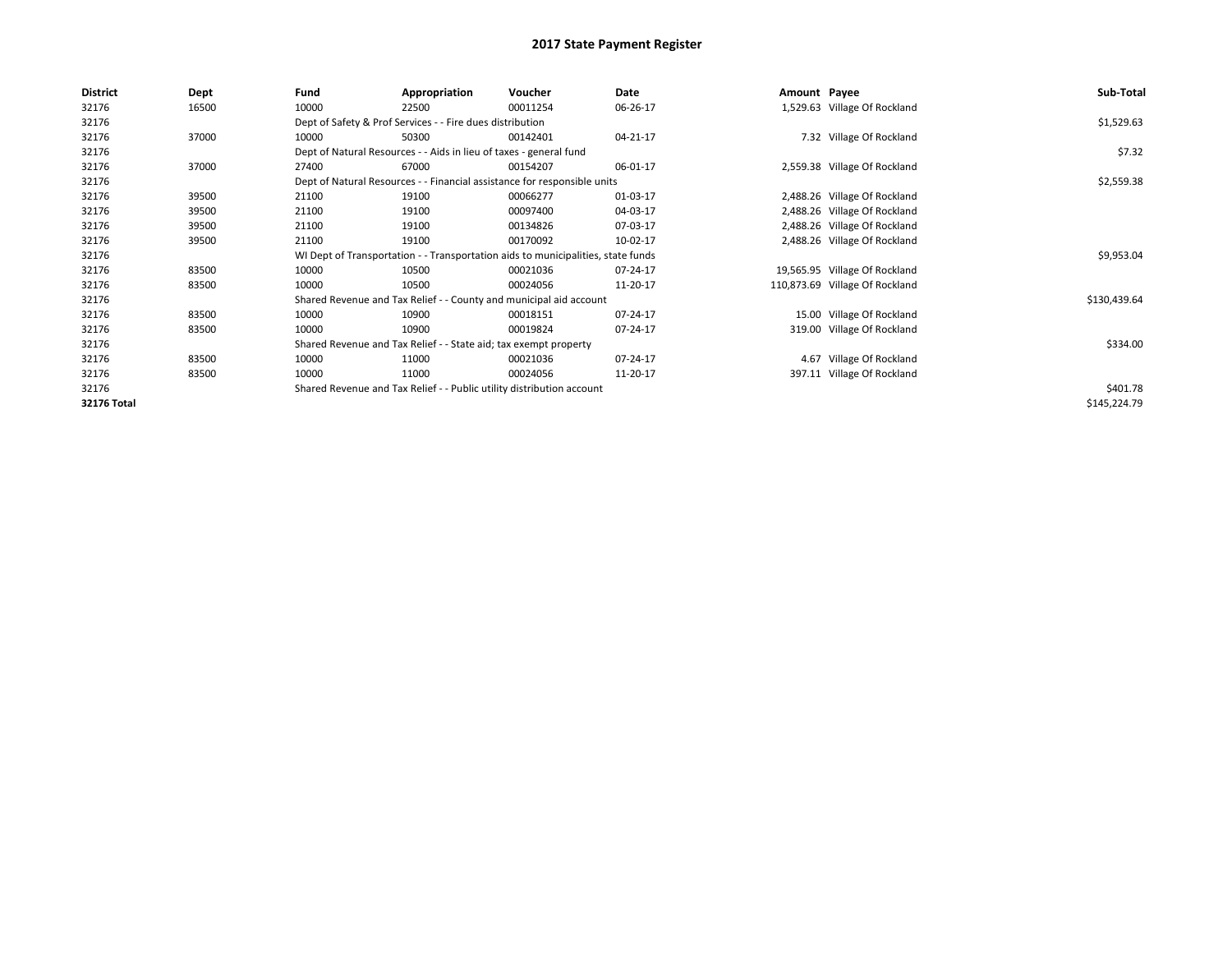| <b>District</b>    | Dept  | Fund                                                                     | Appropriation                                                                    | Voucher    | Date     | Amount Payee |                                | Sub-Total    |
|--------------------|-------|--------------------------------------------------------------------------|----------------------------------------------------------------------------------|------------|----------|--------------|--------------------------------|--------------|
| 32176              | 16500 | 10000                                                                    | 22500                                                                            | 00011254   | 06-26-17 |              | 1,529.63 Village Of Rockland   |              |
| 32176              |       |                                                                          | Dept of Safety & Prof Services - - Fire dues distribution                        |            |          |              |                                | \$1,529.63   |
| 32176              | 37000 | 10000                                                                    | 50300                                                                            | 00142401   | 04-21-17 |              | 7.32 Village Of Rockland       |              |
| 32176              |       | Dept of Natural Resources - - Aids in lieu of taxes - general fund       |                                                                                  | \$7.32     |          |              |                                |              |
| 32176              | 37000 | 27400                                                                    | 67000                                                                            | 00154207   | 06-01-17 |              | 2,559.38 Village Of Rockland   |              |
| 32176              |       | Dept of Natural Resources - - Financial assistance for responsible units |                                                                                  | \$2,559.38 |          |              |                                |              |
| 32176              | 39500 | 21100                                                                    | 19100                                                                            | 00066277   | 01-03-17 |              | 2,488.26 Village Of Rockland   |              |
| 32176              | 39500 | 21100                                                                    | 19100                                                                            | 00097400   | 04-03-17 |              | 2,488.26 Village Of Rockland   |              |
| 32176              | 39500 | 21100                                                                    | 19100                                                                            | 00134826   | 07-03-17 |              | 2,488.26 Village Of Rockland   |              |
| 32176              | 39500 | 21100                                                                    | 19100                                                                            | 00170092   | 10-02-17 |              | 2,488.26 Village Of Rockland   |              |
| 32176              |       |                                                                          | WI Dept of Transportation - - Transportation aids to municipalities, state funds |            |          |              |                                | \$9,953.04   |
| 32176              | 83500 | 10000                                                                    | 10500                                                                            | 00021036   | 07-24-17 |              | 19,565.95 Village Of Rockland  |              |
| 32176              | 83500 | 10000                                                                    | 10500                                                                            | 00024056   | 11-20-17 |              | 110,873.69 Village Of Rockland |              |
| 32176              |       |                                                                          | Shared Revenue and Tax Relief - - County and municipal aid account               |            |          |              |                                | \$130,439.64 |
| 32176              | 83500 | 10000                                                                    | 10900                                                                            | 00018151   | 07-24-17 |              | 15.00 Village Of Rockland      |              |
| 32176              | 83500 | 10000                                                                    | 10900                                                                            | 00019824   | 07-24-17 |              | 319.00 Village Of Rockland     |              |
| 32176              |       |                                                                          | Shared Revenue and Tax Relief - - State aid; tax exempt property                 |            |          |              |                                | \$334.00     |
| 32176              | 83500 | 10000                                                                    | 11000                                                                            | 00021036   | 07-24-17 |              | 4.67 Village Of Rockland       |              |
| 32176              | 83500 | 10000                                                                    | 11000                                                                            | 00024056   | 11-20-17 |              | 397.11 Village Of Rockland     |              |
| 32176              |       | Shared Revenue and Tax Relief - - Public utility distribution account    |                                                                                  | \$401.78   |          |              |                                |              |
| <b>32176 Total</b> |       |                                                                          |                                                                                  |            |          |              |                                | \$145,224.79 |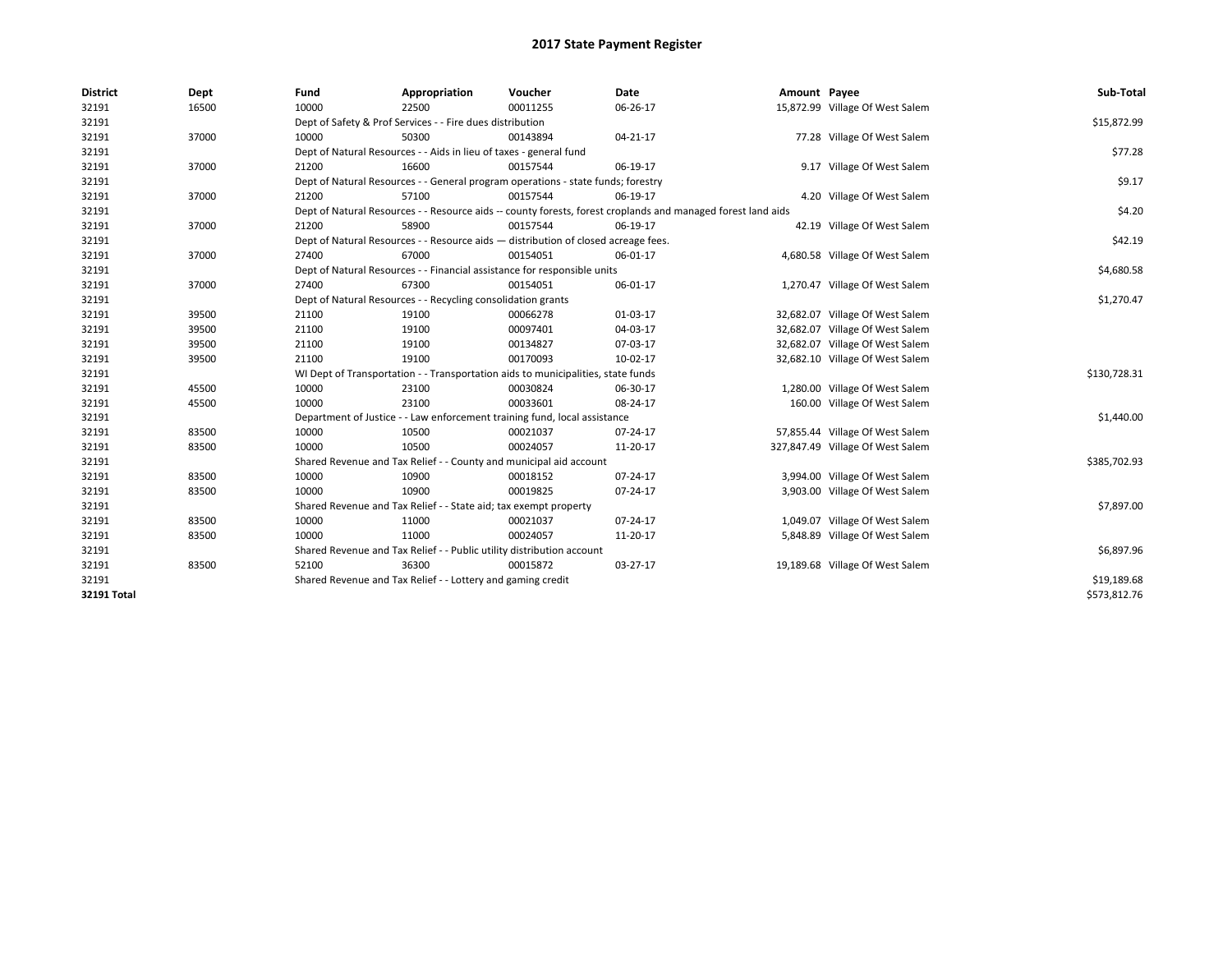| <b>District</b> | Dept  | Fund                                                         | Appropriation                                                                      | Voucher    | Date                                                                                                         | Amount Payee |                                  | Sub-Total    |  |  |
|-----------------|-------|--------------------------------------------------------------|------------------------------------------------------------------------------------|------------|--------------------------------------------------------------------------------------------------------------|--------------|----------------------------------|--------------|--|--|
| 32191           | 16500 | 10000                                                        | 22500                                                                              | 00011255   | 06-26-17                                                                                                     |              | 15,872.99 Village Of West Salem  |              |  |  |
| 32191           |       |                                                              | Dept of Safety & Prof Services - - Fire dues distribution                          |            |                                                                                                              |              |                                  | \$15,872.99  |  |  |
| 32191           | 37000 | 10000                                                        | 50300                                                                              | 00143894   | 04-21-17                                                                                                     |              | 77.28 Village Of West Salem      |              |  |  |
| 32191           |       |                                                              | Dept of Natural Resources - - Aids in lieu of taxes - general fund                 |            |                                                                                                              |              |                                  | \$77.28      |  |  |
| 32191           | 37000 | 21200                                                        | 16600                                                                              | 00157544   | 06-19-17                                                                                                     |              | 9.17 Village Of West Salem       |              |  |  |
| 32191           |       |                                                              | Dept of Natural Resources - - General program operations - state funds; forestry   |            |                                                                                                              |              |                                  | \$9.17       |  |  |
| 32191           | 37000 | 21200                                                        | 57100                                                                              | 00157544   | 06-19-17                                                                                                     |              | 4.20 Village Of West Salem       |              |  |  |
| 32191           |       |                                                              |                                                                                    |            | Dept of Natural Resources - - Resource aids -- county forests, forest croplands and managed forest land aids |              |                                  | \$4.20       |  |  |
| 32191           | 37000 | 21200                                                        | 58900                                                                              | 00157544   | 06-19-17                                                                                                     |              | 42.19 Village Of West Salem      |              |  |  |
| 32191           |       |                                                              | Dept of Natural Resources - - Resource aids - distribution of closed acreage fees. |            |                                                                                                              |              |                                  |              |  |  |
| 32191           | 37000 | 27400                                                        | 67000                                                                              | 00154051   | 06-01-17                                                                                                     |              | 4,680.58 Village Of West Salem   |              |  |  |
| 32191           |       |                                                              | Dept of Natural Resources - - Financial assistance for responsible units           |            |                                                                                                              |              |                                  | \$4,680.58   |  |  |
| 32191           | 37000 | 27400                                                        | 67300                                                                              | 00154051   | 06-01-17                                                                                                     |              | 1,270.47 Village Of West Salem   |              |  |  |
| 32191           |       | Dept of Natural Resources - - Recycling consolidation grants |                                                                                    | \$1,270.47 |                                                                                                              |              |                                  |              |  |  |
| 32191           | 39500 | 21100                                                        | 19100                                                                              | 00066278   | 01-03-17                                                                                                     |              | 32,682.07 Village Of West Salem  |              |  |  |
| 32191           | 39500 | 21100                                                        | 19100                                                                              | 00097401   | 04-03-17                                                                                                     |              | 32,682.07 Village Of West Salem  |              |  |  |
| 32191           | 39500 | 21100                                                        | 19100                                                                              | 00134827   | 07-03-17                                                                                                     |              | 32,682.07 Village Of West Salem  |              |  |  |
| 32191           | 39500 | 21100                                                        | 19100                                                                              | 00170093   | 10-02-17                                                                                                     |              | 32,682.10 Village Of West Salem  |              |  |  |
| 32191           |       |                                                              | WI Dept of Transportation - - Transportation aids to municipalities, state funds   |            |                                                                                                              |              |                                  | \$130,728.31 |  |  |
| 32191           | 45500 | 10000                                                        | 23100                                                                              | 00030824   | 06-30-17                                                                                                     |              | 1,280.00 Village Of West Salem   |              |  |  |
| 32191           | 45500 | 10000                                                        | 23100                                                                              | 00033601   | 08-24-17                                                                                                     |              | 160.00 Village Of West Salem     |              |  |  |
| 32191           |       |                                                              | Department of Justice - - Law enforcement training fund, local assistance          |            |                                                                                                              |              |                                  | \$1,440.00   |  |  |
| 32191           | 83500 | 10000                                                        | 10500                                                                              | 00021037   | 07-24-17                                                                                                     |              | 57,855.44 Village Of West Salem  |              |  |  |
| 32191           | 83500 | 10000                                                        | 10500                                                                              | 00024057   | 11-20-17                                                                                                     |              | 327,847.49 Village Of West Salem |              |  |  |
| 32191           |       |                                                              | Shared Revenue and Tax Relief - - County and municipal aid account                 |            |                                                                                                              |              |                                  | \$385,702.93 |  |  |
| 32191           | 83500 | 10000                                                        | 10900                                                                              | 00018152   | 07-24-17                                                                                                     |              | 3,994.00 Village Of West Salem   |              |  |  |
| 32191           | 83500 | 10000                                                        | 10900                                                                              | 00019825   | 07-24-17                                                                                                     |              | 3,903.00 Village Of West Salem   |              |  |  |
| 32191           |       |                                                              | Shared Revenue and Tax Relief - - State aid; tax exempt property                   |            |                                                                                                              |              |                                  | \$7,897.00   |  |  |
| 32191           | 83500 | 10000                                                        | 11000                                                                              | 00021037   | 07-24-17                                                                                                     |              | 1,049.07 Village Of West Salem   |              |  |  |
| 32191           | 83500 | 10000                                                        | 11000                                                                              | 00024057   | 11-20-17                                                                                                     |              | 5,848.89 Village Of West Salem   |              |  |  |
| 32191           |       |                                                              | Shared Revenue and Tax Relief - - Public utility distribution account              |            |                                                                                                              |              |                                  | \$6,897.96   |  |  |
| 32191           | 83500 | 52100                                                        | 36300                                                                              | 00015872   | 03-27-17                                                                                                     |              | 19,189.68 Village Of West Salem  |              |  |  |
| 32191           |       |                                                              | Shared Revenue and Tax Relief - - Lottery and gaming credit                        |            |                                                                                                              |              |                                  | \$19,189.68  |  |  |
| 32191 Total     |       |                                                              |                                                                                    |            |                                                                                                              |              |                                  | \$573,812.76 |  |  |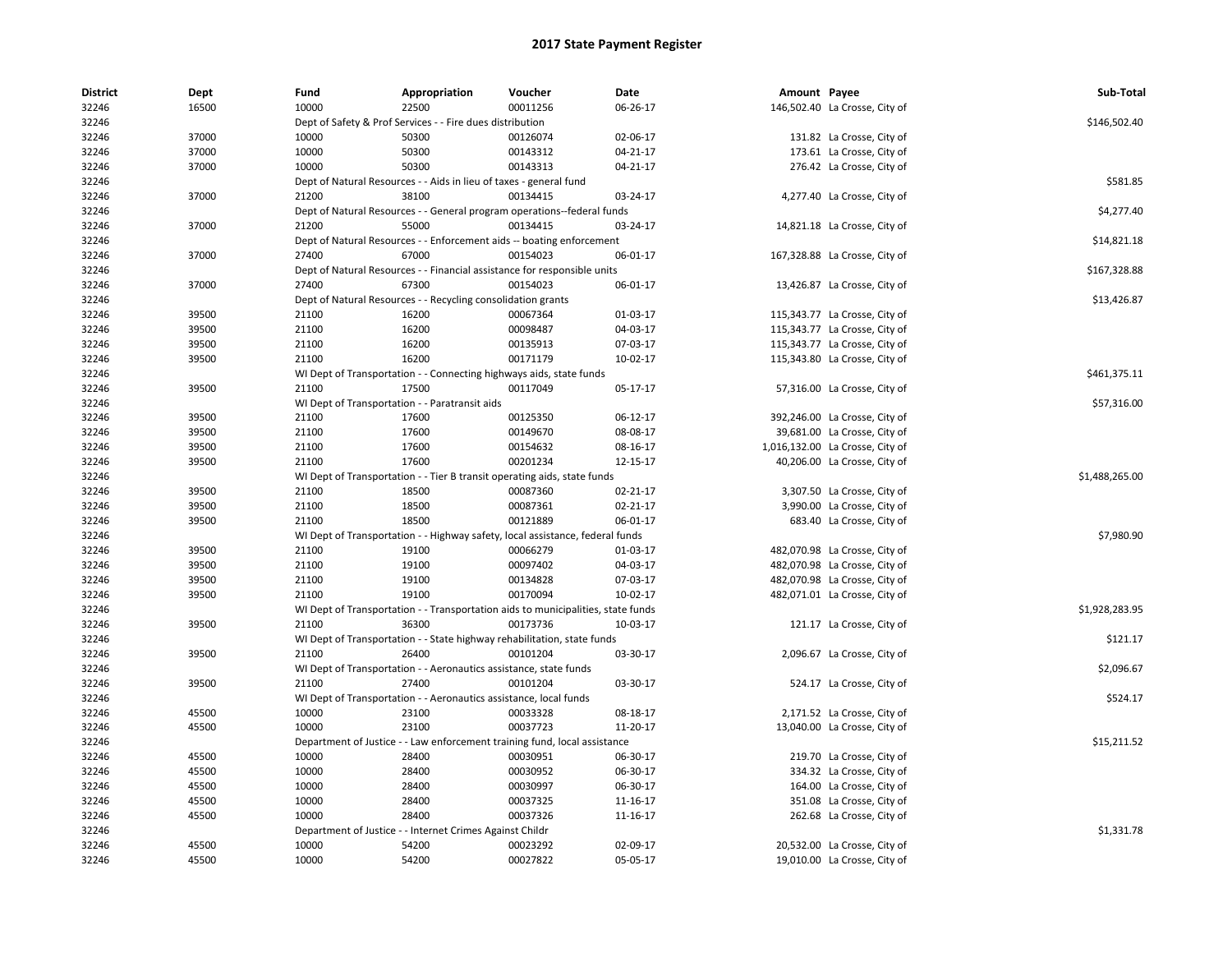| <b>District</b> | Dept  | Fund  | Appropriation                                                                    | Voucher  | <b>Date</b>    | Amount Payee |                                 | Sub-Total      |
|-----------------|-------|-------|----------------------------------------------------------------------------------|----------|----------------|--------------|---------------------------------|----------------|
| 32246           | 16500 | 10000 | 22500                                                                            | 00011256 | 06-26-17       |              | 146,502.40 La Crosse, City of   |                |
| 32246           |       |       | Dept of Safety & Prof Services - - Fire dues distribution                        |          |                |              |                                 | \$146,502.40   |
| 32246           | 37000 | 10000 | 50300                                                                            | 00126074 | 02-06-17       |              | 131.82 La Crosse, City of       |                |
| 32246           | 37000 | 10000 | 50300                                                                            | 00143312 | 04-21-17       |              | 173.61 La Crosse, City of       |                |
| 32246           | 37000 | 10000 | 50300                                                                            | 00143313 | $04 - 21 - 17$ |              | 276.42 La Crosse, City of       |                |
| 32246           |       |       | Dept of Natural Resources - - Aids in lieu of taxes - general fund               |          |                |              |                                 | \$581.85       |
| 32246           | 37000 | 21200 | 38100                                                                            | 00134415 | 03-24-17       |              | 4,277.40 La Crosse, City of     |                |
| 32246           |       |       | Dept of Natural Resources - - General program operations--federal funds          |          |                |              |                                 | \$4,277.40     |
| 32246           | 37000 | 21200 | 55000                                                                            | 00134415 | 03-24-17       |              | 14,821.18 La Crosse, City of    |                |
| 32246           |       |       | Dept of Natural Resources - - Enforcement aids -- boating enforcement            |          |                |              |                                 | \$14,821.18    |
| 32246           | 37000 | 27400 | 67000                                                                            | 00154023 | 06-01-17       |              | 167,328.88 La Crosse, City of   |                |
| 32246           |       |       | Dept of Natural Resources - - Financial assistance for responsible units         |          |                |              |                                 | \$167,328.88   |
| 32246           | 37000 | 27400 | 67300                                                                            | 00154023 | 06-01-17       |              | 13,426.87 La Crosse, City of    |                |
| 32246           |       |       | Dept of Natural Resources - - Recycling consolidation grants                     |          |                |              |                                 | \$13,426.87    |
| 32246           | 39500 | 21100 | 16200                                                                            | 00067364 | 01-03-17       |              | 115,343.77 La Crosse, City of   |                |
| 32246           | 39500 | 21100 | 16200                                                                            | 00098487 | 04-03-17       |              | 115,343.77 La Crosse, City of   |                |
| 32246           | 39500 | 21100 | 16200                                                                            | 00135913 | 07-03-17       |              | 115,343.77 La Crosse, City of   |                |
| 32246           | 39500 | 21100 | 16200                                                                            | 00171179 | 10-02-17       |              | 115,343.80 La Crosse, City of   |                |
| 32246           |       |       | WI Dept of Transportation - - Connecting highways aids, state funds              |          |                |              |                                 | \$461,375.11   |
| 32246           | 39500 | 21100 | 17500                                                                            | 00117049 | 05-17-17       |              | 57,316.00 La Crosse, City of    |                |
| 32246           |       |       | WI Dept of Transportation - - Paratransit aids                                   |          |                |              |                                 | \$57,316.00    |
| 32246           | 39500 | 21100 | 17600                                                                            | 00125350 | 06-12-17       |              | 392,246.00 La Crosse, City of   |                |
| 32246           | 39500 | 21100 | 17600                                                                            | 00149670 | 08-08-17       |              | 39,681.00 La Crosse, City of    |                |
| 32246           | 39500 | 21100 | 17600                                                                            | 00154632 | 08-16-17       |              | 1,016,132.00 La Crosse, City of |                |
| 32246           | 39500 | 21100 | 17600                                                                            | 00201234 | 12-15-17       |              | 40,206.00 La Crosse, City of    |                |
| 32246           |       |       | WI Dept of Transportation - - Tier B transit operating aids, state funds         |          |                |              |                                 | \$1,488,265.00 |
| 32246           | 39500 | 21100 | 18500                                                                            | 00087360 | 02-21-17       |              | 3,307.50 La Crosse, City of     |                |
| 32246           | 39500 | 21100 | 18500                                                                            | 00087361 | $02 - 21 - 17$ |              | 3,990.00 La Crosse, City of     |                |
| 32246           | 39500 | 21100 | 18500                                                                            | 00121889 | 06-01-17       |              | 683.40 La Crosse, City of       |                |
| 32246           |       |       | WI Dept of Transportation - - Highway safety, local assistance, federal funds    |          |                |              |                                 | \$7,980.90     |
| 32246           | 39500 | 21100 | 19100                                                                            | 00066279 | 01-03-17       |              | 482,070.98 La Crosse, City of   |                |
| 32246           | 39500 | 21100 | 19100                                                                            | 00097402 | 04-03-17       |              | 482,070.98 La Crosse, City of   |                |
| 32246           | 39500 | 21100 | 19100                                                                            | 00134828 | 07-03-17       |              | 482,070.98 La Crosse, City of   |                |
| 32246           | 39500 | 21100 | 19100                                                                            | 00170094 | $10-02-17$     |              | 482,071.01 La Crosse, City of   |                |
| 32246           |       |       | WI Dept of Transportation - - Transportation aids to municipalities, state funds |          |                |              |                                 | \$1,928,283.95 |
| 32246           | 39500 | 21100 | 36300                                                                            | 00173736 | 10-03-17       |              | 121.17 La Crosse, City of       |                |
| 32246           |       |       | WI Dept of Transportation - - State highway rehabilitation, state funds          |          |                |              |                                 | \$121.17       |
|                 | 39500 | 21100 | 26400                                                                            | 00101204 |                |              |                                 |                |
| 32246           |       |       |                                                                                  |          | 03-30-17       |              | 2,096.67 La Crosse, City of     |                |
| 32246           |       |       | WI Dept of Transportation - - Aeronautics assistance, state funds                |          |                |              |                                 | \$2,096.67     |
| 32246           | 39500 | 21100 | 27400                                                                            | 00101204 | 03-30-17       |              | 524.17 La Crosse, City of       |                |
| 32246           |       |       | WI Dept of Transportation - - Aeronautics assistance, local funds                |          |                |              |                                 | \$524.17       |
| 32246           | 45500 | 10000 | 23100                                                                            | 00033328 | 08-18-17       |              | 2,171.52 La Crosse, City of     |                |
| 32246           | 45500 | 10000 | 23100                                                                            | 00037723 | 11-20-17       |              | 13,040.00 La Crosse, City of    |                |
| 32246           |       |       | Department of Justice - - Law enforcement training fund, local assistance        |          |                |              |                                 | \$15,211.52    |
| 32246           | 45500 | 10000 | 28400                                                                            | 00030951 | 06-30-17       |              | 219.70 La Crosse, City of       |                |
| 32246           | 45500 | 10000 | 28400                                                                            | 00030952 | 06-30-17       |              | 334.32 La Crosse, City of       |                |
| 32246           | 45500 | 10000 | 28400                                                                            | 00030997 | 06-30-17       |              | 164.00 La Crosse, City of       |                |
| 32246           | 45500 | 10000 | 28400                                                                            | 00037325 | 11-16-17       |              | 351.08 La Crosse, City of       |                |
| 32246           | 45500 | 10000 | 28400                                                                            | 00037326 | 11-16-17       |              | 262.68 La Crosse, City of       |                |
| 32246           |       |       | Department of Justice - - Internet Crimes Against Childr                         |          |                |              |                                 | \$1,331.78     |
| 32246           | 45500 | 10000 | 54200                                                                            | 00023292 | 02-09-17       |              | 20,532.00 La Crosse, City of    |                |
| 32246           | 45500 | 10000 | 54200                                                                            | 00027822 | 05-05-17       |              | 19,010.00 La Crosse, City of    |                |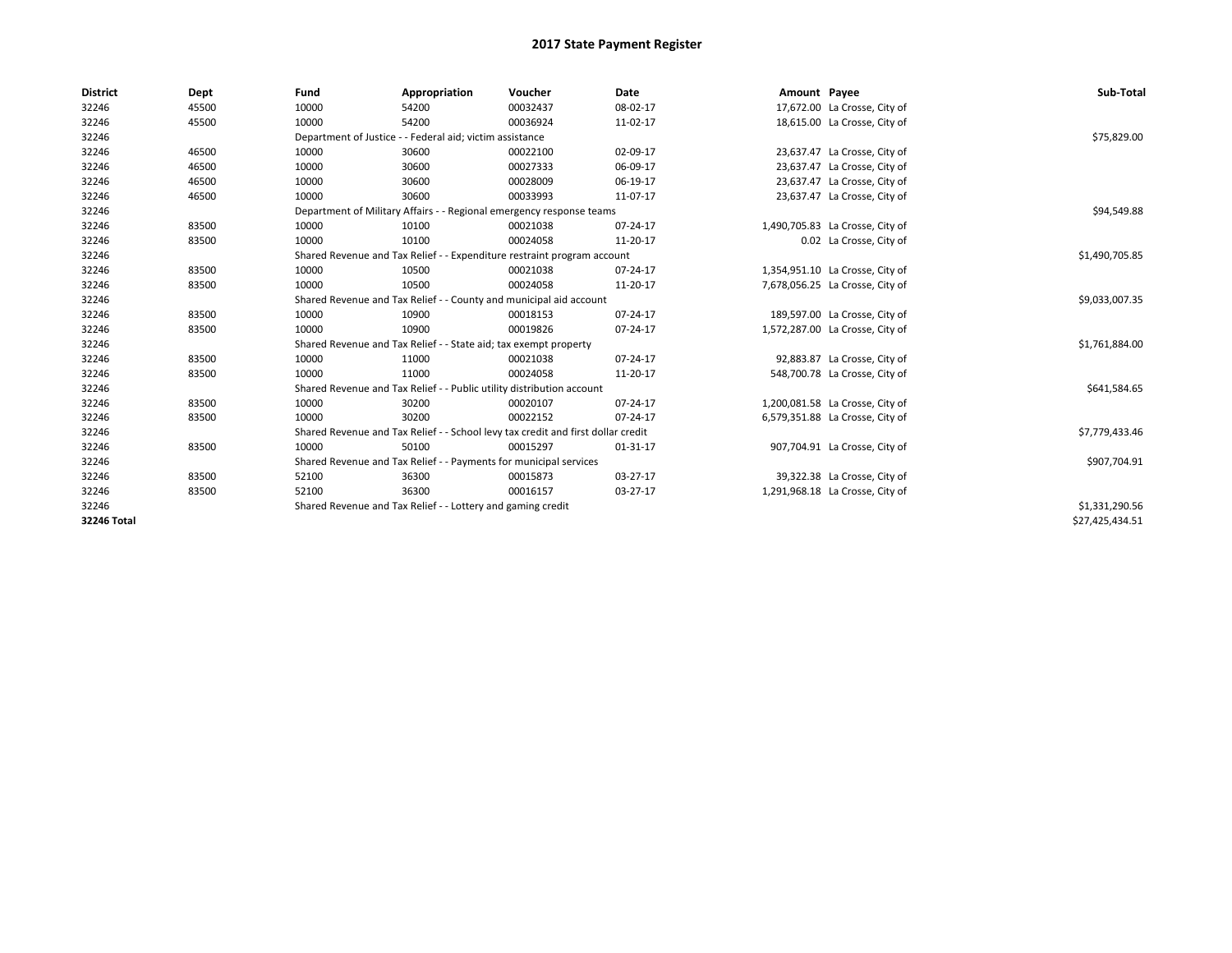| <b>District</b> | Dept  | Fund                                                                             | Appropriation                                                      | Voucher        | Date     | Amount Payee |                                 | Sub-Total       |
|-----------------|-------|----------------------------------------------------------------------------------|--------------------------------------------------------------------|----------------|----------|--------------|---------------------------------|-----------------|
| 32246           | 45500 | 10000                                                                            | 54200                                                              | 00032437       | 08-02-17 |              | 17,672.00 La Crosse, City of    |                 |
| 32246           | 45500 | 10000                                                                            | 54200                                                              | 00036924       | 11-02-17 |              | 18,615.00 La Crosse, City of    |                 |
| 32246           |       | Department of Justice - - Federal aid; victim assistance                         | \$75,829.00                                                        |                |          |              |                                 |                 |
| 32246           | 46500 | 10000                                                                            | 30600                                                              | 00022100       | 02-09-17 |              | 23,637.47 La Crosse, City of    |                 |
| 32246           | 46500 | 10000                                                                            | 30600                                                              | 00027333       | 06-09-17 |              | 23,637.47 La Crosse, City of    |                 |
| 32246           | 46500 | 10000                                                                            | 30600                                                              | 00028009       | 06-19-17 |              | 23,637.47 La Crosse, City of    |                 |
| 32246           | 46500 | 10000                                                                            | 30600                                                              | 00033993       | 11-07-17 |              | 23,637.47 La Crosse, City of    |                 |
| 32246           |       | Department of Military Affairs - - Regional emergency response teams             |                                                                    | \$94,549.88    |          |              |                                 |                 |
| 32246           | 83500 | 10000                                                                            | 10100                                                              | 00021038       | 07-24-17 |              | 1,490,705.83 La Crosse, City of |                 |
| 32246           | 83500 | 10000                                                                            | 10100                                                              | 00024058       | 11-20-17 |              | 0.02 La Crosse, City of         |                 |
| 32246           |       | Shared Revenue and Tax Relief - - Expenditure restraint program account          |                                                                    | \$1,490,705.85 |          |              |                                 |                 |
| 32246           | 83500 | 10000                                                                            | 10500                                                              | 00021038       | 07-24-17 |              | 1,354,951.10 La Crosse, City of |                 |
| 32246           | 83500 | 10000                                                                            | 10500                                                              | 00024058       | 11-20-17 |              | 7,678,056.25 La Crosse, City of |                 |
| 32246           |       |                                                                                  | Shared Revenue and Tax Relief - - County and municipal aid account |                |          |              |                                 | \$9,033,007.35  |
| 32246           | 83500 | 10000                                                                            | 10900                                                              | 00018153       | 07-24-17 |              | 189,597.00 La Crosse, City of   |                 |
| 32246           | 83500 | 10000                                                                            | 10900                                                              | 00019826       | 07-24-17 |              | 1,572,287.00 La Crosse, City of |                 |
| 32246           |       | Shared Revenue and Tax Relief - - State aid; tax exempt property                 |                                                                    | \$1,761,884.00 |          |              |                                 |                 |
| 32246           | 83500 | 10000                                                                            | 11000                                                              | 00021038       | 07-24-17 |              | 92,883.87 La Crosse, City of    |                 |
| 32246           | 83500 | 10000                                                                            | 11000                                                              | 00024058       | 11-20-17 |              | 548,700.78 La Crosse, City of   |                 |
| 32246           |       | Shared Revenue and Tax Relief - - Public utility distribution account            | \$641,584.65                                                       |                |          |              |                                 |                 |
| 32246           | 83500 | 10000                                                                            | 30200                                                              | 00020107       | 07-24-17 |              | 1,200,081.58 La Crosse, City of |                 |
| 32246           | 83500 | 10000                                                                            | 30200                                                              | 00022152       | 07-24-17 |              | 6,579,351.88 La Crosse, City of |                 |
| 32246           |       | Shared Revenue and Tax Relief - - School levy tax credit and first dollar credit |                                                                    | \$7,779,433.46 |          |              |                                 |                 |
| 32246           | 83500 | 10000                                                                            | 50100                                                              | 00015297       | 01-31-17 |              | 907,704.91 La Crosse, City of   |                 |
| 32246           |       | Shared Revenue and Tax Relief - - Payments for municipal services                |                                                                    |                |          |              |                                 | \$907,704.91    |
| 32246           | 83500 | 52100                                                                            | 36300                                                              | 00015873       | 03-27-17 |              | 39,322.38 La Crosse, City of    |                 |
| 32246           | 83500 | 52100                                                                            | 36300                                                              | 00016157       | 03-27-17 |              | 1,291,968.18 La Crosse, City of |                 |
| 32246           |       |                                                                                  | Shared Revenue and Tax Relief - - Lottery and gaming credit        |                |          |              |                                 | \$1,331,290.56  |
| 32246 Total     |       |                                                                                  |                                                                    |                |          |              |                                 | \$27,425,434.51 |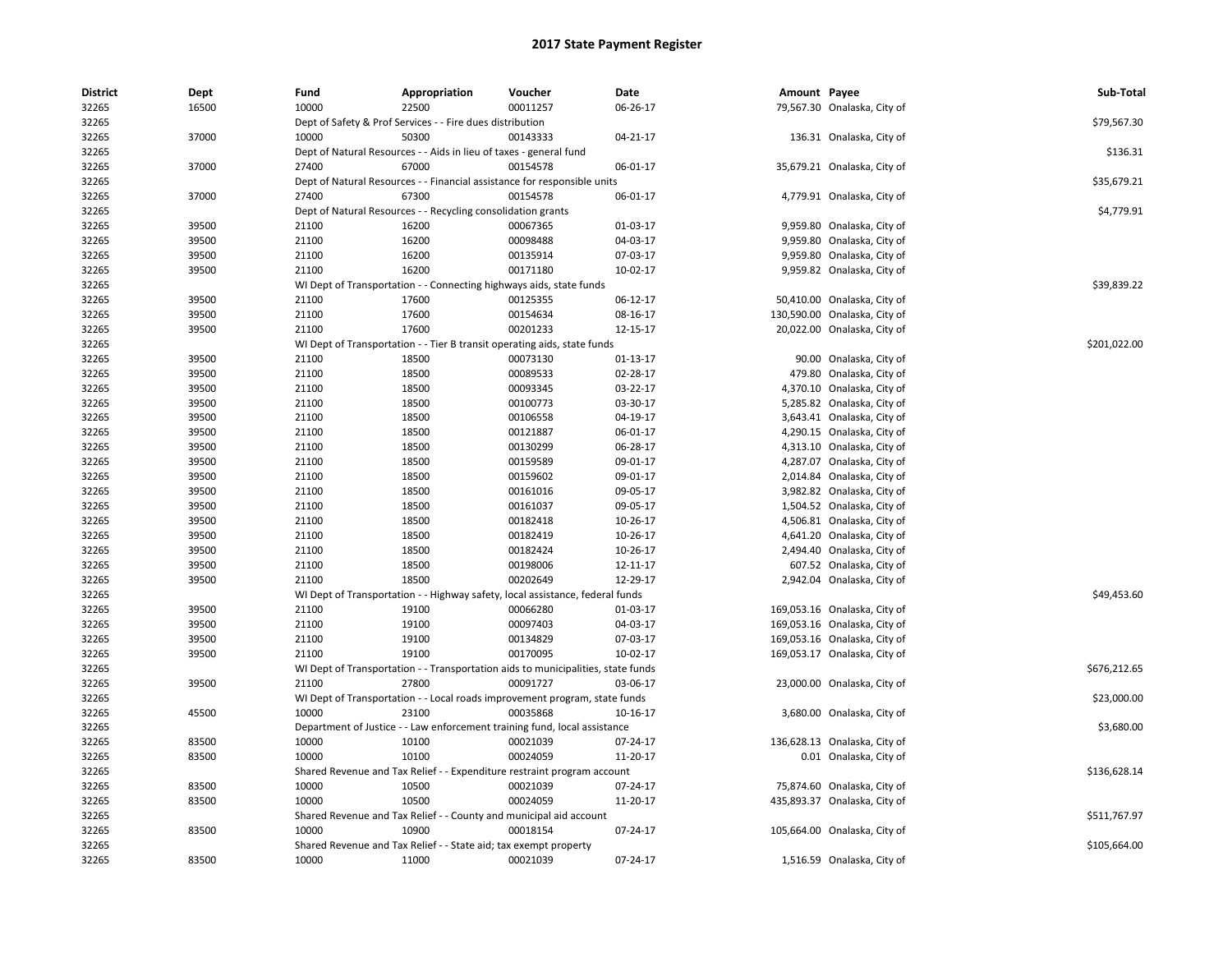| <b>District</b> | Dept  | Fund                                                               | Appropriation                                                                    | Voucher  | Date     | Amount Payee |                              | Sub-Total    |
|-----------------|-------|--------------------------------------------------------------------|----------------------------------------------------------------------------------|----------|----------|--------------|------------------------------|--------------|
| 32265           | 16500 | 10000                                                              | 22500                                                                            | 00011257 | 06-26-17 |              | 79,567.30 Onalaska, City of  |              |
| 32265           |       | Dept of Safety & Prof Services - - Fire dues distribution          |                                                                                  |          |          |              |                              | \$79,567.30  |
| 32265           | 37000 | 10000                                                              | 50300                                                                            | 00143333 | 04-21-17 |              | 136.31 Onalaska, City of     |              |
| 32265           |       | Dept of Natural Resources - - Aids in lieu of taxes - general fund |                                                                                  |          |          |              |                              | \$136.31     |
| 32265           | 37000 | 27400                                                              | 67000                                                                            | 00154578 | 06-01-17 |              | 35,679.21 Onalaska, City of  |              |
| 32265           |       |                                                                    | Dept of Natural Resources - - Financial assistance for responsible units         |          |          |              |                              | \$35,679.21  |
| 32265           | 37000 | 27400                                                              | 67300                                                                            | 00154578 | 06-01-17 |              | 4,779.91 Onalaska, City of   |              |
| 32265           |       |                                                                    | Dept of Natural Resources - - Recycling consolidation grants                     |          |          |              |                              | \$4,779.91   |
| 32265           | 39500 | 21100                                                              | 16200                                                                            | 00067365 | 01-03-17 |              | 9,959.80 Onalaska, City of   |              |
| 32265           | 39500 | 21100                                                              | 16200                                                                            | 00098488 | 04-03-17 |              | 9,959.80 Onalaska, City of   |              |
| 32265           | 39500 | 21100                                                              | 16200                                                                            | 00135914 | 07-03-17 |              | 9,959.80 Onalaska, City of   |              |
| 32265           | 39500 | 21100                                                              | 16200                                                                            | 00171180 | 10-02-17 |              | 9,959.82 Onalaska, City of   |              |
| 32265           |       |                                                                    | WI Dept of Transportation - - Connecting highways aids, state funds              |          |          |              |                              | \$39,839.22  |
| 32265           | 39500 | 21100                                                              | 17600                                                                            | 00125355 | 06-12-17 |              | 50,410.00 Onalaska, City of  |              |
| 32265           | 39500 | 21100                                                              | 17600                                                                            | 00154634 | 08-16-17 |              | 130,590.00 Onalaska, City of |              |
| 32265           | 39500 | 21100                                                              | 17600                                                                            | 00201233 | 12-15-17 |              | 20,022.00 Onalaska, City of  |              |
| 32265           |       |                                                                    | WI Dept of Transportation - - Tier B transit operating aids, state funds         |          |          |              |                              | \$201,022.00 |
| 32265           | 39500 | 21100                                                              | 18500                                                                            | 00073130 | 01-13-17 |              | 90.00 Onalaska, City of      |              |
| 32265           | 39500 | 21100                                                              | 18500                                                                            | 00089533 | 02-28-17 |              | 479.80 Onalaska, City of     |              |
| 32265           | 39500 | 21100                                                              | 18500                                                                            | 00093345 | 03-22-17 |              | 4,370.10 Onalaska, City of   |              |
| 32265           | 39500 | 21100                                                              | 18500                                                                            | 00100773 | 03-30-17 |              | 5,285.82 Onalaska, City of   |              |
| 32265           | 39500 | 21100                                                              | 18500                                                                            | 00106558 | 04-19-17 |              | 3,643.41 Onalaska, City of   |              |
| 32265           | 39500 | 21100                                                              | 18500                                                                            | 00121887 | 06-01-17 |              | 4,290.15 Onalaska, City of   |              |
| 32265           | 39500 | 21100                                                              | 18500                                                                            | 00130299 | 06-28-17 |              | 4,313.10 Onalaska, City of   |              |
| 32265           | 39500 | 21100                                                              | 18500                                                                            | 00159589 | 09-01-17 |              | 4,287.07 Onalaska, City of   |              |
| 32265           | 39500 | 21100                                                              | 18500                                                                            | 00159602 | 09-01-17 |              | 2,014.84 Onalaska, City of   |              |
| 32265           | 39500 | 21100                                                              | 18500                                                                            | 00161016 | 09-05-17 |              | 3,982.82 Onalaska, City of   |              |
| 32265           | 39500 | 21100                                                              | 18500                                                                            | 00161037 | 09-05-17 |              | 1,504.52 Onalaska, City of   |              |
| 32265           | 39500 | 21100                                                              | 18500                                                                            | 00182418 | 10-26-17 |              | 4,506.81 Onalaska, City of   |              |
| 32265           | 39500 | 21100                                                              | 18500                                                                            | 00182419 | 10-26-17 |              | 4,641.20 Onalaska, City of   |              |
| 32265           | 39500 | 21100                                                              | 18500                                                                            | 00182424 | 10-26-17 |              | 2,494.40 Onalaska, City of   |              |
| 32265           | 39500 | 21100                                                              | 18500                                                                            | 00198006 | 12-11-17 |              | 607.52 Onalaska, City of     |              |
| 32265           | 39500 | 21100                                                              | 18500                                                                            | 00202649 | 12-29-17 |              | 2,942.04 Onalaska, City of   |              |
| 32265           |       |                                                                    | WI Dept of Transportation - - Highway safety, local assistance, federal funds    |          |          |              |                              | \$49,453.60  |
| 32265           | 39500 | 21100                                                              | 19100                                                                            | 00066280 | 01-03-17 |              | 169,053.16 Onalaska, City of |              |
| 32265           | 39500 | 21100                                                              | 19100                                                                            | 00097403 | 04-03-17 |              | 169,053.16 Onalaska, City of |              |
| 32265           | 39500 | 21100                                                              | 19100                                                                            | 00134829 | 07-03-17 |              | 169,053.16 Onalaska, City of |              |
|                 |       | 21100                                                              | 19100                                                                            | 00170095 |          |              |                              |              |
| 32265<br>32265  | 39500 |                                                                    | WI Dept of Transportation - - Transportation aids to municipalities, state funds |          | 10-02-17 |              | 169,053.17 Onalaska, City of | \$676,212.65 |
| 32265           | 39500 | 21100                                                              | 27800                                                                            | 00091727 | 03-06-17 |              | 23,000.00 Onalaska, City of  |              |
|                 |       |                                                                    |                                                                                  |          |          |              |                              |              |
| 32265           |       |                                                                    | WI Dept of Transportation - - Local roads improvement program, state funds       | 00035868 |          |              |                              | \$23,000.00  |
| 32265           | 45500 | 10000                                                              | 23100                                                                            |          | 10-16-17 |              | 3,680.00 Onalaska, City of   |              |
| 32265           |       |                                                                    | Department of Justice - - Law enforcement training fund, local assistance        |          |          |              |                              | \$3,680.00   |
| 32265           | 83500 | 10000                                                              | 10100                                                                            | 00021039 | 07-24-17 |              | 136,628.13 Onalaska, City of |              |
| 32265           | 83500 | 10000                                                              | 10100                                                                            | 00024059 | 11-20-17 |              | 0.01 Onalaska, City of       |              |
| 32265           |       |                                                                    | Shared Revenue and Tax Relief - - Expenditure restraint program account          |          |          |              |                              | \$136,628.14 |
| 32265           | 83500 | 10000                                                              | 10500                                                                            | 00021039 | 07-24-17 |              | 75,874.60 Onalaska, City of  |              |
| 32265           | 83500 | 10000                                                              | 10500                                                                            | 00024059 | 11-20-17 |              | 435,893.37 Onalaska, City of |              |
| 32265           |       |                                                                    | Shared Revenue and Tax Relief - - County and municipal aid account               |          |          |              |                              | \$511,767.97 |
| 32265           | 83500 | 10000                                                              | 10900                                                                            | 00018154 | 07-24-17 |              | 105,664.00 Onalaska, City of |              |
| 32265           |       |                                                                    | Shared Revenue and Tax Relief - - State aid; tax exempt property                 |          |          |              |                              | \$105,664.00 |
| 32265           | 83500 | 10000                                                              | 11000                                                                            | 00021039 | 07-24-17 |              | 1,516.59 Onalaska, City of   |              |